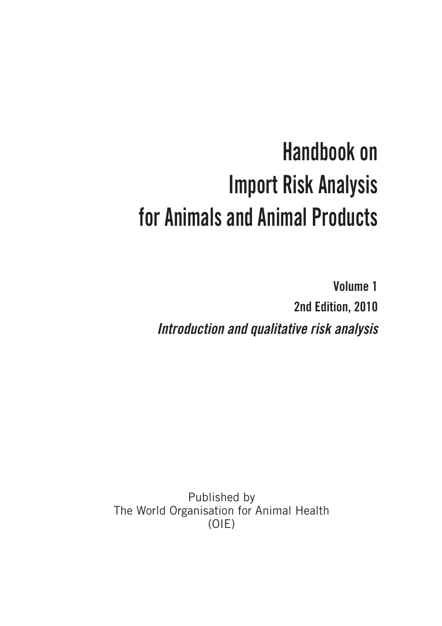# **Handbook on Import Risk Analysis for Animals and Animal Products**

**Volume 1 2nd Edition, 2010** *Introduction and qualitative risk analysis*

Published by The World Organisation for Animal Health (OIE)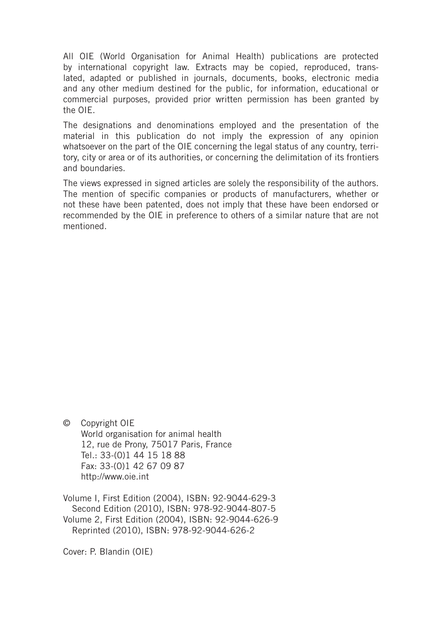All OIE (World Organisation for Animal Health) publications are protected by international copyright law. Extracts may be copied, reproduced, translated, adapted or published in journals, documents, books, electronic media and any other medium destined for the public, for information, educational or commercial purposes, provided prior written permission has been granted by the OIE.

The designations and denominations employed and the presentation of the material in this publication do not imply the expression of any opinion whatsoever on the part of the OIE concerning the legal status of any country, territory, city or area or of its authorities, or concerning the delimitation of its frontiers and boundaries.

The views expressed in signed articles are solely the responsibility of the authors. The mention of specific companies or products of manufacturers, whether or not these have been patented, does not imply that these have been endorsed or recommended by the OIE in preference to others of a similar nature that are not mentioned.

© Copyright OIE World organisation for animal health 12, rue de Prony, 75017 Paris, France Tel.: 33-(0)1 44 15 18 88 Fax: 33-(0)1 42 67 09 87 http://www.oie.int

Volume I, First Edition (2004), ISBN: 92-9044-629-3 Second Edition (2010), ISBN: 978-92-9044-807-5 Volume 2, First Edition (2004), ISBN: 92-9044-626-9 Reprinted (2010), ISBN: 978-92-9044-626-2

Cover: P. Blandin (OIE)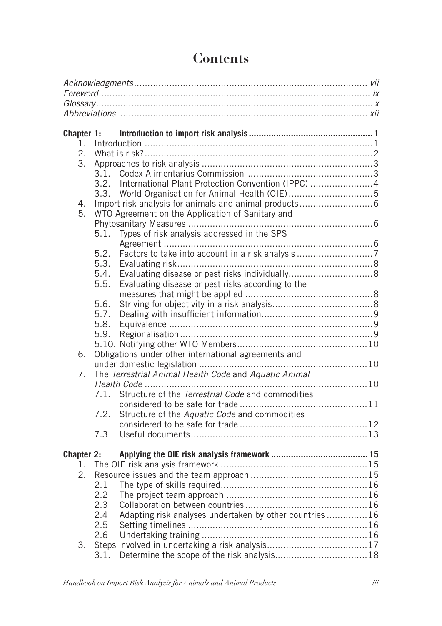| Chapter 1:        |                                                               |  |
|-------------------|---------------------------------------------------------------|--|
| 1.                |                                                               |  |
| 2.                |                                                               |  |
| 3.                |                                                               |  |
|                   |                                                               |  |
|                   | 3.2. International Plant Protection Convention (IPPC) 4       |  |
|                   | 3.3.                                                          |  |
| 4.                |                                                               |  |
| 5.                | WTO Agreement on the Application of Sanitary and              |  |
|                   |                                                               |  |
|                   | Types of risk analysis addressed in the SPS<br>5.1.           |  |
|                   |                                                               |  |
|                   | 5.2.                                                          |  |
|                   | 5.3.<br>5.4.                                                  |  |
|                   | 5.5.<br>Evaluating disease or pest risks according to the     |  |
|                   |                                                               |  |
|                   | 5.6.                                                          |  |
|                   | 5.7.                                                          |  |
|                   | 5.8.                                                          |  |
|                   | 5.9.                                                          |  |
|                   |                                                               |  |
| 6.                | Obligations under other international agreements and          |  |
|                   |                                                               |  |
| 7.                | The Terrestrial Animal Health Code and Aquatic Animal         |  |
|                   |                                                               |  |
|                   | Structure of the Terrestrial Code and commodities<br>7.1.     |  |
|                   |                                                               |  |
|                   | 7.2.<br>Structure of the Aquatic Code and commodities         |  |
|                   |                                                               |  |
|                   | 7.3                                                           |  |
| <b>Chapter 2:</b> |                                                               |  |
| 1.                |                                                               |  |
| 2.                |                                                               |  |
|                   | 2.1                                                           |  |
|                   | 2.2                                                           |  |
|                   | 2.3                                                           |  |
|                   | 2.4<br>Adapting risk analyses undertaken by other countries16 |  |
|                   | 2.5                                                           |  |
|                   | 2.6                                                           |  |
| 3.                |                                                               |  |
|                   | 3.1.                                                          |  |

# Contents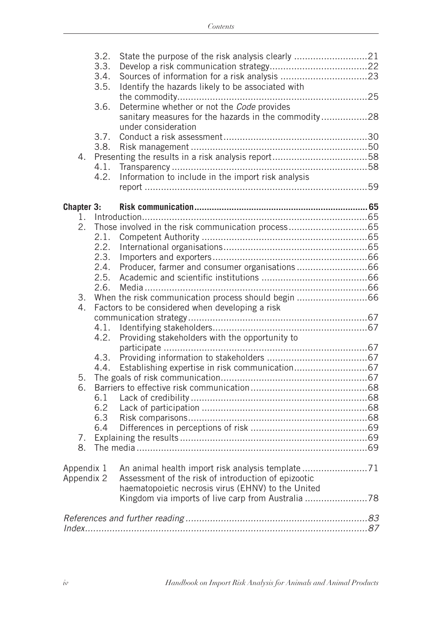|            | 3.2.<br>3.3.<br>3.4.<br>3.5. | State the purpose of the risk analysis clearly 21<br>Identify the hazards likely to be associated with                    |  |
|------------|------------------------------|---------------------------------------------------------------------------------------------------------------------------|--|
|            |                              |                                                                                                                           |  |
|            | 3.6.                         | Determine whether or not the Code provides<br>sanitary measures for the hazards in the commodity28<br>under consideration |  |
|            | 3.7.                         |                                                                                                                           |  |
|            | 3.8.                         |                                                                                                                           |  |
| 4.         |                              |                                                                                                                           |  |
|            | 4.1.                         |                                                                                                                           |  |
|            | 4.2.                         | Information to include in the import risk analysis                                                                        |  |
|            |                              |                                                                                                                           |  |
|            |                              |                                                                                                                           |  |
| Chapter 3: |                              |                                                                                                                           |  |
|            |                              |                                                                                                                           |  |
| 2.         |                              |                                                                                                                           |  |
|            | 2.1.                         |                                                                                                                           |  |
|            | 2.2.                         |                                                                                                                           |  |
|            | 2.3.                         |                                                                                                                           |  |
|            | 2.4.                         |                                                                                                                           |  |
|            | 2.5.                         |                                                                                                                           |  |
|            | 2.6.                         |                                                                                                                           |  |
| 3.<br>4.   |                              |                                                                                                                           |  |
|            |                              | Factors to be considered when developing a risk                                                                           |  |
|            | 4.1.                         |                                                                                                                           |  |
|            | 4.2.                         | Providing stakeholders with the opportunity to                                                                            |  |
|            |                              |                                                                                                                           |  |
|            | 4.3.                         |                                                                                                                           |  |
|            | 4.4.                         |                                                                                                                           |  |
| 5.         |                              |                                                                                                                           |  |
| 6.         |                              |                                                                                                                           |  |
|            | 6.1                          |                                                                                                                           |  |
|            | 6.2                          |                                                                                                                           |  |
|            | 6.3                          |                                                                                                                           |  |
|            | 6.4                          |                                                                                                                           |  |
| 7.         |                              |                                                                                                                           |  |
| 8.         |                              |                                                                                                                           |  |
|            |                              |                                                                                                                           |  |
| Appendix 1 |                              |                                                                                                                           |  |
| Appendix 2 |                              | Assessment of the risk of introduction of epizootic                                                                       |  |
|            |                              | haematopoietic necrosis virus (EHNV) to the United                                                                        |  |
|            |                              |                                                                                                                           |  |
|            |                              |                                                                                                                           |  |
|            |                              |                                                                                                                           |  |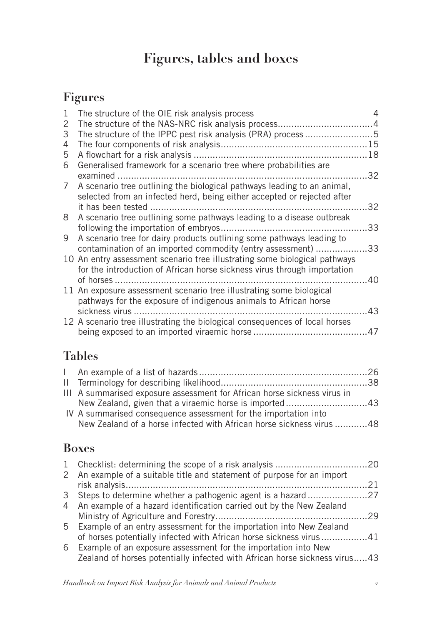# **Figures, tables and boxes**

# **Figures**

| 1           | The structure of the OIE risk analysis process                                                                                                         |    |
|-------------|--------------------------------------------------------------------------------------------------------------------------------------------------------|----|
| 2           |                                                                                                                                                        |    |
| 3           | The structure of the IPPC pest risk analysis (PRA) process 5                                                                                           |    |
| 4           |                                                                                                                                                        |    |
| 5           |                                                                                                                                                        | 18 |
| 6           | Generalised framework for a scenario tree where probabilities are                                                                                      |    |
|             |                                                                                                                                                        | 32 |
| $7^{\circ}$ | A scenario tree outlining the biological pathways leading to an animal,<br>selected from an infected herd, being either accepted or rejected after     |    |
|             |                                                                                                                                                        | 32 |
| 8           | A scenario tree outlining some pathways leading to a disease outbreak                                                                                  |    |
|             |                                                                                                                                                        | 33 |
| 9           | A scenario tree for dairy products outlining some pathways leading to                                                                                  |    |
|             | contamination of an imported commodity (entry assessment) 33                                                                                           |    |
|             | 10 An entry assessment scenario tree illustrating some biological pathways<br>for the introduction of African horse sickness virus through importation |    |
|             |                                                                                                                                                        | 40 |
|             | 11 An exposure assessment scenario tree illustrating some biological<br>pathways for the exposure of indigenous animals to African horse               |    |
|             | sickness virus                                                                                                                                         | 43 |
|             | 12 A scenario tree illustrating the biological consequences of local horses                                                                            |    |
|             |                                                                                                                                                        | 47 |
|             |                                                                                                                                                        |    |

# **Tables**

| III A summarised exposure assessment for African horse sickness virus in |  |
|--------------------------------------------------------------------------|--|
|                                                                          |  |
| IV A summarised consequence assessment for the importation into          |  |
| New Zealand of a horse infected with African horse sickness virus 48     |  |
|                                                                          |  |

# **Boxes**

|                                                                        | 21                                                                                                                                                                                                                          |
|------------------------------------------------------------------------|-----------------------------------------------------------------------------------------------------------------------------------------------------------------------------------------------------------------------------|
|                                                                        |                                                                                                                                                                                                                             |
| 4 An example of a hazard identification carried out by the New Zealand |                                                                                                                                                                                                                             |
|                                                                        |                                                                                                                                                                                                                             |
| 5 Example of an entry assessment for the importation into New Zealand  |                                                                                                                                                                                                                             |
|                                                                        |                                                                                                                                                                                                                             |
| Example of an exposure assessment for the importation into New<br>6    |                                                                                                                                                                                                                             |
|                                                                        |                                                                                                                                                                                                                             |
|                                                                        | 2 An example of a suitable title and statement of purpose for an import<br>of horses potentially infected with African horse sickness virus41<br>Zealand of horses potentially infected with African horse sickness virus43 |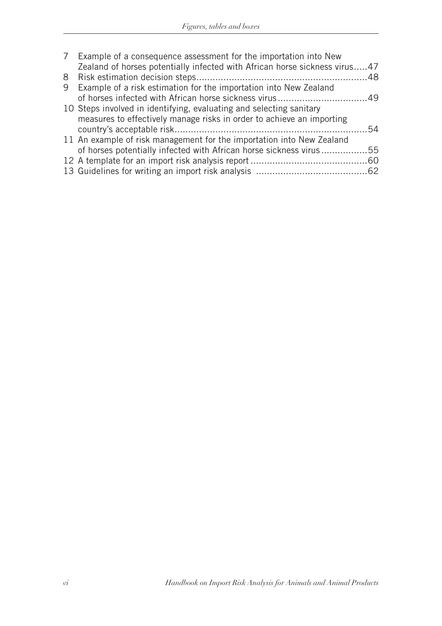|   | 7 Example of a consequence assessment for the importation into New         |  |
|---|----------------------------------------------------------------------------|--|
|   | Zealand of horses potentially infected with African horse sickness virus47 |  |
|   |                                                                            |  |
| 9 | Example of a risk estimation for the importation into New Zealand          |  |
|   |                                                                            |  |
|   | 10 Steps involved in identifying, evaluating and selecting sanitary        |  |
|   | measures to effectively manage risks in order to achieve an importing      |  |
|   |                                                                            |  |
|   | 11 An example of risk management for the importation into New Zealand      |  |
|   | of horses potentially infected with African horse sickness virus55         |  |
|   |                                                                            |  |
|   |                                                                            |  |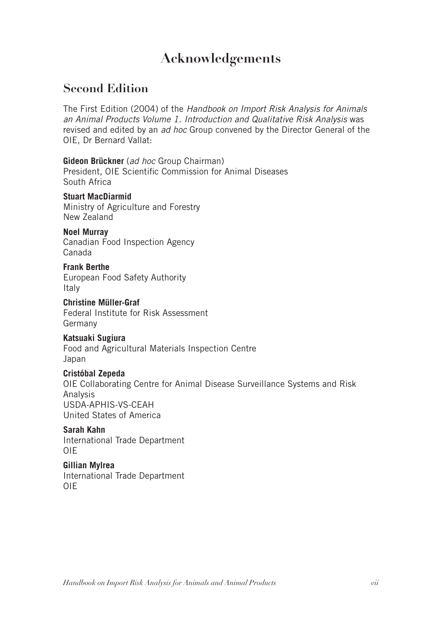# **Acknowledgements**

# **Second Edition**

The First Edition (2004) of the *Handbook on Import Risk Analysis for Animals an Animal Products Volume 1. Introduction and Qualitative Risk Analysis* was revised and edited by an *ad hoc* Group convened by the Director General of the OIE, Dr Bernard Vallat:

#### **Gideon Brückner** (*ad hoc* Group Chairman)

President, OIE Scientific Commission for Animal Diseases South Africa

#### **Stuart MacDiarmid**

Ministry of Agriculture and Forestry New Zealand

#### **Noel Murray**

Canadian Food Inspection Agency Canada

#### **Frank Berthe**

European Food Safety Authority **Italy** 

#### **Christine Müller-Graf** Federal Institute for Risk Assessment

Germany

### **Katsuaki Sugiura**

Food and Agricultural Materials Inspection Centre Japan

### **Cristóbal Zepeda**

OIE Collaborating Centre for Animal Disease Surveillance Systems and Risk Analysis USDA-APHIS-VS-CEAH United States of America

#### **Sarah Kahn** International Trade Department OIE

**Gillian Mylrea** International Trade Department OIE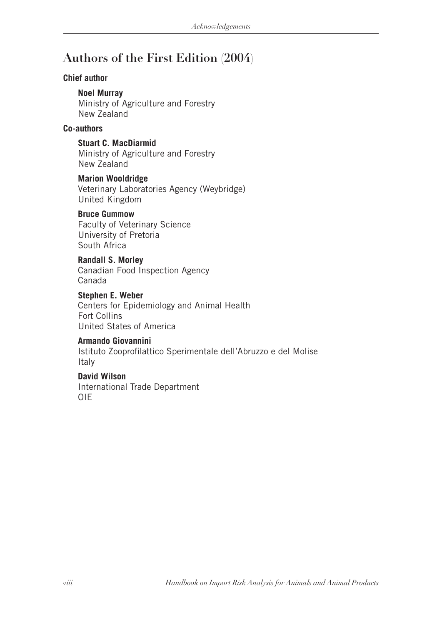# **Authors of the First Edition (2004)**

#### **Chief author**

#### **Noel Murray**

Ministry of Agriculture and Forestry New Zealand

### **Co-authors**

**Stuart C. MacDiarmid** Ministry of Agriculture and Forestry New Zealand

### **Marion Wooldridge**

Veterinary Laboratories Agency (Weybridge) United Kingdom

#### **Bruce Gummow**

Faculty of Veterinary Science University of Pretoria South Africa

#### **Randall S. Morley**

Canadian Food Inspection Agency Canada

**Stephen E. Weber** Centers for Epidemiology and Animal Health Fort Collins United States of America

# **Armando Giovannini**

Istituto Zooprofilattico Sperimentale dell'Abruzzo e del Molise Italy

### **David Wilson**

International Trade Department OIE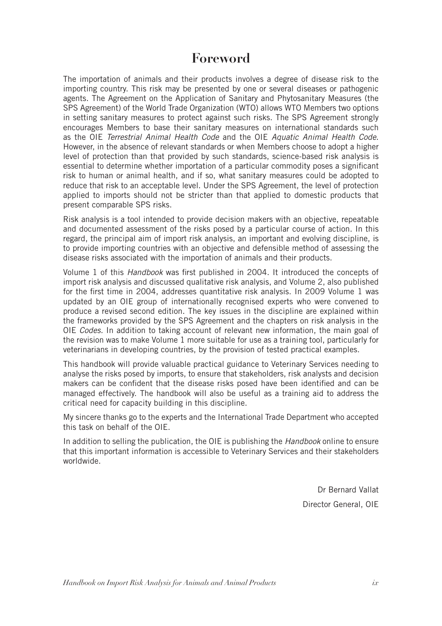# **Foreword**

The importation of animals and their products involves a degree of disease risk to the importing country. This risk may be presented by one or several diseases or pathogenic agents. The Agreement on the Application of Sanitary and Phytosanitary Measures (the SPS Agreement) of the World Trade Organization (WTO) allows WTO Members two options in setting sanitary measures to protect against such risks. The SPS Agreement strongly encourages Members to base their sanitary measures on international standards such as the OIE *Terrestrial Animal Health Code* and the OIE *Aquatic Animal Health Code*. However, in the absence of relevant standards or when Members choose to adopt a higher level of protection than that provided by such standards, science-based risk analysis is essential to determine whether importation of a particular commodity poses a significant risk to human or animal health, and if so, what sanitary measures could be adopted to reduce that risk to an acceptable level. Under the SPS Agreement, the level of protection applied to imports should not be stricter than that applied to domestic products that present comparable SPS risks.

Risk analysis is a tool intended to provide decision makers with an objective, repeatable and documented assessment of the risks posed by a particular course of action. In this regard, the principal aim of import risk analysis, an important and evolving discipline, is to provide importing countries with an objective and defensible method of assessing the disease risks associated with the importation of animals and their products.

Volume 1 of this *Handbook* was first published in 2004. It introduced the concepts of import risk analysis and discussed qualitative risk analysis, and Volume 2, also published for the first time in 2004, addresses quantitative risk analysis. In 2009 Volume 1 was updated by an OIE group of internationally recognised experts who were convened to produce a revised second edition. The key issues in the discipline are explained within the frameworks provided by the SPS Agreement and the chapters on risk analysis in the OIE *Codes.* In addition to taking account of relevant new information, the main goal of the revision was to make Volume 1 more suitable for use as a training tool, particularly for veterinarians in developing countries, by the provision of tested practical examples.

This handbook will provide valuable practical guidance to Veterinary Services needing to analyse the risks posed by imports, to ensure that stakeholders, risk analysts and decision makers can be confident that the disease risks posed have been identified and can be managed effectively. The handbook will also be useful as a training aid to address the critical need for capacity building in this discipline.

My sincere thanks go to the experts and the International Trade Department who accepted this task on behalf of the OIE.

In addition to selling the publication, the OIE is publishing the *Handbook* online to ensure that this important information is accessible to Veterinary Services and their stakeholders worldwide.

> Dr Bernard Vallat Director General, OIE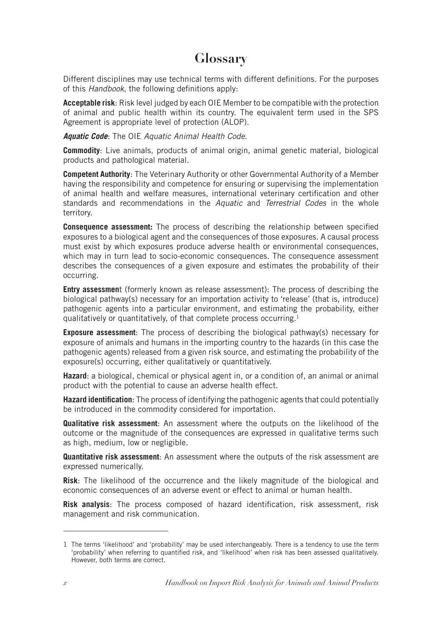# **Glossary**

Different disciplines may use technical terms with different definitions. For the purposes of this *Handbook*, the following definitions apply:

**Acceptable risk**: Risk level judged by each OIE Member to be compatible with the protection of animal and public health within its country. The equivalent term used in the SPS Agreement is appropriate level of protection (ALOP).

#### *Aquatic Code*: The OIE *Aquatic Animal Health Code*.

**Commodity**: Live animals, products of animal origin, animal genetic material, biological products and pathological material.

**Competent Authority**: The Veterinary Authority or other Governmental Authority of a Member having the responsibility and competence for ensuring or supervising the implementation of animal health and welfare measures, international veterinary certification and other standards and recommendations in the *Aquatic* and *Terrestrial Codes* in the whole territory.

**Consequence assessment:** The process of describing the relationship between specified exposures to a biological agent and the consequences of those exposures. A causal process must exist by which exposures produce adverse health or environmental consequences, which may in turn lead to socio-economic consequences. The consequence assessment describes the consequences of a given exposure and estimates the probability of their occurring.

**Entry assessment** (formerly known as release assessment): The process of describing the biological pathway(s) necessary for an importation activity to 'release' (that is, introduce) pathogenic agents into a particular environment, and estimating the probability, either qualitatively or quantitatively, of that complete process occurring.<sup>1</sup>

**Exposure assessment**: The process of describing the biological pathway(s) necessary for exposure of animals and humans in the importing country to the hazards (in this case the pathogenic agents) released from a given risk source, and estimating the probability of the exposure(s) occurring, either qualitatively or quantitatively.

**Hazard**: a biological, chemical or physical agent in, or a condition of, an animal or animal product with the potential to cause an adverse health effect.

**Hazard identification**: The process of identifying the pathogenic agents that could potentially be introduced in the commodity considered for importation.

**Qualitative risk assessment**: An assessment where the outputs on the likelihood of the outcome or the magnitude of the consequences are expressed in qualitative terms such as high, medium, low or negligible.

**Quantitative risk assessment**: An assessment where the outputs of the risk assessment are expressed numerically.

**Risk**: The likelihood of the occurrence and the likely magnitude of the biological and economic consequences of an adverse event or effect to animal or human health.

**Risk analysis**: The process composed of hazard identification, risk assessment, risk management and risk communication.

<sup>1</sup> The terms 'likelihood' and 'probability' may be used interchangeably. There is a tendency to use the term 'probability' when referring to quantified risk, and 'likelihood' when risk has been assessed qualitatively. However, both terms are correct.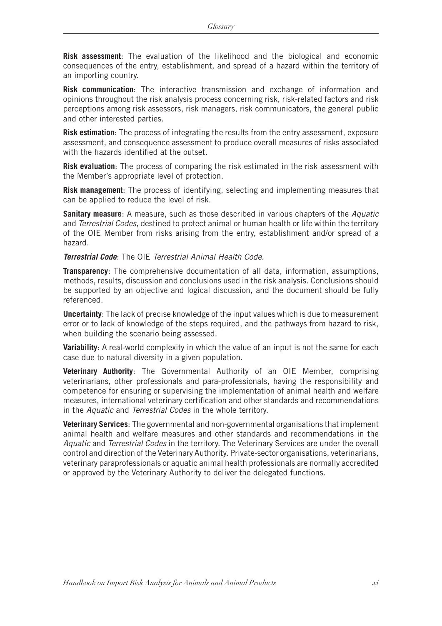**Risk assessment**: The evaluation of the likelihood and the biological and economic consequences of the entry, establishment, and spread of a hazard within the territory of an importing country.

**Risk communication**: The interactive transmission and exchange of information and opinions throughout the risk analysis process concerning risk, risk-related factors and risk perceptions among risk assessors, risk managers, risk communicators, the general public and other interested parties.

**Risk estimation**: The process of integrating the results from the entry assessment, exposure assessment, and consequence assessment to produce overall measures of risks associated with the hazards identified at the outset.

**Risk evaluation**: The process of comparing the risk estimated in the risk assessment with the Member's appropriate level of protection.

**Risk management**: The process of identifying, selecting and implementing measures that can be applied to reduce the level of risk.

**Sanitary measure**: A measure, such as those described in various chapters of the *Aquatic*  and *Terrestrial Codes*, destined to protect animal or human health or life within the territory of the OIE Member from risks arising from the entry, establishment and/or spread of a hazard.

*Terrestrial Code*: The OIE *Terrestrial Animal Health Code.*

**Transparency**: The comprehensive documentation of all data, information, assumptions, methods, results, discussion and conclusions used in the risk analysis. Conclusions should be supported by an objective and logical discussion, and the document should be fully referenced.

**Uncertainty**: The lack of precise knowledge of the input values which is due to measurement error or to lack of knowledge of the steps required, and the pathways from hazard to risk, when building the scenario being assessed.

**Variability**: A real-world complexity in which the value of an input is not the same for each case due to natural diversity in a given population.

**Veterinary Authority**: The Governmental Authority of an OIE Member, comprising veterinarians, other professionals and para-professionals, having the responsibility and competence for ensuring or supervising the implementation of animal health and welfare measures, international veterinary certification and other standards and recommendations in the *Aquatic* and *Terrestrial Codes* in the whole territory.

**Veterinary Services**: The governmental and non-governmental organisations that implement animal health and welfare measures and other standards and recommendations in the *Aquatic* and *Terrestrial Codes* in the territory. The Veterinary Services are under the overall control and direction of the Veterinary Authority. Private-sector organisations, veterinarians, veterinary paraprofessionals or aquatic animal health professionals are normally accredited or approved by the Veterinary Authority to deliver the delegated functions.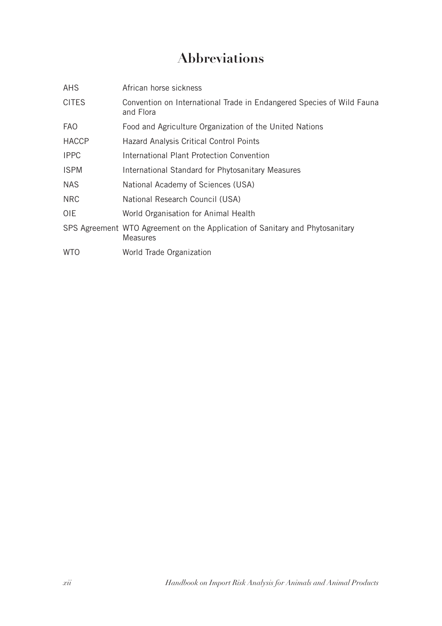# **Abbreviations**

| <b>AHS</b>   | African horse sickness                                                                          |
|--------------|-------------------------------------------------------------------------------------------------|
| <b>CITES</b> | Convention on International Trade in Endangered Species of Wild Fauna<br>and Flora              |
| <b>FAO</b>   | Food and Agriculture Organization of the United Nations                                         |
| <b>HACCP</b> | Hazard Analysis Critical Control Points                                                         |
| <b>IPPC</b>  | International Plant Protection Convention                                                       |
| <b>ISPM</b>  | International Standard for Phytosanitary Measures                                               |
| <b>NAS</b>   | National Academy of Sciences (USA)                                                              |
| <b>NRC</b>   | National Research Council (USA)                                                                 |
| OIE.         | World Organisation for Animal Health                                                            |
|              | SPS Agreement WTO Agreement on the Application of Sanitary and Phytosanitary<br><b>Measures</b> |
| <b>WTO</b>   | World Trade Organization                                                                        |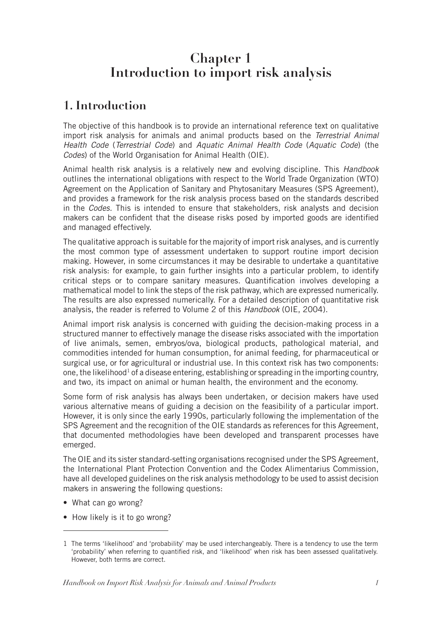# **Chapter 1 Introduction to import risk analysis**

# **1. Introduction**

The objective of this handbook is to provide an international reference text on qualitative import risk analysis for animals and animal products based on the *Terrestrial Animal Health Code* (*Terrestrial Code*) and *Aquatic Animal Health Code* (*Aquatic Code*) (the *Codes*) of the World Organisation for Animal Health (OIE).

Animal health risk analysis is a relatively new and evolving discipline. This *Handbook*  outlines the international obligations with respect to the World Trade Organization (WTO) Agreement on the Application of Sanitary and Phytosanitary Measures (SPS Agreement), and provides a framework for the risk analysis process based on the standards described in the *Codes.* This is intended to ensure that stakeholders, risk analysts and decision makers can be confident that the disease risks posed by imported goods are identified and managed effectively.

The qualitative approach is suitable for the majority of import risk analyses, and is currently the most common type of assessment undertaken to support routine import decision making. However, in some circumstances it may be desirable to undertake a quantitative risk analysis: for example, to gain further insights into a particular problem, to identify critical steps or to compare sanitary measures. Quantification involves developing a mathematical model to link the steps of the risk pathway, which are expressed numerically. The results are also expressed numerically. For a detailed description of quantitative risk analysis, the reader is referred to Volume 2 of this *Handbook* (OIE, 2004).

Animal import risk analysis is concerned with guiding the decision-making process in a structured manner to effectively manage the disease risks associated with the importation of live animals, semen, embryos/ova, biological products, pathological material, and commodities intended for human consumption, for animal feeding, for pharmaceutical or surgical use, or for agricultural or industrial use. In this context risk has two components: one, the likelihood<sup>1</sup> of a disease entering, establishing or spreading in the importing country, and two, its impact on animal or human health, the environment and the economy.

Some form of risk analysis has always been undertaken, or decision makers have used various alternative means of guiding a decision on the feasibility of a particular import. However, it is only since the early 1990s, particularly following the implementation of the SPS Agreement and the recognition of the OIE standards as references for this Agreement, that documented methodologies have been developed and transparent processes have emerged.

The OIE and its sister standard-setting organisations recognised under the SPS Agreement, the International Plant Protection Convention and the Codex Alimentarius Commission, have all developed guidelines on the risk analysis methodology to be used to assist decision makers in answering the following questions:

- What can go wrong?
- How likely is it to go wrong?

<sup>1</sup> The terms 'likelihood' and 'probability' may be used interchangeably. There is a tendency to use the term 'probability' when referring to quantified risk, and 'likelihood' when risk has been assessed qualitatively. However, both terms are correct.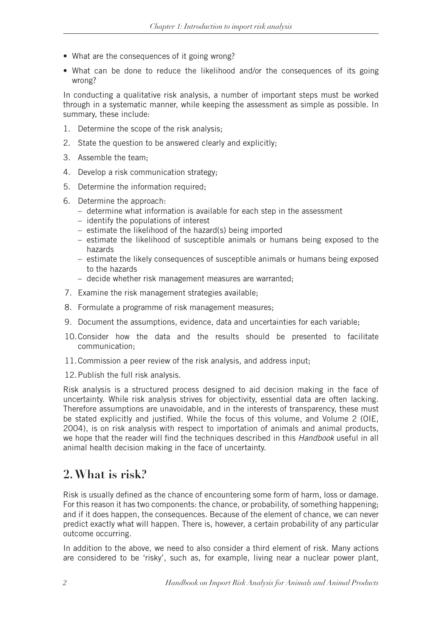- What are the consequences of it going wrong?
- What can be done to reduce the likelihood and/or the consequences of its going wrong?

In conducting a qualitative risk analysis, a number of important steps must be worked through in a systematic manner, while keeping the assessment as simple as possible. In summary, these include:

- 1. Determine the scope of the risk analysis;
- 2. State the question to be answered clearly and explicitly;
- 3. Assemble the team;
- 4. Develop a risk communication strategy;
- 5. Determine the information required;
- 6. Determine the approach:
	- determine what information is available for each step in the assessment
	- identify the populations of interest
	- estimate the likelihood of the hazard(s) being imported
	- estimate the likelihood of susceptible animals or humans being exposed to the hazards
	- estimate the likely consequences of susceptible animals or humans being exposed to the hazards
	- decide whether risk management measures are warranted;
- 7. Examine the risk management strategies available;
- 8. Formulate a programme of risk management measures;
- 9. Document the assumptions, evidence, data and uncertainties for each variable;
- 10.Consider how the data and the results should be presented to facilitate communication;
- 11.Commission a peer review of the risk analysis, and address input;
- 12.Publish the full risk analysis.

Risk analysis is a structured process designed to aid decision making in the face of uncertainty. While risk analysis strives for objectivity, essential data are often lacking. Therefore assumptions are unavoidable, and in the interests of transparency, these must be stated explicitly and justified. While the focus of this volume, and Volume 2 (OIE, 2004), is on risk analysis with respect to importation of animals and animal products, we hope that the reader will find the techniques described in this *Handbook* useful in all animal health decision making in the face of uncertainty.

# **2. What is risk?**

Risk is usually defined as the chance of encountering some form of harm, loss or damage. For this reason it has two components: the chance, or probability, of something happening; and if it does happen, the consequences. Because of the element of chance, we can never predict exactly what will happen. There is, however, a certain probability of any particular outcome occurring.

In addition to the above, we need to also consider a third element of risk. Many actions are considered to be 'risky', such as, for example, living near a nuclear power plant,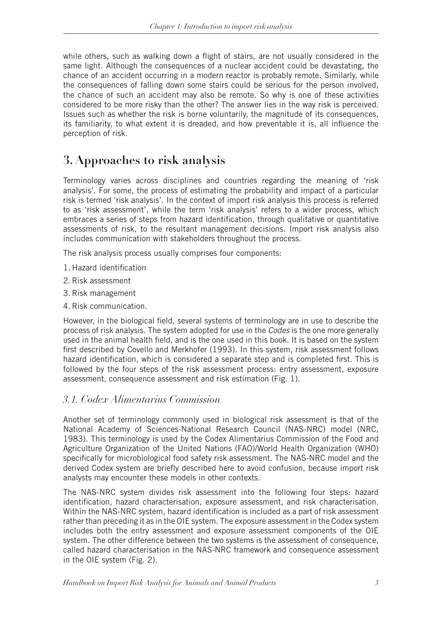while others, such as walking down a flight of stairs, are not usually considered in the same light. Although the consequences of a nuclear accident could be devastating, the chance of an accident occurring in a modern reactor is probably remote. Similarly, while the consequences of falling down some stairs could be serious for the person involved, the chance of such an accident may also be remote. So why is one of these activities considered to be more risky than the other? The answer lies in the way risk is perceived. Issues such as whether the risk is borne voluntarily, the magnitude of its consequences, its familiarity, to what extent it is dreaded, and how preventable it is, all influence the perception of risk.

# **3. Approaches to risk analysis**

Terminology varies across disciplines and countries regarding the meaning of 'risk analysis'. For some, the process of estimating the probability and impact of a particular risk is termed 'risk analysis'. In the context of import risk analysis this process is referred to as 'risk assessment', while the term 'risk analysis' refers to a wider process, which embraces a series of steps from hazard identification, through qualitative or quantitative assessments of risk, to the resultant management decisions. Import risk analysis also includes communication with stakeholders throughout the process.

The risk analysis process usually comprises four components:

- 1. Hazard identification
- 2. Risk assessment
- 3. Risk management
- 4. Risk communication.

However, in the biological field, several systems of terminology are in use to describe the process of risk analysis. The system adopted for use in the *Codes* is the one more generally used in the animal health field, and is the one used in this book. It is based on the system first described by Covello and Merkhofer (1993). In this system, risk assessment follows hazard identification, which is considered a separate step and is completed first. This is followed by the four steps of the risk assessment process: entry assessment, exposure assessment, consequence assessment and risk estimation (Fig. 1).

# *3.1. Codex Alimentarius Commission*

Another set of terminology commonly used in biological risk assessment is that of the National Academy of Sciences-National Research Council (NAS-NRC) model (NRC, 1983). This terminology is used by the Codex Alimentarius Commission of the Food and Agriculture Organization of the United Nations (FAO)/World Health Organization (WHO) specifically for microbiological food safety risk assessment. The NAS-NRC model and the derived Codex system are briefly described here to avoid confusion, because import risk analysts may encounter these models in other contexts.

The NAS-NRC system divides risk assessment into the following four steps: hazard identification, hazard characterisation, exposure assessment, and risk characterisation. Within the NAS-NRC system, hazard identification is included as a part of risk assessment rather than preceding it as in the OIE system. The exposure assessment in the Codex system includes both the entry assessment and exposure assessment components of the OIE system. The other difference between the two systems is the assessment of consequence, called hazard characterisation in the NAS-NRC framework and consequence assessment in the OIE system (Fig. 2).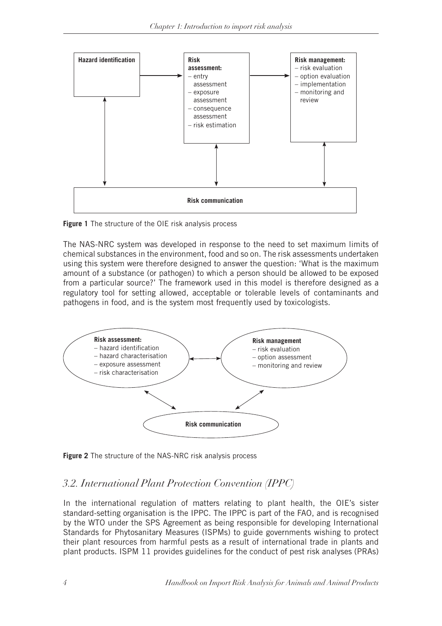

**Figure 1** The structure of the OIE risk analysis process

The NAS-NRC system was developed in response to the need to set maximum limits of chemical substances in the environment, food and so on. The risk assessments undertaken using this system were therefore designed to answer the question: 'What is the maximum amount of a substance (or pathogen) to which a person should be allowed to be exposed from a particular source?' The framework used in this model is therefore designed as a regulatory tool for setting allowed, acceptable or tolerable levels of contaminants and pathogens in food, and is the system most frequently used by toxicologists.



**Figure 2** The structure of the NAS-NRC risk analysis process

# *3.2. International Plant Protection Convention (IPPC)*

In the international regulation of matters relating to plant health, the OIE's sister standard-setting organisation is the IPPC. The IPPC is part of the FAO, and is recognised by the WTO under the SPS Agreement as being responsible for developing International Standards for Phytosanitary Measures (ISPMs) to guide governments wishing to protect their plant resources from harmful pests as a result of international trade in plants and plant products. ISPM 11 provides guidelines for the conduct of pest risk analyses (PRAs)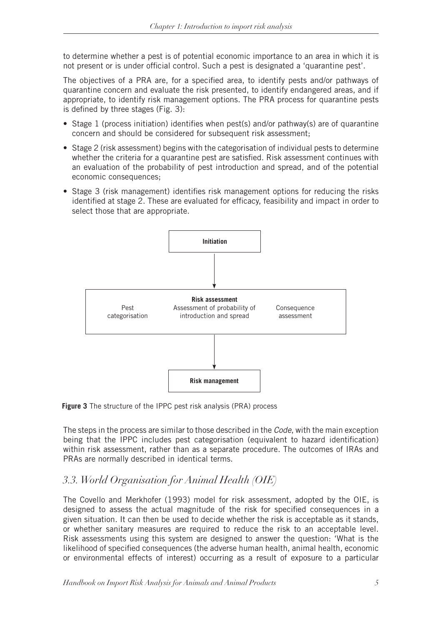to determine whether a pest is of potential economic importance to an area in which it is not present or is under official control. Such a pest is designated a 'quarantine pest'.

The objectives of a PRA are, for a specified area, to identify pests and/or pathways of quarantine concern and evaluate the risk presented, to identify endangered areas, and if appropriate, to identify risk management options. The PRA process for quarantine pests is defined by three stages (Fig. 3):

- Stage 1 (process initiation) identifies when pest(s) and/or pathway(s) are of quarantine concern and should be considered for subsequent risk assessment;
- Stage 2 (risk assessment) begins with the categorisation of individual pests to determine whether the criteria for a quarantine pest are satisfied. Risk assessment continues with an evaluation of the probability of pest introduction and spread, and of the potential economic consequences;
- Stage 3 (risk management) identifies risk management options for reducing the risks identified at stage 2. These are evaluated for efficacy, feasibility and impact in order to select those that are appropriate.



**Figure 3** The structure of the IPPC pest risk analysis (PRA) process

The steps in the process are similar to those described in the *Code*, with the main exception being that the IPPC includes pest categorisation (equivalent to hazard identification) within risk assessment, rather than as a separate procedure. The outcomes of IRAs and PRAs are normally described in identical terms.

# *3.3. World Organisation for Animal Health (OIE)*

The Covello and Merkhofer (1993) model for risk assessment, adopted by the OIE, is designed to assess the actual magnitude of the risk for specified consequences in a given situation. It can then be used to decide whether the risk is acceptable as it stands, or whether sanitary measures are required to reduce the risk to an acceptable level. Risk assessments using this system are designed to answer the question: 'What is the likelihood of specified consequences (the adverse human health, animal health, economic or environmental effects of interest) occurring as a result of exposure to a particular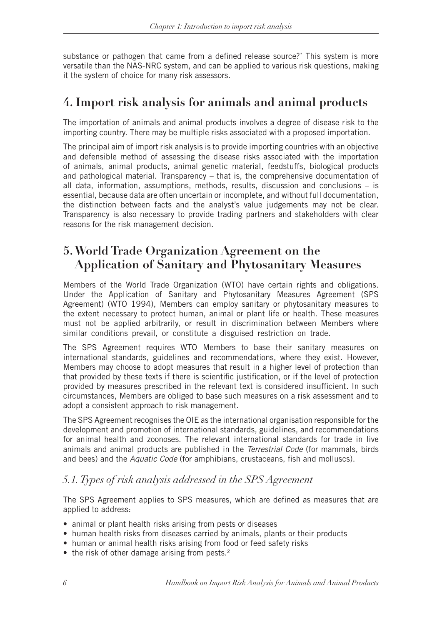substance or pathogen that came from a defined release source?' This system is more versatile than the NAS-NRC system, and can be applied to various risk questions, making it the system of choice for many risk assessors.

# **4. Import risk analysis for animals and animal products**

The importation of animals and animal products involves a degree of disease risk to the importing country. There may be multiple risks associated with a proposed importation.

The principal aim of import risk analysis is to provide importing countries with an objective and defensible method of assessing the disease risks associated with the importation of animals, animal products, animal genetic material, feedstuffs, biological products and pathological material. Transparency – that is, the comprehensive documentation of all data, information, assumptions, methods, results, discussion and conclusions – is essential, because data are often uncertain or incomplete, and without full documentation, the distinction between facts and the analyst's value judgements may not be clear. Transparency is also necessary to provide trading partners and stakeholders with clear reasons for the risk management decision.

# **5. World Trade Organization Agreement on the Application of Sanitary and Phytosanitary Measures**

Members of the World Trade Organization (WTO) have certain rights and obligations. Under the Application of Sanitary and Phytosanitary Measures Agreement (SPS Agreement) (WTO 1994), Members can employ sanitary or phytosanitary measures to the extent necessary to protect human, animal or plant life or health. These measures must not be applied arbitrarily, or result in discrimination between Members where similar conditions prevail, or constitute a disguised restriction on trade.

The SPS Agreement requires WTO Members to base their sanitary measures on international standards, guidelines and recommendations, where they exist. However, Members may choose to adopt measures that result in a higher level of protection than that provided by these texts if there is scientific justification, or if the level of protection provided by measures prescribed in the relevant text is considered insufficient. In such circumstances, Members are obliged to base such measures on a risk assessment and to adopt a consistent approach to risk management.

The SPS Agreement recognises the OIE as the international organisation responsible for the development and promotion of international standards, guidelines, and recommendations for animal health and zoonoses. The relevant international standards for trade in live animals and animal products are published in the *Terrestrial Code* (for mammals, birds and bees) and the *Aquatic Code* (for amphibians, crustaceans, fish and molluscs).

# *5.1. Types of risk analysis addressed in the SPS Agreement*

The SPS Agreement applies to SPS measures, which are defined as measures that are applied to address:

- animal or plant health risks arising from pests or diseases
- human health risks from diseases carried by animals, plants or their products
- human or animal health risks arising from food or feed safety risks
- $\bullet$  the risk of other damage arising from pests.<sup>2</sup>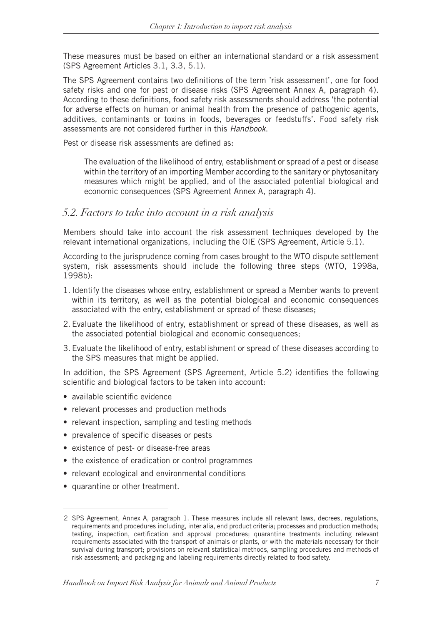These measures must be based on either an international standard or a risk assessment (SPS Agreement Articles 3.1, 3.3, 5.1).

The SPS Agreement contains two definitions of the term 'risk assessment', one for food safety risks and one for pest or disease risks (SPS Agreement Annex A, paragraph 4). According to these definitions, food safety risk assessments should address 'the potential for adverse effects on human or animal health from the presence of pathogenic agents, additives, contaminants or toxins in foods, beverages or feedstuffs'. Food safety risk assessments are not considered further in this *Handbook*.

Pest or disease risk assessments are defined as:

The evaluation of the likelihood of entry, establishment or spread of a pest or disease within the territory of an importing Member according to the sanitary or phytosanitary measures which might be applied, and of the associated potential biological and economic consequences (SPS Agreement Annex A, paragraph 4).

#### *5.2. Factors to take into account in a risk analysis*

Members should take into account the risk assessment techniques developed by the relevant international organizations, including the OIE (SPS Agreement, Article 5.1).

According to the jurisprudence coming from cases brought to the WTO dispute settlement system, risk assessments should include the following three steps (WTO, 1998a, 1998b):

- 1. Identify the diseases whose entry, establishment or spread a Member wants to prevent within its territory, as well as the potential biological and economic consequences associated with the entry, establishment or spread of these diseases;
- 2. Evaluate the likelihood of entry, establishment or spread of these diseases, as well as the associated potential biological and economic consequences;
- 3. Evaluate the likelihood of entry, establishment or spread of these diseases according to the SPS measures that might be applied.

In addition, the SPS Agreement (SPS Agreement, Article 5.2) identifies the following scientific and biological factors to be taken into account:

- available scientific evidence
- relevant processes and production methods
- relevant inspection, sampling and testing methods
- prevalence of specific diseases or pests
- existence of pest- or disease-free areas
- the existence of eradication or control programmes
- relevant ecological and environmental conditions
- quarantine or other treatment.

<sup>2</sup> SPS Agreement, Annex A, paragraph 1. These measures include all relevant laws, decrees, regulations, requirements and procedures including, inter alia, end product criteria; processes and production methods; testing, inspection, certification and approval procedures; quarantine treatments including relevant requirements associated with the transport of animals or plants, or with the materials necessary for their survival during transport; provisions on relevant statistical methods, sampling procedures and methods of risk assessment; and packaging and labeling requirements directly related to food safety.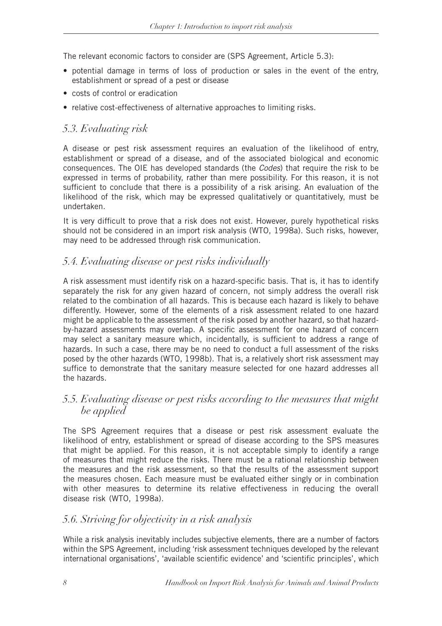The relevant economic factors to consider are (SPS Agreement, Article 5.3):

- potential damage in terms of loss of production or sales in the event of the entry, establishment or spread of a pest or disease
- costs of control or eradication
- relative cost-effectiveness of alternative approaches to limiting risks.

# *5.3. Evaluating risk*

A disease or pest risk assessment requires an evaluation of the likelihood of entry, establishment or spread of a disease, and of the associated biological and economic consequences. The OIE has developed standards (the *Codes*) that require the risk to be expressed in terms of probability, rather than mere possibility. For this reason, it is not sufficient to conclude that there is a possibility of a risk arising. An evaluation of the likelihood of the risk, which may be expressed qualitatively or quantitatively, must be undertaken.

It is very difficult to prove that a risk does not exist. However, purely hypothetical risks should not be considered in an import risk analysis (WTO, 1998a). Such risks, however, may need to be addressed through risk communication.

# *5.4. Evaluating disease or pest risks individually*

A risk assessment must identify risk on a hazard-specific basis. That is, it has to identify separately the risk for any given hazard of concern, not simply address the overall risk related to the combination of all hazards. This is because each hazard is likely to behave differently. However, some of the elements of a risk assessment related to one hazard might be applicable to the assessment of the risk posed by another hazard, so that hazardby-hazard assessments may overlap. A specific assessment for one hazard of concern may select a sanitary measure which, incidentally, is sufficient to address a range of hazards. In such a case, there may be no need to conduct a full assessment of the risks posed by the other hazards (WTO, 1998b). That is, a relatively short risk assessment may suffice to demonstrate that the sanitary measure selected for one hazard addresses all the hazards.

# *5.5. Evaluating disease or pest risks according to the measures that might be applied*

The SPS Agreement requires that a disease or pest risk assessment evaluate the likelihood of entry, establishment or spread of disease according to the SPS measures that might be applied. For this reason, it is not acceptable simply to identify a range of measures that might reduce the risks. There must be a rational relationship between the measures and the risk assessment, so that the results of the assessment support the measures chosen. Each measure must be evaluated either singly or in combination with other measures to determine its relative effectiveness in reducing the overall disease risk (WTO, 1998a).

# *5.6. Striving for objectivity in a risk analysis*

While a risk analysis inevitably includes subjective elements, there are a number of factors within the SPS Agreement, including 'risk assessment techniques developed by the relevant international organisations', 'available scientific evidence' and 'scientific principles', which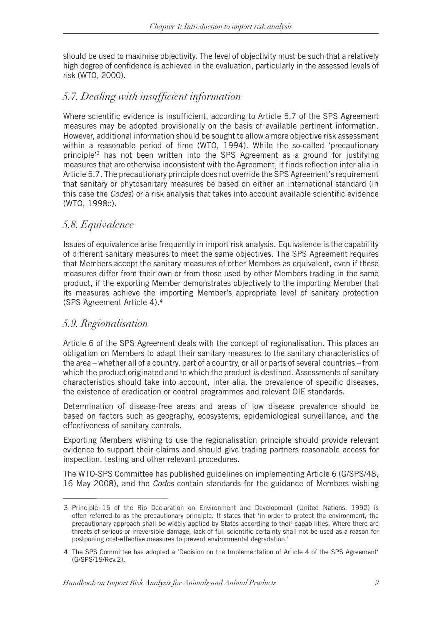should be used to maximise objectivity. The level of objectivity must be such that a relatively high degree of confidence is achieved in the evaluation, particularly in the assessed levels of risk (WTO, 2000).

# *5.7. Dealing with insufficient information*

Where scientific evidence is insufficient, according to Article 5.7 of the SPS Agreement measures may be adopted provisionally on the basis of available pertinent information. However, additional information should be sought to allow a more objective risk assessment within a reasonable period of time (WTO, 1994). While the so-called 'precautionary principle'3 has not been written into the SPS Agreement as a ground for justifying measures that are otherwise inconsistent with the Agreement, it finds reflection inter alia in Article 5.7. The precautionary principle does not override the SPS Agreement's requirement that sanitary or phytosanitary measures be based on either an international standard (in this case the *Codes*) or a risk analysis that takes into account available scientific evidence (WTO, 1998c).

# *5.8. Equivalence*

Issues of equivalence arise frequently in import risk analysis. Equivalence is the capability of different sanitary measures to meet the same objectives. The SPS Agreement requires that Members accept the sanitary measures of other Members as equivalent, even if these measures differ from their own or from those used by other Members trading in the same product, if the exporting Member demonstrates objectively to the importing Member that its measures achieve the importing Member's appropriate level of sanitary protection (SPS Agreement Article 4).4

# *5.9. Regionalisation*

Article 6 of the SPS Agreement deals with the concept of regionalisation. This places an obligation on Members to adapt their sanitary measures to the sanitary characteristics of the area – whether all of a country, part of a country, or all or parts of several countries – from which the product originated and to which the product is destined. Assessments of sanitary characteristics should take into account, inter alia, the prevalence of specific diseases, the existence of eradication or control programmes and relevant OIE standards.

Determination of disease-free areas and areas of low disease prevalence should be based on factors such as geography, ecosystems, epidemiological surveillance, and the effectiveness of sanitary controls.

Exporting Members wishing to use the regionalisation principle should provide relevant evidence to support their claims and should give trading partners reasonable access for inspection, testing and other relevant procedures.

The WTO-SPS Committee has published guidelines on implementing Article 6 (G/SPS/48, 16 May 2008), and the *Codes* contain standards for the guidance of Members wishing

<sup>3</sup> Principle 15 of the Rio Declaration on Environment and Development (United Nations, 1992) is often referred to as the precautionary principle. It states that 'in order to protect the environment, the precautionary approach shall be widely applied by States according to their capabilities. Where there are threats of serious or irreversible damage, lack of full scientific certainty shall not be used as a reason for postponing cost-effective measures to prevent environmental degradation.'

<sup>4</sup> The SPS Committee has adopted a 'Decision on the Implementation of Article 4 of the SPS Agreement' (G/SPS/19/Rev.2).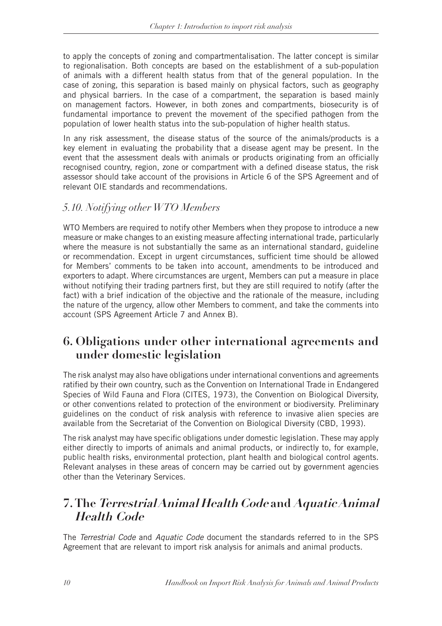to apply the concepts of zoning and compartmentalisation. The latter concept is similar to regionalisation. Both concepts are based on the establishment of a sub-population of animals with a different health status from that of the general population. In the case of zoning, this separation is based mainly on physical factors, such as geography and physical barriers. In the case of a compartment, the separation is based mainly on management factors. However, in both zones and compartments, biosecurity is of fundamental importance to prevent the movement of the specified pathogen from the population of lower health status into the sub-population of higher health status.

In any risk assessment, the disease status of the source of the animals/products is a key element in evaluating the probability that a disease agent may be present. In the event that the assessment deals with animals or products originating from an officially recognised country, region, zone or compartment with a defined disease status, the risk assessor should take account of the provisions in Article 6 of the SPS Agreement and of relevant OIE standards and recommendations.

# *5.10. Notifying other WTO Members*

WTO Members are required to notify other Members when they propose to introduce a new measure or make changes to an existing measure affecting international trade, particularly where the measure is not substantially the same as an international standard, guideline or recommendation. Except in urgent circumstances, sufficient time should be allowed for Members' comments to be taken into account, amendments to be introduced and exporters to adapt. Where circumstances are urgent, Members can put a measure in place without notifying their trading partners first, but they are still required to notify (after the fact) with a brief indication of the objective and the rationale of the measure, including the nature of the urgency, allow other Members to comment, and take the comments into account (SPS Agreement Article 7 and Annex B).

# **6. Obligations under other international agreements and under domestic legislation**

The risk analyst may also have obligations under international conventions and agreements ratified by their own country, such as the Convention on International Trade in Endangered Species of Wild Fauna and Flora (CITES, 1973), the Convention on Biological Diversity, or other conventions related to protection of the environment or biodiversity. Preliminary guidelines on the conduct of risk analysis with reference to invasive alien species are available from the Secretariat of the Convention on Biological Diversity (CBD, 1993).

The risk analyst may have specific obligations under domestic legislation. These may apply either directly to imports of animals and animal products, or indirectly to, for example, public health risks, environmental protection, plant health and biological control agents. Relevant analyses in these areas of concern may be carried out by government agencies other than the Veterinary Services.

# **7. The Terrestrial Animal Health Code and Aquatic Animal Health Code**

The *Terrestrial Code* and *Aquatic Code* document the standards referred to in the SPS Agreement that are relevant to import risk analysis for animals and animal products.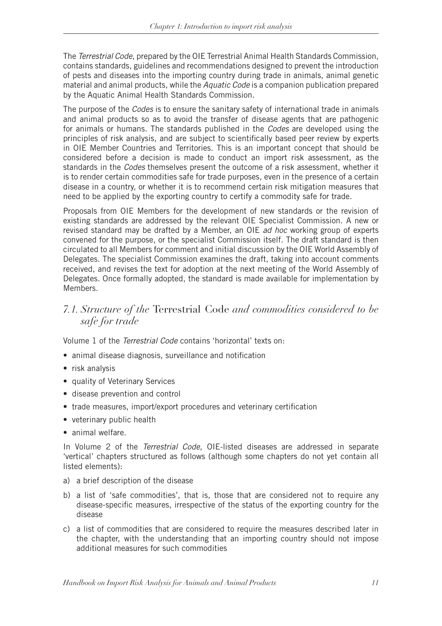The *Terrestrial Code*, prepared by the OIE Terrestrial Animal Health Standards Commission, contains standards, guidelines and recommendations designed to prevent the introduction of pests and diseases into the importing country during trade in animals, animal genetic material and animal products, while the *Aquatic Code* is a companion publication prepared by the Aquatic Animal Health Standards Commission.

The purpose of the *Codes* is to ensure the sanitary safety of international trade in animals and animal products so as to avoid the transfer of disease agents that are pathogenic for animals or humans. The standards published in the *Codes* are developed using the principles of risk analysis, and are subject to scientifically based peer review by experts in OIE Member Countries and Territories. This is an important concept that should be considered before a decision is made to conduct an import risk assessment, as the standards in the *Codes* themselves present the outcome of a risk assessment, whether it is to render certain commodities safe for trade purposes, even in the presence of a certain disease in a country, or whether it is to recommend certain risk mitigation measures that need to be applied by the exporting country to certify a commodity safe for trade.

Proposals from OIE Members for the development of new standards or the revision of existing standards are addressed by the relevant OIE Specialist Commission. A new or revised standard may be drafted by a Member, an OIE *ad hoc* working group of experts convened for the purpose, or the specialist Commission itself. The draft standard is then circulated to all Members for comment and initial discussion by the OIE World Assembly of Delegates. The specialist Commission examines the draft, taking into account comments received, and revises the text for adoption at the next meeting of the World Assembly of Delegates. Once formally adopted, the standard is made available for implementation by Members.

# *7.1. Structure of the* Terrestrial Code *and commodities considered to be safe for trade*

Volume 1 of the *Terrestrial Code* contains 'horizontal' texts on:

- animal disease diagnosis, surveillance and notification
- risk analysis
- quality of Veterinary Services
- disease prevention and control
- trade measures, import/export procedures and veterinary certification
- veterinary public health
- animal welfare.

In Volume 2 of the *Terrestrial Code*, OIE-listed diseases are addressed in separate 'vertical' chapters structured as follows (although some chapters do not yet contain all listed elements):

- a) a brief description of the disease
- b) a list of 'safe commodities', that is, those that are considered not to require any disease-specific measures, irrespective of the status of the exporting country for the disease
- c) a list of commodities that are considered to require the measures described later in the chapter, with the understanding that an importing country should not impose additional measures for such commodities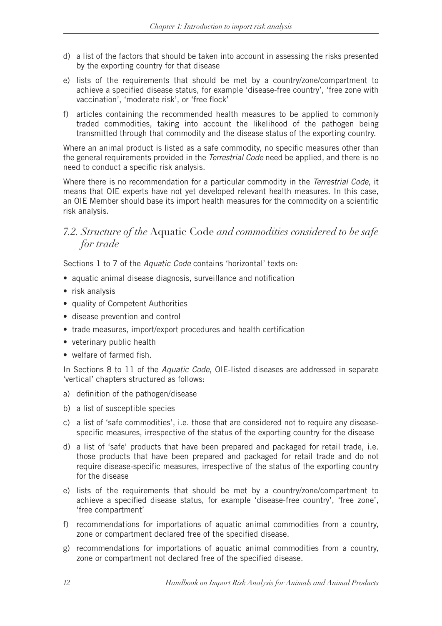- d) a list of the factors that should be taken into account in assessing the risks presented by the exporting country for that disease
- e) lists of the requirements that should be met by a country/zone/compartment to achieve a specified disease status, for example 'disease-free country', 'free zone with vaccination', 'moderate risk', or 'free flock'
- f) articles containing the recommended health measures to be applied to commonly traded commodities, taking into account the likelihood of the pathogen being transmitted through that commodity and the disease status of the exporting country.

Where an animal product is listed as a safe commodity, no specific measures other than the general requirements provided in the *Terrestrial Code* need be applied, and there is no need to conduct a specific risk analysis.

Where there is no recommendation for a particular commodity in the *Terrestrial Code*, it means that OIE experts have not yet developed relevant health measures. In this case, an OIE Member should base its import health measures for the commodity on a scientific risk analysis.

### *7.2. Structure of the* Aquatic Code *and commodities considered to be safe for trade*

Sections 1 to 7 of the *Aquatic Code* contains 'horizontal' texts on:

- aquatic animal disease diagnosis, surveillance and notification
- risk analysis
- quality of Competent Authorities
- disease prevention and control
- trade measures, import/export procedures and health certification
- veterinary public health
- welfare of farmed fish.

In Sections 8 to 11 of the *Aquatic Code*, OIE-listed diseases are addressed in separate 'vertical' chapters structured as follows:

- a) definition of the pathogen/disease
- b) a list of susceptible species
- c) a list of 'safe commodities', i.e. those that are considered not to require any diseasespecific measures, irrespective of the status of the exporting country for the disease
- d) a list of 'safe' products that have been prepared and packaged for retail trade, i.e. those products that have been prepared and packaged for retail trade and do not require disease-specific measures, irrespective of the status of the exporting country for the disease
- e) lists of the requirements that should be met by a country/zone/compartment to achieve a specified disease status, for example 'disease-free country', 'free zone', 'free compartment'
- f) recommendations for importations of aquatic animal commodities from a country, zone or compartment declared free of the specified disease.
- g) recommendations for importations of aquatic animal commodities from a country, zone or compartment not declared free of the specified disease.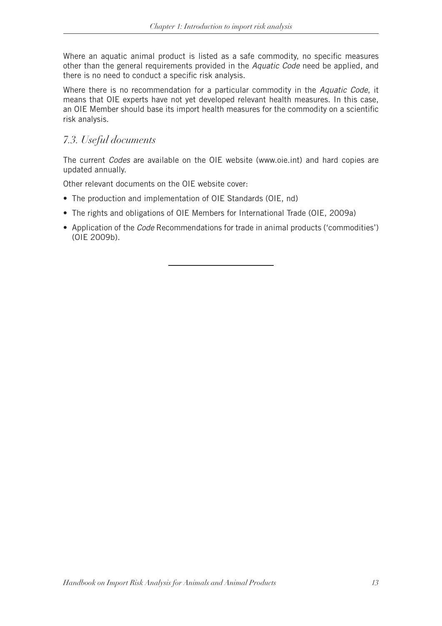Where an aquatic animal product is listed as a safe commodity, no specific measures other than the general requirements provided in the *Aquatic Code* need be applied, and there is no need to conduct a specific risk analysis.

Where there is no recommendation for a particular commodity in the *Aquatic Code*, it means that OIE experts have not yet developed relevant health measures. In this case, an OIE Member should base its import health measures for the commodity on a scientific risk analysis.

# *7.3. Useful documents*

The current *Codes* are available on the OIE website (www.oie.int) and hard copies are updated annually.

Other relevant documents on the OIE website cover:

- The production and implementation of OIE Standards (OIE, nd)
- The rights and obligations of OIE Members for International Trade (OIE, 2009a)
- Application of the *Code* Recommendations for trade in animal products ('commodities') (OIE 2009b).

*Handbook on Import Risk Analysis for Animals and Animal Products 13*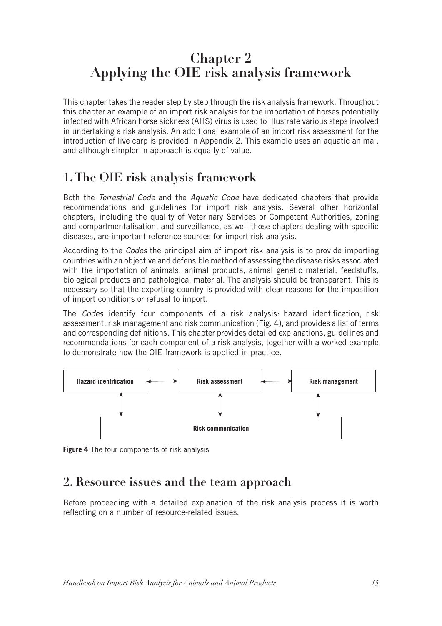# **Chapter 2 Applying the OIE risk analysis framework**

This chapter takes the reader step by step through the risk analysis framework. Throughout this chapter an example of an import risk analysis for the importation of horses potentially infected with African horse sickness (AHS) virus is used to illustrate various steps involved in undertaking a risk analysis. An additional example of an import risk assessment for the introduction of live carp is provided in Appendix 2. This example uses an aquatic animal, and although simpler in approach is equally of value.

# **1. The OIE risk analysis framework**

Both the *Terrestrial Code* and the *Aquatic Code* have dedicated chapters that provide recommendations and guidelines for import risk analysis. Several other horizontal chapters, including the quality of Veterinary Services or Competent Authorities, zoning and compartmentalisation, and surveillance, as well those chapters dealing with specific diseases, are important reference sources for import risk analysis.

According to the *Codes* the principal aim of import risk analysis is to provide importing countries with an objective and defensible method of assessing the disease risks associated with the importation of animals, animal products, animal genetic material, feedstuffs, biological products and pathological material. The analysis should be transparent. This is necessary so that the exporting country is provided with clear reasons for the imposition of import conditions or refusal to import.

The *Codes* identify four components of a risk analysis: hazard identification, risk assessment, risk management and risk communication (Fig. 4), and provides a list of terms and corresponding definitions. This chapter provides detailed explanations, guidelines and recommendations for each component of a risk analysis, together with a worked example to demonstrate how the OIE framework is applied in practice.



**Figure 4** The four components of risk analysis

# **2. Resource issues and the team approach**

Before proceeding with a detailed explanation of the risk analysis process it is worth reflecting on a number of resource-related issues.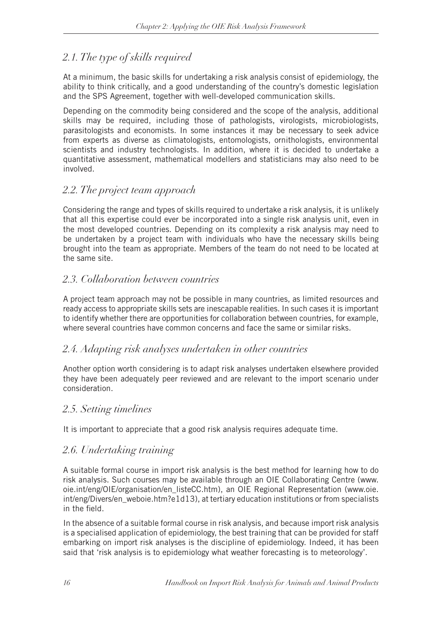# *2.1. The type of skills required*

At a minimum, the basic skills for undertaking a risk analysis consist of epidemiology, the ability to think critically, and a good understanding of the country's domestic legislation and the SPS Agreement, together with well-developed communication skills.

Depending on the commodity being considered and the scope of the analysis, additional skills may be required, including those of pathologists, virologists, microbiologists, parasitologists and economists. In some instances it may be necessary to seek advice from experts as diverse as climatologists, entomologists, ornithologists, environmental scientists and industry technologists. In addition, where it is decided to undertake a quantitative assessment, mathematical modellers and statisticians may also need to be involved.

# *2.2. The project team approach*

Considering the range and types of skills required to undertake a risk analysis, it is unlikely that all this expertise could ever be incorporated into a single risk analysis unit, even in the most developed countries. Depending on its complexity a risk analysis may need to be undertaken by a project team with individuals who have the necessary skills being brought into the team as appropriate. Members of the team do not need to be located at the same site.

# *2.3. Collaboration between countries*

A project team approach may not be possible in many countries, as limited resources and ready access to appropriate skills sets are inescapable realities. In such cases it is important to identify whether there are opportunities for collaboration between countries, for example, where several countries have common concerns and face the same or similar risks.

# *2.4. Adapting risk analyses undertaken in other countries*

Another option worth considering is to adapt risk analyses undertaken elsewhere provided they have been adequately peer reviewed and are relevant to the import scenario under consideration.

# *2.5. Setting timelines*

It is important to appreciate that a good risk analysis requires adequate time.

# *2.6. Undertaking training*

A suitable formal course in import risk analysis is the best method for learning how to do risk analysis. Such courses may be available through an OIE Collaborating Centre (www. oie.int/eng/OIE/organisation/en\_listeCC.htm), an OIE Regional Representation (www.oie. int/eng/Divers/en\_weboie.htm?e1d13), at tertiary education institutions or from specialists in the field.

In the absence of a suitable formal course in risk analysis, and because import risk analysis is a specialised application of epidemiology, the best training that can be provided for staff embarking on import risk analyses is the discipline of epidemiology. Indeed, it has been said that 'risk analysis is to epidemiology what weather forecasting is to meteorology'.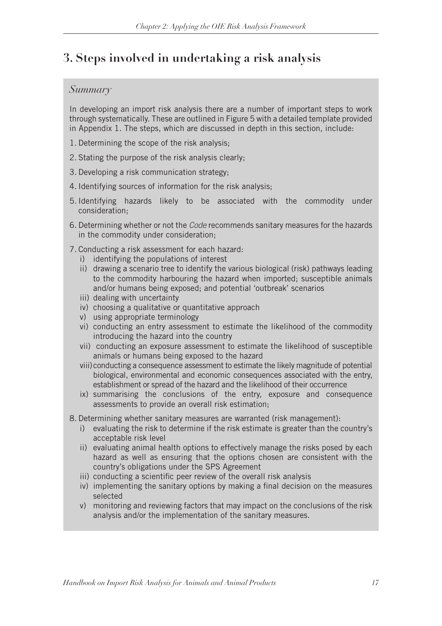# **3. Steps involved in undertaking a risk analysis**

#### *Summary*

In developing an import risk analysis there are a number of important steps to work through systematically. These are outlined in Figure 5 with a detailed template provided in Appendix 1. The steps, which are discussed in depth in this section, include:

- 1. Determining the scope of the risk analysis;
- 2. Stating the purpose of the risk analysis clearly;
- 3. Developing a risk communication strategy;
- 4. Identifying sources of information for the risk analysis;
- 5. Identifying hazards likely to be associated with the commodity under consideration;
- 6. Determining whether or not the *Code* recommends sanitary measures for the hazards in the commodity under consideration;
- 7. Conducting a risk assessment for each hazard:
	- i) identifying the populations of interest
	- ii) drawing a scenario tree to identify the various biological (risk) pathways leading to the commodity harbouring the hazard when imported; susceptible animals and/or humans being exposed; and potential 'outbreak' scenarios
	- iii) dealing with uncertainty
	- iv) choosing a qualitative or quantitative approach
	- v) using appropriate terminology
	- vi) conducting an entry assessment to estimate the likelihood of the commodity introducing the hazard into the country
	- vii) conducting an exposure assessment to estimate the likelihood of susceptible animals or humans being exposed to the hazard
	- viii)conducting a consequence assessment to estimate the likely magnitude of potential biological, environmental and economic consequences associated with the entry, establishment or spread of the hazard and the likelihood of their occurrence
	- ix) summarising the conclusions of the entry, exposure and consequence assessments to provide an overall risk estimation;
- 8. Determining whether sanitary measures are warranted (risk management):
	- i) evaluating the risk to determine if the risk estimate is greater than the country's acceptable risk level
	- ii) evaluating animal health options to effectively manage the risks posed by each hazard as well as ensuring that the options chosen are consistent with the country's obligations under the SPS Agreement
	- iii) conducting a scientific peer review of the overall risk analysis
	- iv) implementing the sanitary options by making a final decision on the measures selected
	- v) monitoring and reviewing factors that may impact on the conclusions of the risk analysis and/or the implementation of the sanitary measures.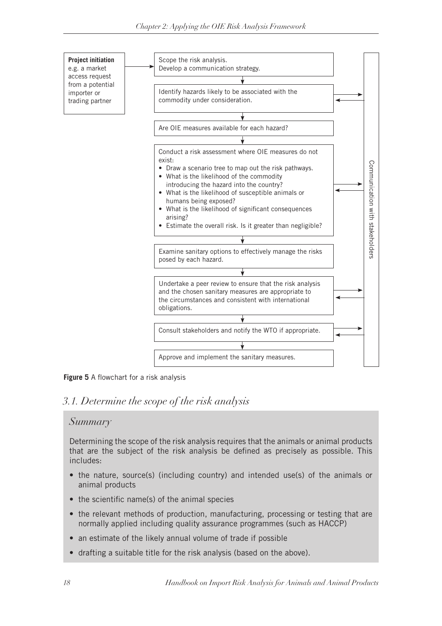

**Figure 5** A flowchart for a risk analysis

# *3.1. Determine the scope of the risk analysis*

# *Summary*

Determining the scope of the risk analysis requires that the animals or animal products that are the subject of the risk analysis be defined as precisely as possible. This includes:

- the nature, source(s) (including country) and intended use(s) of the animals or animal products
- the scientific name(s) of the animal species
- the relevant methods of production, manufacturing, processing or testing that are normally applied including quality assurance programmes (such as HACCP)
- an estimate of the likely annual volume of trade if possible
- drafting a suitable title for the risk analysis (based on the above).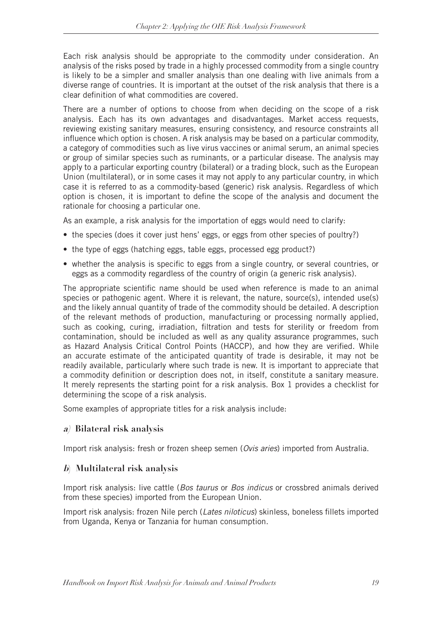Each risk analysis should be appropriate to the commodity under consideration. An analysis of the risks posed by trade in a highly processed commodity from a single country is likely to be a simpler and smaller analysis than one dealing with live animals from a diverse range of countries. It is important at the outset of the risk analysis that there is a clear definition of what commodities are covered.

There are a number of options to choose from when deciding on the scope of a risk analysis. Each has its own advantages and disadvantages. Market access requests, reviewing existing sanitary measures, ensuring consistency, and resource constraints all influence which option is chosen. A risk analysis may be based on a particular commodity, a category of commodities such as live virus vaccines or animal serum, an animal species or group of similar species such as ruminants, or a particular disease. The analysis may apply to a particular exporting country (bilateral) or a trading block, such as the European Union (multilateral), or in some cases it may not apply to any particular country, in which case it is referred to as a commodity-based (generic) risk analysis. Regardless of which option is chosen, it is important to define the scope of the analysis and document the rationale for choosing a particular one.

As an example, a risk analysis for the importation of eggs would need to clarify:

- the species (does it cover just hens' eggs, or eggs from other species of poultry?)
- the type of eggs (hatching eggs, table eggs, processed egg product?)
- whether the analysis is specific to eggs from a single country, or several countries, or eggs as a commodity regardless of the country of origin (a generic risk analysis).

The appropriate scientific name should be used when reference is made to an animal species or pathogenic agent. Where it is relevant, the nature, source(s), intended use(s) and the likely annual quantity of trade of the commodity should be detailed. A description of the relevant methods of production, manufacturing or processing normally applied, such as cooking, curing, irradiation, filtration and tests for sterility or freedom from contamination, should be included as well as any quality assurance programmes, such as Hazard Analysis Critical Control Points (HACCP), and how they are verified. While an accurate estimate of the anticipated quantity of trade is desirable, it may not be readily available, particularly where such trade is new. It is important to appreciate that a commodity definition or description does not, in itself, constitute a sanitary measure. It merely represents the starting point for a risk analysis. Box 1 provides a checklist for determining the scope of a risk analysis.

Some examples of appropriate titles for a risk analysis include:

#### **a) Bilateral risk analysis**

Import risk analysis: fresh or frozen sheep semen (*Ovis aries*) imported from Australia.

#### **b) Multilateral risk analysis**

Import risk analysis: live cattle (*Bos taurus* or *Bos indicus* or crossbred animals derived from these species) imported from the European Union.

Import risk analysis: frozen Nile perch (*Lates niloticus*) skinless, boneless fillets imported from Uganda, Kenya or Tanzania for human consumption.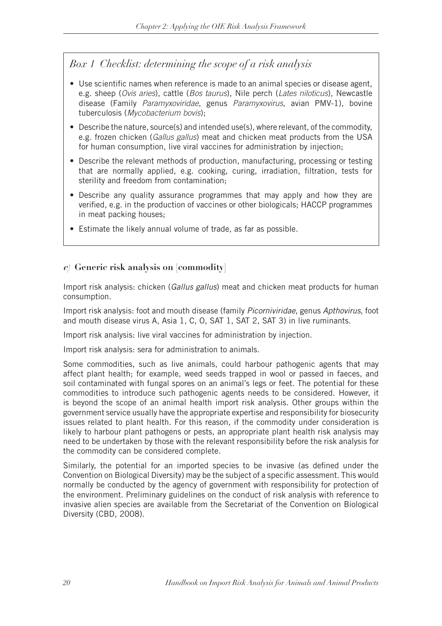# *Box 1 Checklist: determining the scope of a risk analysis*

- Use scientific names when reference is made to an animal species or disease agent, e.g. sheep (*Ovis aries*), cattle (*Bos taurus*), Nile perch (*Lates niloticus*), Newcastle disease (Family *Paramyxoviridae*, genus *Paramyxovirus*, avian PMV-1), bovine tuberculosis (*Mycobacterium bovis*);
- Describe the nature, source(s) and intended use(s), where relevant, of the commodity, e.g. frozen chicken (*Gallus gallus*) meat and chicken meat products from the USA for human consumption, live viral vaccines for administration by injection;
- Describe the relevant methods of production, manufacturing, processing or testing that are normally applied, e.g. cooking, curing, irradiation, filtration, tests for sterility and freedom from contamination;
- Describe any quality assurance programmes that may apply and how they are verified, e.g. in the production of vaccines or other biologicals; HACCP programmes in meat packing houses;
- Estimate the likely annual volume of trade, as far as possible.

### **c) Generic risk analysis on [commodity]**

Import risk analysis: chicken (*Gallus gallus*) meat and chicken meat products for human consumption.

Import risk analysis: foot and mouth disease (family *Picorniviridae*, genus *Apthovirus*, foot and mouth disease virus A, Asia 1, C, O, SAT 1, SAT 2, SAT 3) in live ruminants.

Import risk analysis: live viral vaccines for administration by injection.

Import risk analysis: sera for administration to animals.

Some commodities, such as live animals, could harbour pathogenic agents that may affect plant health; for example, weed seeds trapped in wool or passed in faeces, and soil contaminated with fungal spores on an animal's legs or feet. The potential for these commodities to introduce such pathogenic agents needs to be considered. However, it is beyond the scope of an animal health import risk analysis. Other groups within the government service usually have the appropriate expertise and responsibility for biosecurity issues related to plant health. For this reason, if the commodity under consideration is likely to harbour plant pathogens or pests, an appropriate plant health risk analysis may need to be undertaken by those with the relevant responsibility before the risk analysis for the commodity can be considered complete.

Similarly, the potential for an imported species to be invasive (as defined under the Convention on Biological Diversity) may be the subject of a specific assessment. This would normally be conducted by the agency of government with responsibility for protection of the environment. Preliminary guidelines on the conduct of risk analysis with reference to invasive alien species are available from the Secretariat of the Convention on Biological Diversity (CBD, 2008).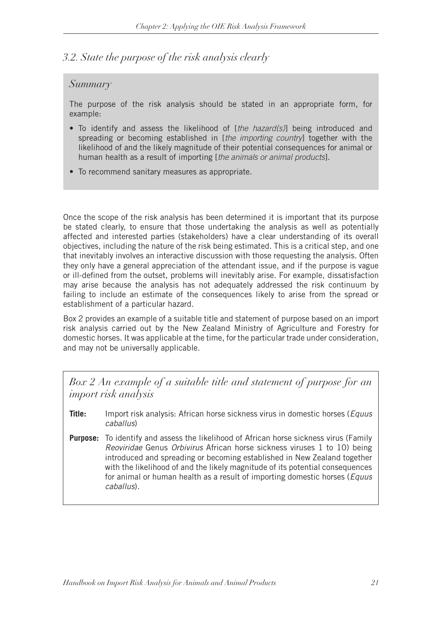# *3.2. State the purpose of the risk analysis clearly*

### *Summary*

The purpose of the risk analysis should be stated in an appropriate form, for example:

- • To identify and assess the likelihood of [*the hazard(s)*] being introduced and spreading or becoming established in [*the importing country*] together with the likelihood of and the likely magnitude of their potential consequences for animal or human health as a result of importing [*the animals or animal products*].
- To recommend sanitary measures as appropriate.

Once the scope of the risk analysis has been determined it is important that its purpose be stated clearly, to ensure that those undertaking the analysis as well as potentially affected and interested parties (stakeholders) have a clear understanding of its overall objectives, including the nature of the risk being estimated. This is a critical step, and one that inevitably involves an interactive discussion with those requesting the analysis. Often they only have a general appreciation of the attendant issue, and if the purpose is vague or ill-defined from the outset, problems will inevitably arise. For example, dissatisfaction may arise because the analysis has not adequately addressed the risk continuum by failing to include an estimate of the consequences likely to arise from the spread or establishment of a particular hazard.

Box 2 provides an example of a suitable title and statement of purpose based on an import risk analysis carried out by the New Zealand Ministry of Agriculture and Forestry for domestic horses. It was applicable at the time, for the particular trade under consideration, and may not be universally applicable.

*Box 2 An example of a suitable title and statement of purpose for an import risk analysis*

- **Title:** Import risk analysis: African horse sickness virus in domestic horses (*Equus caballus*)
- **Purpose:** To identify and assess the likelihood of African horse sickness virus (Family *Reoviridae* Genus *Orbivirus* African horse sickness viruses 1 to 10) being introduced and spreading or becoming established in New Zealand together with the likelihood of and the likely magnitude of its potential consequences for animal or human health as a result of importing domestic horses (*Equus caballus*).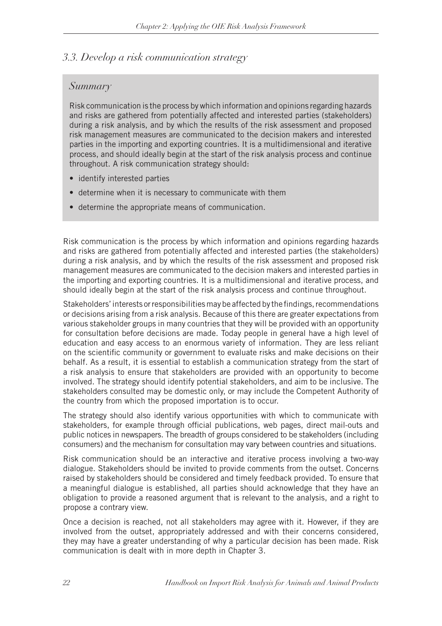### *3.3. Develop a risk communication strategy*

### *Summary*

Risk communication is the process by which information and opinions regarding hazards and risks are gathered from potentially affected and interested parties (stakeholders) during a risk analysis, and by which the results of the risk assessment and proposed risk management measures are communicated to the decision makers and interested parties in the importing and exporting countries. It is a multidimensional and iterative process, and should ideally begin at the start of the risk analysis process and continue throughout. A risk communication strategy should:

- identify interested parties
- determine when it is necessary to communicate with them
- determine the appropriate means of communication.

Risk communication is the process by which information and opinions regarding hazards and risks are gathered from potentially affected and interested parties (the stakeholders) during a risk analysis, and by which the results of the risk assessment and proposed risk management measures are communicated to the decision makers and interested parties in the importing and exporting countries. It is a multidimensional and iterative process, and should ideally begin at the start of the risk analysis process and continue throughout.

Stakeholders' interests or responsibilities may be affected by the findings, recommendations or decisions arising from a risk analysis. Because of this there are greater expectations from various stakeholder groups in many countries that they will be provided with an opportunity for consultation before decisions are made. Today people in general have a high level of education and easy access to an enormous variety of information. They are less reliant on the scientific community or government to evaluate risks and make decisions on their behalf. As a result, it is essential to establish a communication strategy from the start of a risk analysis to ensure that stakeholders are provided with an opportunity to become involved. The strategy should identify potential stakeholders, and aim to be inclusive. The stakeholders consulted may be domestic only, or may include the Competent Authority of the country from which the proposed importation is to occur.

The strategy should also identify various opportunities with which to communicate with stakeholders, for example through official publications, web pages, direct mail-outs and public notices in newspapers. The breadth of groups considered to be stakeholders (including consumers) and the mechanism for consultation may vary between countries and situations.

Risk communication should be an interactive and iterative process involving a two-way dialogue. Stakeholders should be invited to provide comments from the outset. Concerns raised by stakeholders should be considered and timely feedback provided. To ensure that a meaningful dialogue is established, all parties should acknowledge that they have an obligation to provide a reasoned argument that is relevant to the analysis, and a right to propose a contrary view.

Once a decision is reached, not all stakeholders may agree with it. However, if they are involved from the outset, appropriately addressed and with their concerns considered, they may have a greater understanding of why a particular decision has been made. Risk communication is dealt with in more depth in Chapter 3.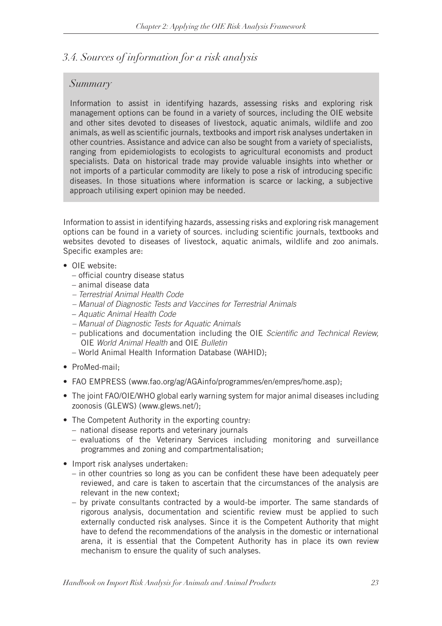# *3.4. Sources of information for a risk analysis*

### *Summary*

Information to assist in identifying hazards, assessing risks and exploring risk management options can be found in a variety of sources, including the OIE website and other sites devoted to diseases of livestock, aquatic animals, wildlife and zoo animals, as well as scientific journals, textbooks and import risk analyses undertaken in other countries. Assistance and advice can also be sought from a variety of specialists, ranging from epidemiologists to ecologists to agricultural economists and product specialists. Data on historical trade may provide valuable insights into whether or not imports of a particular commodity are likely to pose a risk of introducing specific diseases. In those situations where information is scarce or lacking, a subjective approach utilising expert opinion may be needed.

Information to assist in identifying hazards, assessing risks and exploring risk management options can be found in a variety of sources. including scientific journals, textbooks and websites devoted to diseases of livestock, aquatic animals, wildlife and zoo animals. Specific examples are:

- OIF website:
	- official country disease status
	- animal disease data
	- *Terrestrial Animal Health Code*
	- *Manual of Diagnostic Tests and Vaccines for Terrestrial Animals*
	- – *Aquatic Animal Health Code*
	- *Manual of Diagnostic Tests for Aquatic Animals*
	- publications and documentation including the OIE *Scientific and Technical Review,*  OIE *World Animal Health* and OIE *Bulletin*
	- World Animal Health Information Database (WAHID);
- ProMed-mail:
- FAO EMPRESS (www.fao.org/ag/AGAinfo/programmes/en/empres/home.asp);
- The joint FAO/OIE/WHO global early warning system for major animal diseases including zoonosis (GLEWS) (www.glews.net/);
- The Competent Authority in the exporting country:
	- national disease reports and veterinary journals
	- evaluations of the Veterinary Services including monitoring and surveillance programmes and zoning and compartmentalisation;
- Import risk analyses undertaken:
	- in other countries so long as you can be confident these have been adequately peer reviewed, and care is taken to ascertain that the circumstances of the analysis are relevant in the new context;
	- by private consultants contracted by a would-be importer. The same standards of rigorous analysis, documentation and scientific review must be applied to such externally conducted risk analyses. Since it is the Competent Authority that might have to defend the recommendations of the analysis in the domestic or international arena, it is essential that the Competent Authority has in place its own review mechanism to ensure the quality of such analyses.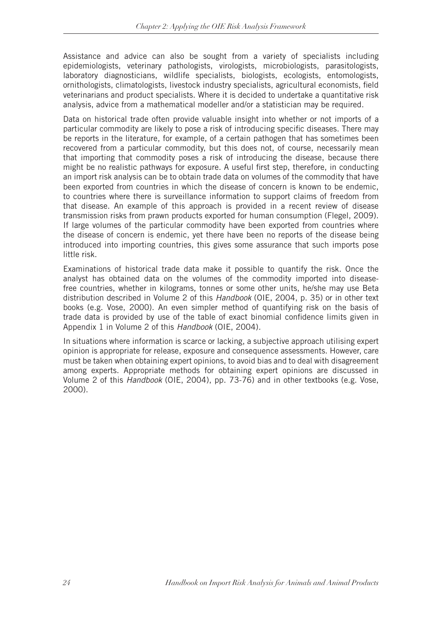Assistance and advice can also be sought from a variety of specialists including epidemiologists, veterinary pathologists, virologists, microbiologists, parasitologists, laboratory diagnosticians, wildlife specialists, biologists, ecologists, entomologists, ornithologists, climatologists, livestock industry specialists, agricultural economists, field veterinarians and product specialists. Where it is decided to undertake a quantitative risk analysis, advice from a mathematical modeller and/or a statistician may be required.

Data on historical trade often provide valuable insight into whether or not imports of a particular commodity are likely to pose a risk of introducing specific diseases. There may be reports in the literature, for example, of a certain pathogen that has sometimes been recovered from a particular commodity, but this does not, of course, necessarily mean that importing that commodity poses a risk of introducing the disease, because there might be no realistic pathways for exposure. A useful first step, therefore, in conducting an import risk analysis can be to obtain trade data on volumes of the commodity that have been exported from countries in which the disease of concern is known to be endemic, to countries where there is surveillance information to support claims of freedom from that disease. An example of this approach is provided in a recent review of disease transmission risks from prawn products exported for human consumption (Flegel, 2009). If large volumes of the particular commodity have been exported from countries where the disease of concern is endemic, yet there have been no reports of the disease being introduced into importing countries, this gives some assurance that such imports pose little risk.

Examinations of historical trade data make it possible to quantify the risk. Once the analyst has obtained data on the volumes of the commodity imported into diseasefree countries, whether in kilograms, tonnes or some other units, he/she may use Beta distribution described in Volume 2 of this *Handbook* (OIE, 2004, p. 35) or in other text books (e.g. Vose, 2000). An even simpler method of quantifying risk on the basis of trade data is provided by use of the table of exact binomial confidence limits given in Appendix 1 in Volume 2 of this *Handbook* (OIE, 2004)*.*

In situations where information is scarce or lacking, a subjective approach utilising expert opinion is appropriate for release, exposure and consequence assessments. However, care must be taken when obtaining expert opinions, to avoid bias and to deal with disagreement among experts. Appropriate methods for obtaining expert opinions are discussed in Volume 2 of this *Handbook* (OIE, 2004), pp. 73-76) and in other textbooks (e.g. Vose, 2000).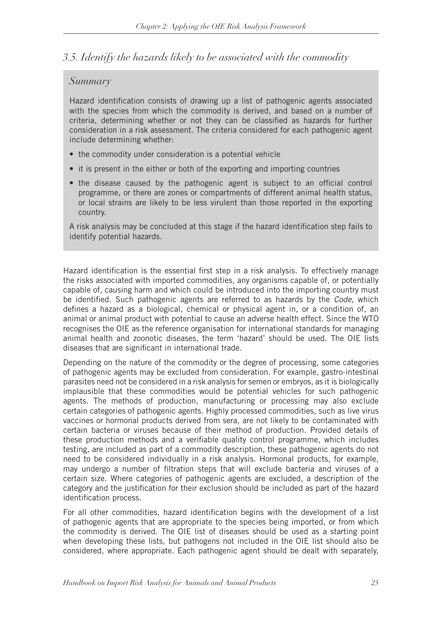# *3.5. Identify the hazards likely to be associated with the commodity*

# *Summary*

Hazard identification consists of drawing up a list of pathogenic agents associated with the species from which the commodity is derived, and based on a number of criteria, determining whether or not they can be classified as hazards for further consideration in a risk assessment. The criteria considered for each pathogenic agent include determining whether:

- the commodity under consideration is a potential vehicle
- it is present in the either or both of the exporting and importing countries
- the disease caused by the pathogenic agent is subject to an official control programme, or there are zones or compartments of different animal health status, or local strains are likely to be less virulent than those reported in the exporting country.

A risk analysis may be concluded at this stage if the hazard identification step fails to identify potential hazards.

Hazard identification is the essential first step in a risk analysis. To effectively manage the risks associated with imported commodities, any organisms capable of, or potentially capable of, causing harm and which could be introduced into the importing country must be identified. Such pathogenic agents are referred to as hazards by the *Code,* which defines a hazard as a biological, chemical or physical agent in, or a condition of, an animal or animal product with potential to cause an adverse health effect. Since the WTO recognises the OIE as the reference organisation for international standards for managing animal health and zoonotic diseases, the term 'hazard' should be used. The OIE lists diseases that are significant in international trade.

Depending on the nature of the commodity or the degree of processing, some categories of pathogenic agents may be excluded from consideration. For example, gastro-intestinal parasites need not be considered in a risk analysis for semen or embryos, as it is biologically implausible that these commodities would be potential vehicles for such pathogenic agents. The methods of production, manufacturing or processing may also exclude certain categories of pathogenic agents. Highly processed commodities, such as live virus vaccines or hormonal products derived from sera, are not likely to be contaminated with certain bacteria or viruses because of their method of production. Provided details of these production methods and a verifiable quality control programme, which includes testing, are included as part of a commodity description, these pathogenic agents do not need to be considered individually in a risk analysis. Hormonal products, for example, may undergo a number of filtration steps that will exclude bacteria and viruses of a certain size. Where categories of pathogenic agents are excluded, a description of the category and the justification for their exclusion should be included as part of the hazard identification process.

For all other commodities, hazard identification begins with the development of a list of pathogenic agents that are appropriate to the species being imported, or from which the commodity is derived. The OIE list of diseases should be used as a starting point when developing these lists, but pathogens not included in the OIE list should also be considered, where appropriate. Each pathogenic agent should be dealt with separately,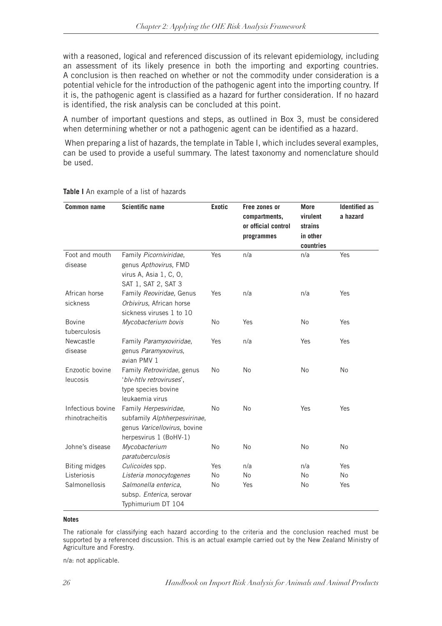with a reasoned, logical and referenced discussion of its relevant epidemiology, including an assessment of its likely presence in both the importing and exporting countries. A conclusion is then reached on whether or not the commodity under consideration is a potential vehicle for the introduction of the pathogenic agent into the importing country. If it is, the pathogenic agent is classified as a hazard for further consideration. If no hazard is identified, the risk analysis can be concluded at this point.

A number of important questions and steps, as outlined in Box 3, must be considered when determining whether or not a pathogenic agent can be identified as a hazard.

 When preparing a list of hazards, the template in Table I, which includes several examples, can be used to provide a useful summary. The latest taxonomy and nomenclature should be used.

| <b>Common name</b>                   | <b>Scientific name</b>                                                                                          | <b>Exotic</b> | Free zones or<br>compartments,<br>or official control<br>programmes | <b>More</b><br>virulent<br>strains<br>in other<br>countries | <b>Identified as</b><br>a hazard |
|--------------------------------------|-----------------------------------------------------------------------------------------------------------------|---------------|---------------------------------------------------------------------|-------------------------------------------------------------|----------------------------------|
| Foot and mouth<br>disease            | Family Picorniviridae,<br>genus Apthovirus, FMD<br>virus A, Asia 1, C, O,<br>SAT 1, SAT 2, SAT 3                | Yes           | n/a                                                                 | n/a                                                         | Yes                              |
| African horse<br>sickness            | Family Reoviridae, Genus<br>Orbivirus, African horse<br>sickness viruses 1 to 10                                | Yes           | n/a                                                                 | n/a                                                         | Yes                              |
| <b>Bovine</b><br>tuberculosis        | Mycobacterium bovis                                                                                             | No            | Yes                                                                 | No                                                          | Yes                              |
| Newcastle<br>disease                 | Family Paramyxoviridae,<br>genus Paramyxovirus,<br>avian PMV 1                                                  | Yes           | n/a                                                                 | Yes                                                         | Yes                              |
| Enzootic bovine<br>leucosis          | Family Retroviridae, genus<br>'blv-htlv retroviruses',<br>type species bovine<br>leukaemia virus                | No            | No                                                                  | No                                                          | <b>No</b>                        |
| Infectious bovine<br>rhinotracheitis | Family Herpesviridae,<br>subfamily Alphherpesvirinae,<br>genus Varicellovirus, bovine<br>herpesvirus 1 (BoHV-1) | No            | No                                                                  | Yes                                                         | Yes                              |
| Johne's disease                      | Mycobacterium<br>paratuberculosis                                                                               | No            | No                                                                  | <b>No</b>                                                   | <b>No</b>                        |
| <b>Biting midges</b>                 | Culicoides spp.                                                                                                 | Yes           | n/a                                                                 | n/a                                                         | Yes                              |
| Listeriosis                          | Listeria monocytogenes                                                                                          | No            | <b>No</b>                                                           | <b>No</b>                                                   | No                               |
| Salmonellosis                        | Salmonella enterica,<br>subsp. Enterica, serovar<br>Typhimurium DT 104                                          | No            | Yes                                                                 | No                                                          | Yes                              |

#### **Table I** An example of a list of hazards

#### **Notes**

The rationale for classifying each hazard according to the criteria and the conclusion reached must be supported by a referenced discussion. This is an actual example carried out by the New Zealand Ministry of Agriculture and Forestry.

n/a: not applicable.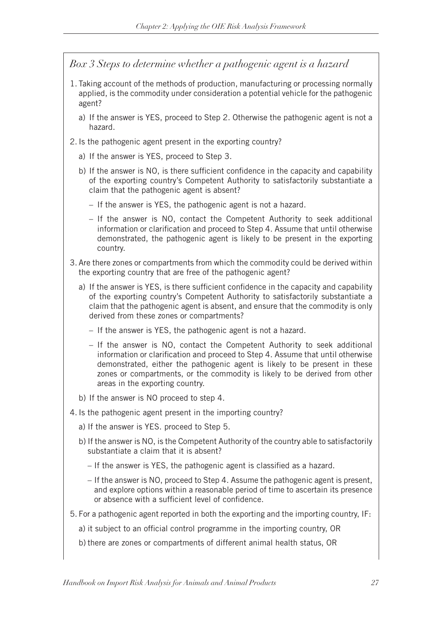*Box 3 Steps to determine whether a pathogenic agent is a hazard*

- 1. Taking account of the methods of production, manufacturing or processing normally applied, is the commodity under consideration a potential vehicle for the pathogenic agent?
	- a) If the answer is YES, proceed to Step 2. Otherwise the pathogenic agent is not a hazard.
- 2. Is the pathogenic agent present in the exporting country?
	- a) If the answer is YES, proceed to Step 3.
	- b) If the answer is NO, is there sufficient confidence in the capacity and capability of the exporting country's Competent Authority to satisfactorily substantiate a claim that the pathogenic agent is absent?
		- If the answer is YES, the pathogenic agent is not a hazard.
		- If the answer is NO, contact the Competent Authority to seek additional information or clarification and proceed to Step 4. Assume that until otherwise demonstrated, the pathogenic agent is likely to be present in the exporting country.
- 3. Are there zones or compartments from which the commodity could be derived within the exporting country that are free of the pathogenic agent?
	- a) If the answer is YES, is there sufficient confidence in the capacity and capability of the exporting country's Competent Authority to satisfactorily substantiate a claim that the pathogenic agent is absent, and ensure that the commodity is only derived from these zones or compartments?
		- If the answer is YES, the pathogenic agent is not a hazard.
		- If the answer is NO, contact the Competent Authority to seek additional information or clarification and proceed to Step 4. Assume that until otherwise demonstrated, either the pathogenic agent is likely to be present in these zones or compartments, or the commodity is likely to be derived from other areas in the exporting country.
	- b) If the answer is NO proceed to step 4.
- 4. Is the pathogenic agent present in the importing country?
	- a) If the answer is YES. proceed to Step 5.
	- b) If the answer is NO, is the Competent Authority of the country able to satisfactorily substantiate a claim that it is absent?
		- If the answer is YES, the pathogenic agent is classified as a hazard.
		- If the answer is NO, proceed to Step 4. Assume the pathogenic agent is present, and explore options within a reasonable period of time to ascertain its presence or absence with a sufficient level of confidence.
- 5. For a pathogenic agent reported in both the exporting and the importing country, IF:
	- a) it subject to an official control programme in the importing country, OR
	- b) there are zones or compartments of different animal health status, OR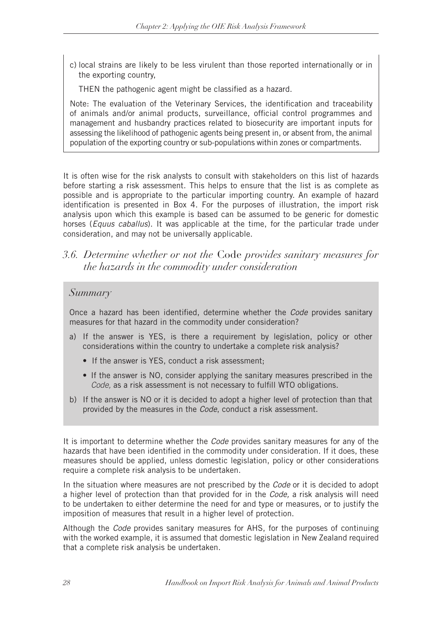c) local strains are likely to be less virulent than those reported internationally or in the exporting country,

THEN the pathogenic agent might be classified as a hazard.

Note: The evaluation of the Veterinary Services, the identification and traceability of animals and/or animal products, surveillance, official control programmes and management and husbandry practices related to biosecurity are important inputs for assessing the likelihood of pathogenic agents being present in, or absent from, the animal population of the exporting country or sub-populations within zones or compartments.

It is often wise for the risk analysts to consult with stakeholders on this list of hazards before starting a risk assessment. This helps to ensure that the list is as complete as possible and is appropriate to the particular importing country. An example of hazard identification is presented in Box 4. For the purposes of illustration, the import risk analysis upon which this example is based can be assumed to be generic for domestic horses (*Equus caballus*). It was applicable at the time, for the particular trade under consideration, and may not be universally applicable.

*3.6. Determine whether or not the* Code *provides sanitary measures for the hazards in the commodity under consideration*

### *Summary*

Once a hazard has been identified, determine whether the *Code* provides sanitary measures for that hazard in the commodity under consideration?

- a) If the answer is YES, is there a requirement by legislation, policy or other considerations within the country to undertake a complete risk analysis?
	- If the answer is YES, conduct a risk assessment:
	- If the answer is NO, consider applying the sanitary measures prescribed in the *Code,* as a risk assessment is not necessary to fulfill WTO obligations.
- b) If the answer is NO or it is decided to adopt a higher level of protection than that provided by the measures in the *Code*, conduct a risk assessment.

It is important to determine whether the *Code* provides sanitary measures for any of the hazards that have been identified in the commodity under consideration. If it does, these measures should be applied, unless domestic legislation, policy or other considerations require a complete risk analysis to be undertaken.

In the situation where measures are not prescribed by the *Code* or it is decided to adopt a higher level of protection than that provided for in the *Code,* a risk analysis will need to be undertaken to either determine the need for and type or measures, or to justify the imposition of measures that result in a higher level of protection.

Although the *Code* provides sanitary measures for AHS, for the purposes of continuing with the worked example, it is assumed that domestic legislation in New Zealand required that a complete risk analysis be undertaken.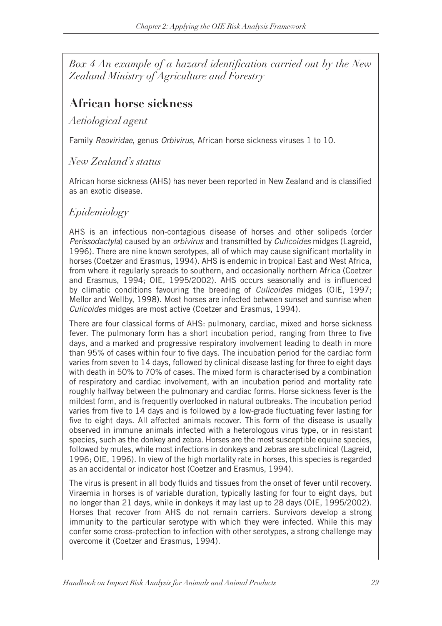*Box 4 An example of a hazard identification carried out by the New Zealand Ministry of Agriculture and Forestry*

# **African horse sickness**

*Aetiological agent*

Family *Reoviridae*, genus *Orbivirus*, African horse sickness viruses 1 to 10.

# *New Zealand's status*

African horse sickness (AHS) has never been reported in New Zealand and is classified as an exotic disease.

# *Epidemiology*

AHS is an infectious non-contagious disease of horses and other solipeds (order *Perissodactyla*) caused by an *orbivirus* and transmitted by *Culicoides* midges (Lagreid, 1996). There are nine known serotypes, all of which may cause significant mortality in horses (Coetzer and Erasmus, 1994). AHS is endemic in tropical East and West Africa, from where it regularly spreads to southern, and occasionally northern Africa (Coetzer and Erasmus, 1994; OIE, 1995/2002). AHS occurs seasonally and is influenced by climatic conditions favouring the breeding of *Culicoides* midges (OIE, 1997; Mellor and Wellby, 1998). Most horses are infected between sunset and sunrise when *Culicoides* midges are most active (Coetzer and Erasmus, 1994).

There are four classical forms of AHS: pulmonary, cardiac, mixed and horse sickness fever. The pulmonary form has a short incubation period, ranging from three to five days, and a marked and progressive respiratory involvement leading to death in more than 95% of cases within four to five days. The incubation period for the cardiac form varies from seven to 14 days, followed by clinical disease lasting for three to eight days with death in 50% to 70% of cases. The mixed form is characterised by a combination of respiratory and cardiac involvement, with an incubation period and mortality rate roughly halfway between the pulmonary and cardiac forms. Horse sickness fever is the mildest form, and is frequently overlooked in natural outbreaks. The incubation period varies from five to 14 days and is followed by a low-grade fluctuating fever lasting for five to eight days. All affected animals recover. This form of the disease is usually observed in immune animals infected with a heterologous virus type, or in resistant species, such as the donkey and zebra. Horses are the most susceptible equine species, followed by mules, while most infections in donkeys and zebras are subclinical (Lagreid, 1996; OIE, 1996). In view of the high mortality rate in horses, this species is regarded as an accidental or indicator host (Coetzer and Erasmus, 1994).

The virus is present in all body fluids and tissues from the onset of fever until recovery. Viraemia in horses is of variable duration, typically lasting for four to eight days, but no longer than 21 days, while in donkeys it may last up to 28 days (OIE, 1995/2002). Horses that recover from AHS do not remain carriers. Survivors develop a strong immunity to the particular serotype with which they were infected. While this may confer some cross-protection to infection with other serotypes, a strong challenge may overcome it (Coetzer and Erasmus, 1994).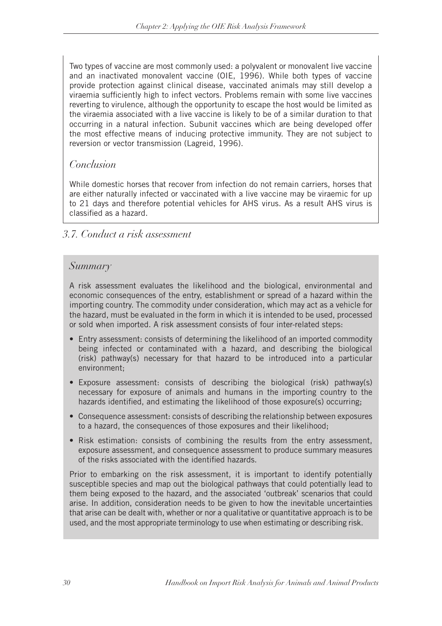Two types of vaccine are most commonly used: a polyvalent or monovalent live vaccine and an inactivated monovalent vaccine (OIE, 1996). While both types of vaccine provide protection against clinical disease, vaccinated animals may still develop a viraemia sufficiently high to infect vectors. Problems remain with some live vaccines reverting to virulence, although the opportunity to escape the host would be limited as the viraemia associated with a live vaccine is likely to be of a similar duration to that occurring in a natural infection. Subunit vaccines which are being developed offer the most effective means of inducing protective immunity. They are not subject to reversion or vector transmission (Lagreid, 1996).

# *Conclusion*

While domestic horses that recover from infection do not remain carriers, horses that are either naturally infected or vaccinated with a live vaccine may be viraemic for up to 21 days and therefore potential vehicles for AHS virus. As a result AHS virus is classified as a hazard.

# *3.7. Conduct a risk assessment*

### *Summary*

A risk assessment evaluates the likelihood and the biological, environmental and economic consequences of the entry, establishment or spread of a hazard within the importing country. The commodity under consideration, which may act as a vehicle for the hazard, must be evaluated in the form in which it is intended to be used, processed or sold when imported. A risk assessment consists of four inter-related steps:

- Entry assessment: consists of determining the likelihood of an imported commodity being infected or contaminated with a hazard, and describing the biological (risk) pathway(s) necessary for that hazard to be introduced into a particular environment;
- Exposure assessment: consists of describing the biological (risk) pathway(s) necessary for exposure of animals and humans in the importing country to the hazards identified, and estimating the likelihood of those exposure(s) occurring;
- Consequence assessment: consists of describing the relationship between exposures to a hazard, the consequences of those exposures and their likelihood;
- Risk estimation: consists of combining the results from the entry assessment, exposure assessment, and consequence assessment to produce summary measures of the risks associated with the identified hazards.

Prior to embarking on the risk assessment, it is important to identify potentially susceptible species and map out the biological pathways that could potentially lead to them being exposed to the hazard, and the associated 'outbreak' scenarios that could arise. In addition, consideration needs to be given to how the inevitable uncertainties that arise can be dealt with, whether or nor a qualitative or quantitative approach is to be used, and the most appropriate terminology to use when estimating or describing risk.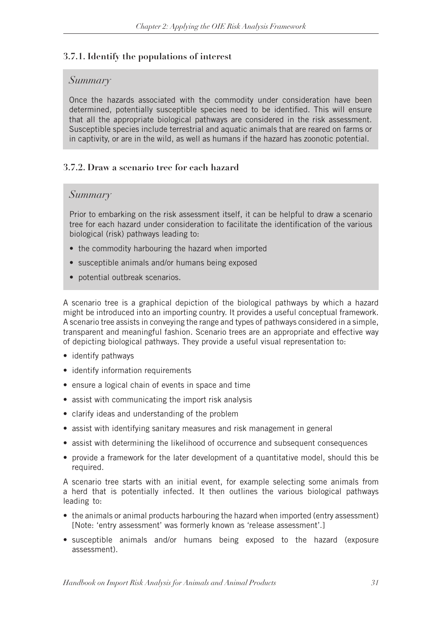### **3.7.1. Identify the populations of interest**

### *Summary*

Once the hazards associated with the commodity under consideration have been determined, potentially susceptible species need to be identified. This will ensure that all the appropriate biological pathways are considered in the risk assessment. Susceptible species include terrestrial and aquatic animals that are reared on farms or in captivity, or are in the wild, as well as humans if the hazard has zoonotic potential.

### **3.7.2. Draw a scenario tree for each hazard**

### *Summary*

Prior to embarking on the risk assessment itself, it can be helpful to draw a scenario tree for each hazard under consideration to facilitate the identification of the various biological (risk) pathways leading to:

- the commodity harbouring the hazard when imported
- susceptible animals and/or humans being exposed
- potential outbreak scenarios.

A scenario tree is a graphical depiction of the biological pathways by which a hazard might be introduced into an importing country. It provides a useful conceptual framework. A scenario tree assists in conveying the range and types of pathways considered in a simple, transparent and meaningful fashion. Scenario trees are an appropriate and effective way of depicting biological pathways. They provide a useful visual representation to:

- identify pathways
- identify information requirements
- ensure a logical chain of events in space and time
- assist with communicating the import risk analysis
- clarify ideas and understanding of the problem
- assist with identifying sanitary measures and risk management in general
- assist with determining the likelihood of occurrence and subsequent consequences
- provide a framework for the later development of a quantitative model, should this be required.

A scenario tree starts with an initial event, for example selecting some animals from a herd that is potentially infected. It then outlines the various biological pathways leading to:

- the animals or animal products harbouring the hazard when imported (entry assessment) [Note: 'entry assessment' was formerly known as 'release assessment'.]
- susceptible animals and/or humans being exposed to the hazard (exposure assessment).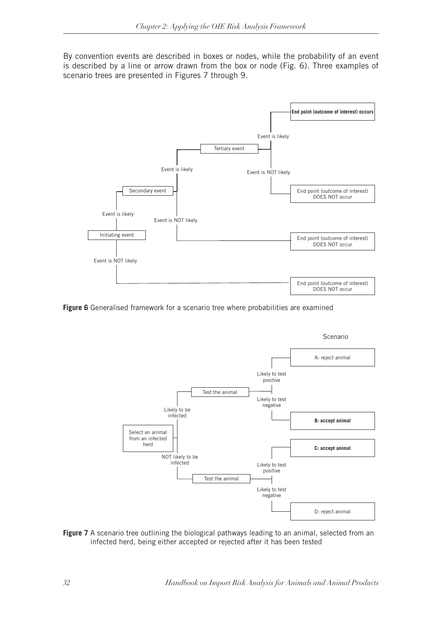By convention events are described in boxes or nodes, while the probability of an event is described by a line or arrow drawn from the box or node (Fig. 6). Three examples of scenario trees are presented in Figures 7 through 9.



**Figure 6** Generalised framework for a scenario tree where probabilities are examined



Figure 7 A scenario tree outlining the biological pathways leading to an animal, selected from an infected herd, being either accepted or rejected after it has been tested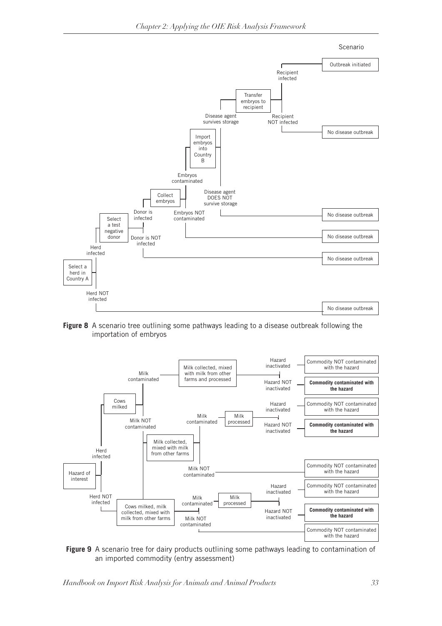

*Chapter 2: Applying the OIE Risk Analysis Framework*

**Figure 8** A scenario tree outlining some pathways leading to a disease outbreak following the importation of embryos



 **Figure 9** A scenario tree for dairy products outlining some pathways leading to contamination of an imported commodity (entry assessment)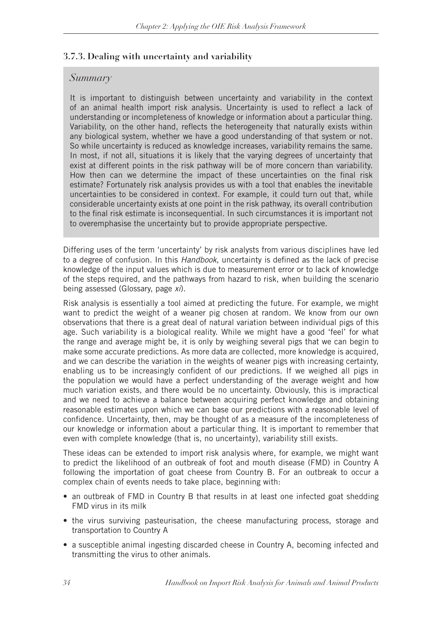### **3.7.3. Dealing with uncertainty and variability**

### *Summary*

It is important to distinguish between uncertainty and variability in the context of an animal health import risk analysis. Uncertainty is used to reflect a lack of understanding or incompleteness of knowledge or information about a particular thing. Variability, on the other hand, reflects the heterogeneity that naturally exists within any biological system, whether we have a good understanding of that system or not. So while uncertainty is reduced as knowledge increases, variability remains the same. In most, if not all, situations it is likely that the varying degrees of uncertainty that exist at different points in the risk pathway will be of more concern than variability. How then can we determine the impact of these uncertainties on the final risk estimate? Fortunately risk analysis provides us with a tool that enables the inevitable uncertainties to be considered in context. For example, it could turn out that, while considerable uncertainty exists at one point in the risk pathway, its overall contribution to the final risk estimate is inconsequential. In such circumstances it is important not to overemphasise the uncertainty but to provide appropriate perspective.

Differing uses of the term 'uncertainty' by risk analysts from various disciplines have led to a degree of confusion. In this *Handbook*, uncertainty is defined as the lack of precise knowledge of the input values which is due to measurement error or to lack of knowledge of the steps required, and the pathways from hazard to risk, when building the scenario being assessed (Glossary, page *xi*).

Risk analysis is essentially a tool aimed at predicting the future. For example, we might want to predict the weight of a weaner pig chosen at random. We know from our own observations that there is a great deal of natural variation between individual pigs of this age. Such variability is a biological reality. While we might have a good 'feel' for what the range and average might be, it is only by weighing several pigs that we can begin to make some accurate predictions. As more data are collected, more knowledge is acquired, and we can describe the variation in the weights of weaner pigs with increasing certainty, enabling us to be increasingly confident of our predictions. If we weighed all pigs in the population we would have a perfect understanding of the average weight and how much variation exists, and there would be no uncertainty. Obviously, this is impractical and we need to achieve a balance between acquiring perfect knowledge and obtaining reasonable estimates upon which we can base our predictions with a reasonable level of confidence. Uncertainty, then, may be thought of as a measure of the incompleteness of our knowledge or information about a particular thing. It is important to remember that even with complete knowledge (that is, no uncertainty), variability still exists.

These ideas can be extended to import risk analysis where, for example, we might want to predict the likelihood of an outbreak of foot and mouth disease (FMD) in Country A following the importation of goat cheese from Country B. For an outbreak to occur a complex chain of events needs to take place, beginning with:

- an outbreak of FMD in Country B that results in at least one infected goat shedding FMD virus in its milk
- the virus surviving pasteurisation, the cheese manufacturing process, storage and transportation to Country A
- a susceptible animal ingesting discarded cheese in Country A, becoming infected and transmitting the virus to other animals.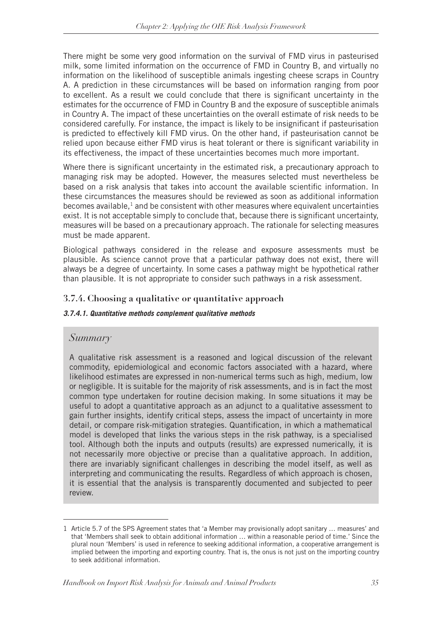There might be some very good information on the survival of FMD virus in pasteurised milk, some limited information on the occurrence of FMD in Country B, and virtually no information on the likelihood of susceptible animals ingesting cheese scraps in Country A. A prediction in these circumstances will be based on information ranging from poor to excellent. As a result we could conclude that there is significant uncertainty in the estimates for the occurrence of FMD in Country B and the exposure of susceptible animals in Country A. The impact of these uncertainties on the overall estimate of risk needs to be considered carefully. For instance, the impact is likely to be insignificant if pasteurisation is predicted to effectively kill FMD virus. On the other hand, if pasteurisation cannot be relied upon because either FMD virus is heat tolerant or there is significant variability in its effectiveness, the impact of these uncertainties becomes much more important.

Where there is significant uncertainty in the estimated risk, a precautionary approach to managing risk may be adopted. However, the measures selected must nevertheless be based on a risk analysis that takes into account the available scientific information. In these circumstances the measures should be reviewed as soon as additional information becomes available, $1$  and be consistent with other measures where equivalent uncertainties exist. It is not acceptable simply to conclude that, because there is significant uncertainty, measures will be based on a precautionary approach. The rationale for selecting measures must be made apparent.

Biological pathways considered in the release and exposure assessments must be plausible. As science cannot prove that a particular pathway does not exist, there will always be a degree of uncertainty. In some cases a pathway might be hypothetical rather than plausible. It is not appropriate to consider such pathways in a risk assessment.

### **3.7.4. Choosing a qualitative or quantitative approach**

#### *3.7.4.1. Quantitative methods complement qualitative methods*

### *Summary*

A qualitative risk assessment is a reasoned and logical discussion of the relevant commodity, epidemiological and economic factors associated with a hazard, where likelihood estimates are expressed in non-numerical terms such as high, medium, low or negligible. It is suitable for the majority of risk assessments, and is in fact the most common type undertaken for routine decision making. In some situations it may be useful to adopt a quantitative approach as an adjunct to a qualitative assessment to gain further insights, identify critical steps, assess the impact of uncertainty in more detail, or compare risk-mitigation strategies. Quantification, in which a mathematical model is developed that links the various steps in the risk pathway, is a specialised tool. Although both the inputs and outputs (results) are expressed numerically, it is not necessarily more objective or precise than a qualitative approach. In addition, there are invariably significant challenges in describing the model itself, as well as interpreting and communicating the results. Regardless of which approach is chosen, it is essential that the analysis is transparently documented and subjected to peer review.

<sup>1</sup> Article 5.7 of the SPS Agreement states that 'a Member may provisionally adopt sanitary … measures' and that 'Members shall seek to obtain additional information … within a reasonable period of time.' Since the plural noun 'Members' is used in reference to seeking additional information, a cooperative arrangement is implied between the importing and exporting country. That is, the onus is not just on the importing country to seek additional information.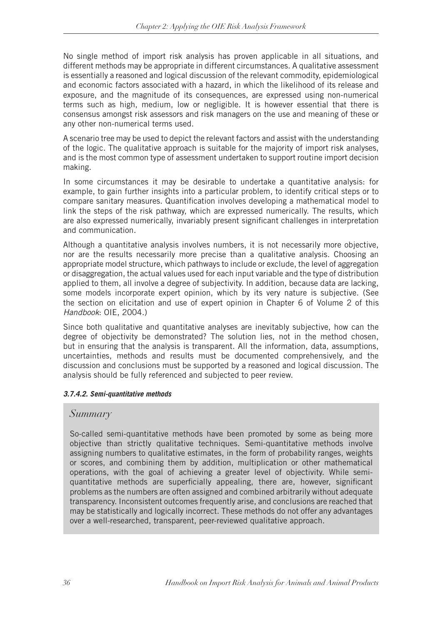No single method of import risk analysis has proven applicable in all situations, and different methods may be appropriate in different circumstances. A qualitative assessment is essentially a reasoned and logical discussion of the relevant commodity, epidemiological and economic factors associated with a hazard, in which the likelihood of its release and exposure, and the magnitude of its consequences, are expressed using non-numerical terms such as high, medium, low or negligible. It is however essential that there is consensus amongst risk assessors and risk managers on the use and meaning of these or any other non-numerical terms used.

A scenario tree may be used to depict the relevant factors and assist with the understanding of the logic. The qualitative approach is suitable for the majority of import risk analyses, and is the most common type of assessment undertaken to support routine import decision making.

In some circumstances it may be desirable to undertake a quantitative analysis: for example, to gain further insights into a particular problem, to identify critical steps or to compare sanitary measures. Quantification involves developing a mathematical model to link the steps of the risk pathway, which are expressed numerically. The results, which are also expressed numerically, invariably present significant challenges in interpretation and communication.

Although a quantitative analysis involves numbers, it is not necessarily more objective, nor are the results necessarily more precise than a qualitative analysis. Choosing an appropriate model structure, which pathways to include or exclude, the level of aggregation or disaggregation, the actual values used for each input variable and the type of distribution applied to them, all involve a degree of subjectivity. In addition, because data are lacking, some models incorporate expert opinion, which by its very nature is subjective. (See the section on elicitation and use of expert opinion in Chapter 6 of Volume 2 of this *Handbook*: OIE, 2004.)

Since both qualitative and quantitative analyses are inevitably subjective, how can the degree of objectivity be demonstrated? The solution lies, not in the method chosen, but in ensuring that the analysis is transparent. All the information, data, assumptions, uncertainties, methods and results must be documented comprehensively, and the discussion and conclusions must be supported by a reasoned and logical discussion. The analysis should be fully referenced and subjected to peer review.

#### *3.7.4.2. Semi-quantitative methods*

### *Summary*

So-called semi-quantitative methods have been promoted by some as being more objective than strictly qualitative techniques. Semi-quantitative methods involve assigning numbers to qualitative estimates, in the form of probability ranges, weights or scores, and combining them by addition, multiplication or other mathematical operations, with the goal of achieving a greater level of objectivity. While semiquantitative methods are superficially appealing, there are, however, significant problems as the numbers are often assigned and combined arbitrarily without adequate transparency. Inconsistent outcomes frequently arise, and conclusions are reached that may be statistically and logically incorrect. These methods do not offer any advantages over a well-researched, transparent, peer-reviewed qualitative approach.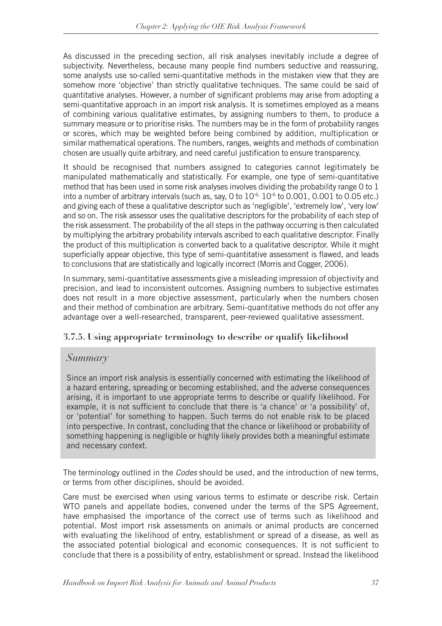As discussed in the preceding section, all risk analyses inevitably include a degree of subjectivity. Nevertheless, because many people find numbers seductive and reassuring, some analysts use so-called semi-quantitative methods in the mistaken view that they are somehow more 'objective' than strictly qualitative techniques. The same could be said of quantitative analyses. However, a number of significant problems may arise from adopting a semi-quantitative approach in an import risk analysis. It is sometimes employed as a means of combining various qualitative estimates, by assigning numbers to them, to produce a summary measure or to prioritise risks. The numbers may be in the form of probability ranges or scores, which may be weighted before being combined by addition, multiplication or similar mathematical operations. The numbers, ranges, weights and methods of combination chosen are usually quite arbitrary, and need careful justification to ensure transparency.

It should be recognised that numbers assigned to categories cannot legitimately be manipulated mathematically and statistically. For example, one type of semi-quantitative method that has been used in some risk analyses involves dividing the probability range 0 to 1 into a number of arbitrary intervals (such as, say, 0 to  $10^{-6}$ ,  $10^{-6}$  to 0.001, 0.001 to 0.05 etc.) and giving each of these a qualitative descriptor such as 'negligible', 'extremely low', 'very low' and so on. The risk assessor uses the qualitative descriptors for the probability of each step of the risk assessment. The probability of the all steps in the pathway occurring is then calculated by multiplying the arbitrary probability intervals ascribed to each qualitative descriptor. Finally the product of this multiplication is converted back to a qualitative descriptor. While it might superficially appear objective, this type of semi-quantitative assessment is flawed, and leads to conclusions that are statistically and logically incorrect (Morris and Cogger, 2006).

In summary, semi-quantitative assessments give a misleading impression of objectivity and precision, and lead to inconsistent outcomes. Assigning numbers to subjective estimates does not result in a more objective assessment, particularly when the numbers chosen and their method of combination are arbitrary. Semi-quantitative methods do not offer any advantage over a well-researched, transparent, peer-reviewed qualitative assessment.

### **3.7.5. Using appropriate terminology to describe or qualify likelihood**

### *Summary*

Since an import risk analysis is essentially concerned with estimating the likelihood of a hazard entering, spreading or becoming established, and the adverse consequences arising, it is important to use appropriate terms to describe or qualify likelihood. For example, it is not sufficient to conclude that there is 'a chance' or 'a possibility' of, or 'potential' for something to happen. Such terms do not enable risk to be placed into perspective. In contrast, concluding that the chance or likelihood or probability of something happening is negligible or highly likely provides both a meaningful estimate and necessary context.

The terminology outlined in the *Codes* should be used, and the introduction of new terms, or terms from other disciplines, should be avoided.

Care must be exercised when using various terms to estimate or describe risk. Certain WTO panels and appellate bodies, convened under the terms of the SPS Agreement, have emphasised the importance of the correct use of terms such as likelihood and potential. Most import risk assessments on animals or animal products are concerned with evaluating the likelihood of entry, establishment or spread of a disease, as well as the associated potential biological and economic consequences. It is not sufficient to conclude that there is a possibility of entry, establishment or spread. Instead the likelihood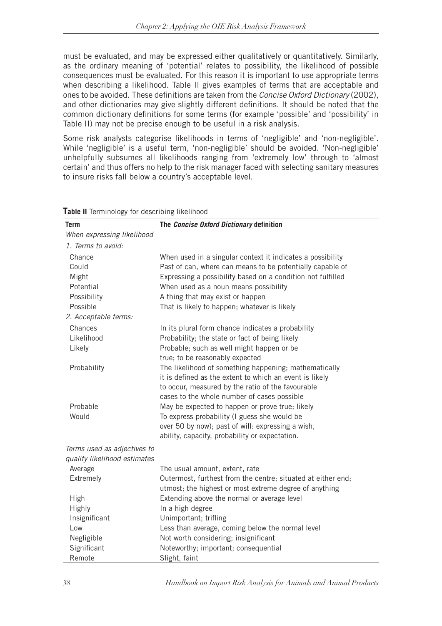must be evaluated, and may be expressed either qualitatively or quantitatively. Similarly, as the ordinary meaning of 'potential' relates to possibility, the likelihood of possible consequences must be evaluated. For this reason it is important to use appropriate terms when describing a likelihood. Table II gives examples of terms that are acceptable and ones to be avoided. These definitions are taken from the *Concise Oxford Dictionary* (2002), and other dictionaries may give slightly different definitions. It should be noted that the common dictionary definitions for some terms (for example 'possible' and 'possibility' in Table II) may not be precise enough to be useful in a risk analysis.

Some risk analysts categorise likelihoods in terms of 'negligible' and 'non-negligible'. While 'negligible' is a useful term, 'non-negligible' should be avoided. 'Non-negligible' unhelpfully subsumes all likelihoods ranging from 'extremely low' through to 'almost certain' and thus offers no help to the risk manager faced with selecting sanitary measures to insure risks fall below a country's acceptable level.

| <b>Term</b>                  | The Concise Oxford Dictionary definition                     |
|------------------------------|--------------------------------------------------------------|
| When expressing likelihood   |                                                              |
| 1. Terms to avoid:           |                                                              |
| Chance                       | When used in a singular context it indicates a possibility   |
| Could                        | Past of can, where can means to be potentially capable of    |
| Might                        | Expressing a possibility based on a condition not fulfilled  |
| Potential                    | When used as a noun means possibility                        |
| Possibility                  | A thing that may exist or happen                             |
| Possible                     | That is likely to happen; whatever is likely                 |
| 2. Acceptable terms:         |                                                              |
| Chances                      | In its plural form chance indicates a probability            |
| Likelihood                   | Probability; the state or fact of being likely               |
| Likely                       | Probable; such as well might happen or be                    |
|                              | true; to be reasonably expected                              |
| Probability                  | The likelihood of something happening; mathematically        |
|                              | it is defined as the extent to which an event is likely      |
|                              | to occur, measured by the ratio of the favourable            |
|                              | cases to the whole number of cases possible                  |
| Probable                     | May be expected to happen or prove true; likely              |
| Would                        | To express probability (I guess she would be                 |
|                              | over 50 by now); past of will: expressing a wish,            |
|                              | ability, capacity, probability or expectation.               |
| Terms used as adjectives to  |                                                              |
| qualify likelihood estimates |                                                              |
| Average                      | The usual amount, extent, rate                               |
| Extremely                    | Outermost, furthest from the centre; situated at either end; |
|                              | utmost; the highest or most extreme degree of anything       |
| High                         | Extending above the normal or average level                  |
| <b>Highly</b>                | In a high degree                                             |
| Insignificant                | Unimportant; trifling                                        |
| Low                          | Less than average, coming below the normal level             |
| Negligible                   | Not worth considering; insignificant                         |
| Significant                  | Noteworthy; important; consequential                         |
| Remote                       | Slight, faint                                                |

**Table II** Terminology for describing likelihood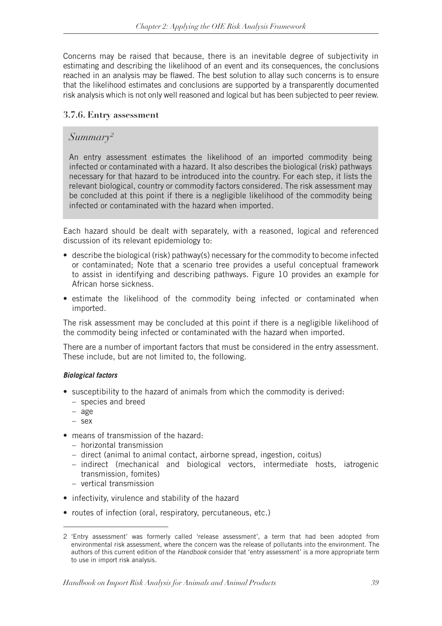Concerns may be raised that because, there is an inevitable degree of subjectivity in estimating and describing the likelihood of an event and its consequences, the conclusions reached in an analysis may be flawed. The best solution to allay such concerns is to ensure that the likelihood estimates and conclusions are supported by a transparently documented risk analysis which is not only well reasoned and logical but has been subjected to peer review.

#### **3.7.6. Entry assessment**

### *Summary2*

An entry assessment estimates the likelihood of an imported commodity being infected or contaminated with a hazard. It also describes the biological (risk) pathways necessary for that hazard to be introduced into the country. For each step, it lists the relevant biological, country or commodity factors considered. The risk assessment may be concluded at this point if there is a negligible likelihood of the commodity being infected or contaminated with the hazard when imported.

Each hazard should be dealt with separately, with a reasoned, logical and referenced discussion of its relevant epidemiology to:

- • describe the biological (risk) pathway(s) necessary for the commodity to become infected or contaminated; Note that a scenario tree provides a useful conceptual framework to assist in identifying and describing pathways. Figure 10 provides an example for African horse sickness.
- estimate the likelihood of the commodity being infected or contaminated when imported.

The risk assessment may be concluded at this point if there is a negligible likelihood of the commodity being infected or contaminated with the hazard when imported.

There are a number of important factors that must be considered in the entry assessment. These include, but are not limited to, the following.

#### *Biological factors*

- susceptibility to the hazard of animals from which the commodity is derived:
	- species and breed
	- age
	- sex
- means of transmission of the hazard:
	- horizontal transmission
	- direct (animal to animal contact, airborne spread, ingestion, coitus)
	- indirect (mechanical and biological vectors, intermediate hosts, iatrogenic transmission, fomites)
	- vertical transmission
- infectivity, virulence and stability of the hazard
- routes of infection (oral, respiratory, percutaneous, etc.)

<sup>2 &#</sup>x27;Entry assessment' was formerly called 'release assessment', a term that had been adopted from environmental risk assessment, where the concern was the release of pollutants into the environment. The authors of this current edition of the *Handbook* consider that 'entry assessment' is a more appropriate term to use in import risk analysis.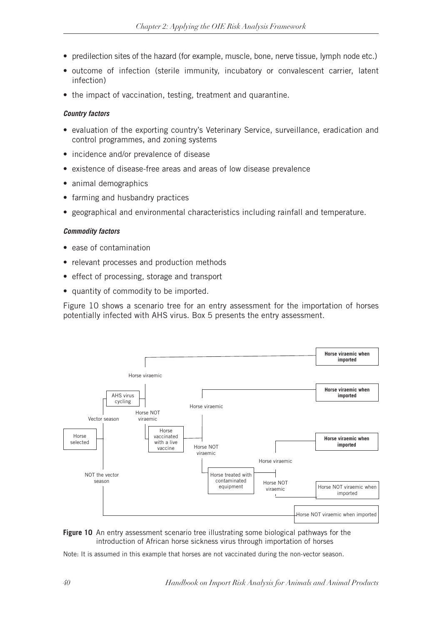- predilection sites of the hazard (for example, muscle, bone, nerve tissue, lymph node etc.)
- outcome of infection (sterile immunity, incubatory or convalescent carrier, latent infection)
- the impact of vaccination, testing, treatment and quarantine.

#### *Country factors*

- evaluation of the exporting country's Veterinary Service, surveillance, eradication and control programmes, and zoning systems
- incidence and/or prevalence of disease
- existence of disease-free areas and areas of low disease prevalence
- animal demographics
- farming and husbandry practices
- geographical and environmental characteristics including rainfall and temperature.

#### *Commodity factors*

- ease of contamination
- relevant processes and production methods
- effect of processing, storage and transport
- • quantity of commodity to be imported.

Figure 10 shows a scenario tree for an entry assessment for the importation of horses potentially infected with AHS virus. Box 5 presents the entry assessment.





Note: It is assumed in this example that horses are not vaccinated during the non-vector season.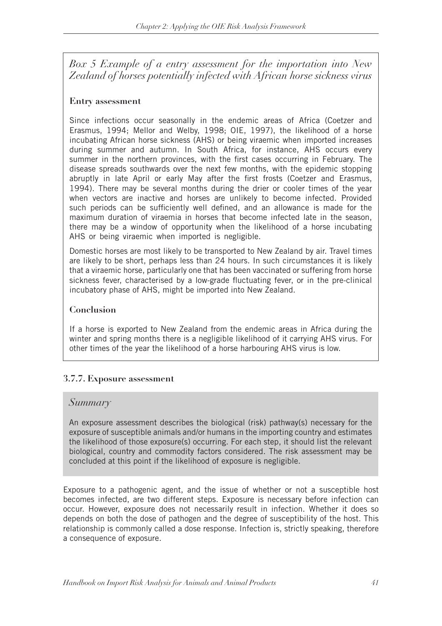*Box 5 Example of a entry assessment for the importation into New Zealand of horses potentially infected with African horse sickness virus*

### **Entry assessment**

Since infections occur seasonally in the endemic areas of Africa (Coetzer and Erasmus, 1994; Mellor and Welby, 1998; OIE, 1997), the likelihood of a horse incubating African horse sickness (AHS) or being viraemic when imported increases during summer and autumn. In South Africa, for instance, AHS occurs every summer in the northern provinces, with the first cases occurring in February. The disease spreads southwards over the next few months, with the epidemic stopping abruptly in late April or early May after the first frosts (Coetzer and Erasmus, 1994). There may be several months during the drier or cooler times of the year when vectors are inactive and horses are unlikely to become infected. Provided such periods can be sufficiently well defined, and an allowance is made for the maximum duration of viraemia in horses that become infected late in the season, there may be a window of opportunity when the likelihood of a horse incubating AHS or being viraemic when imported is negligible.

Domestic horses are most likely to be transported to New Zealand by air. Travel times are likely to be short, perhaps less than 24 hours. In such circumstances it is likely that a viraemic horse, particularly one that has been vaccinated or suffering from horse sickness fever, characterised by a low-grade fluctuating fever, or in the pre-clinical incubatory phase of AHS, might be imported into New Zealand.

### **Conclusion**

If a horse is exported to New Zealand from the endemic areas in Africa during the winter and spring months there is a negligible likelihood of it carrying AHS virus. For other times of the year the likelihood of a horse harbouring AHS virus is low.

### **3.7.7. Exposure assessment**

### *Summary*

An exposure assessment describes the biological (risk) pathway(s) necessary for the exposure of susceptible animals and/or humans in the importing country and estimates the likelihood of those exposure(s) occurring. For each step, it should list the relevant biological, country and commodity factors considered. The risk assessment may be concluded at this point if the likelihood of exposure is negligible.

Exposure to a pathogenic agent, and the issue of whether or not a susceptible host becomes infected, are two different steps. Exposure is necessary before infection can occur. However, exposure does not necessarily result in infection. Whether it does so depends on both the dose of pathogen and the degree of susceptibility of the host. This relationship is commonly called a dose response. Infection is, strictly speaking, therefore a consequence of exposure.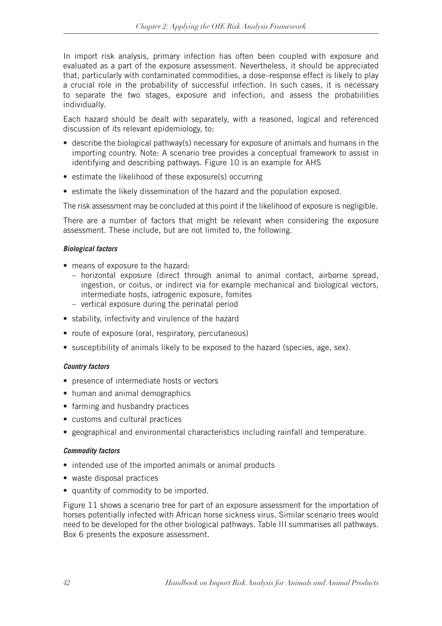In import risk analysis, primary infection has often been coupled with exposure and evaluated as a part of the exposure assessment. Nevertheless, it should be appreciated that, particularly with contaminated commodities, a dose–response effect is likely to play a crucial role in the probability of successful infection. In such cases, it is necessary to separate the two stages, exposure and infection, and assess the probabilities individually.

Each hazard should be dealt with separately, with a reasoned, logical and referenced discussion of its relevant epidemiology, to:

- describe the biological pathway(s) necessary for exposure of animals and humans in the importing country. Note: A scenario tree provides a conceptual framework to assist in identifying and describing pathways. Figure 10 is an example for AHS
- estimate the likelihood of these exposure(s) occurring
- estimate the likely dissemination of the hazard and the population exposed.

The risk assessment may be concluded at this point if the likelihood of exposure is negligible.

There are a number of factors that might be relevant when considering the exposure assessment. These include, but are not limited to, the following.

#### *Biological factors*

- means of exposure to the hazard:
	- horizontal exposure (direct through animal to animal contact, airborne spread, ingestion, or coitus, or indirect via for example mechanical and biological vectors, intermediate hosts, iatrogenic exposure, fomites
	- vertical exposure during the perinatal period
- stability, infectivity and virulence of the hazard
- route of exposure (oral, respiratory, percutaneous)
- susceptibility of animals likely to be exposed to the hazard (species, age, sex).

#### *Country factors*

- presence of intermediate hosts or vectors
- human and animal demographics
- farming and husbandry practices
- customs and cultural practices
- geographical and environmental characteristics including rainfall and temperature.

#### *Commodity factors*

- intended use of the imported animals or animal products
- waste disposal practices
- • quantity of commodity to be imported.

Figure 11 shows a scenario tree for part of an exposure assessment for the importation of horses potentially infected with African horse sickness virus. Similar scenario trees would need to be developed for the other biological pathways. Table III summarises all pathways. Box 6 presents the exposure assessment.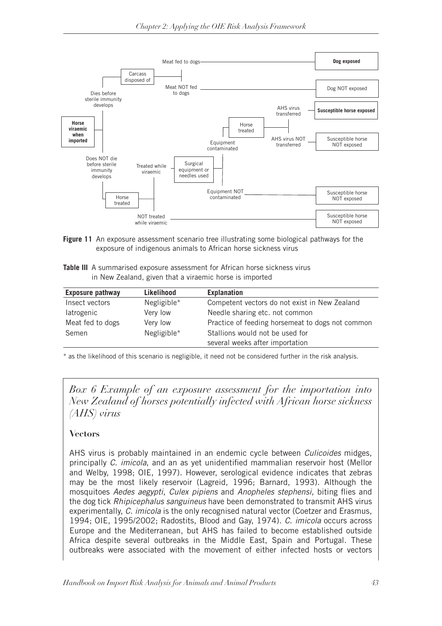

Figure 11 An exposure assessment scenario tree illustrating some biological pathways for the exposure of indigenous animals to African horse sickness virus

**Table III** A summarised exposure assessment for African horse sickness virus in New Zealand, given that a viraemic horse is imported

| Likelihood  | <b>Explanation</b>                               |
|-------------|--------------------------------------------------|
| Negligible* | Competent vectors do not exist in New Zealand    |
| Very low    | Needle sharing etc. not common                   |
| Very low    | Practice of feeding horsemeat to dogs not common |
| Negligible* | Stallions would not be used for                  |
|             | several weeks after importation                  |
|             |                                                  |

\* as the likelihood of this scenario is negligible, it need not be considered further in the risk analysis.

*Box 6 Example of an exposure assessment for the importation into New Zealand of horses potentially infected with African horse sickness (AHS) virus*

### **Vectors**

AHS virus is probably maintained in an endemic cycle between *Culicoides* midges, principally *C. imicola*, and an as yet unidentified mammalian reservoir host (Mellor and Welby, 1998; OIE, 1997). However, serological evidence indicates that zebras may be the most likely reservoir (Lagreid, 1996; Barnard, 1993). Although the mosquitoes *Aedes aegypti*, *Culex pipiens* and *Anopheles stephensi*, biting flies and the dog tick *Rhipicephalus sanguineus* have been demonstrated to transmit AHS virus experimentally, *C. imicola* is the only recognised natural vector (Coetzer and Erasmus, 1994; OIE, 1995/2002; Radostits, Blood and Gay, 1974). *C. imicola* occurs across Europe and the Mediterranean, but AHS has failed to become established outside Africa despite several outbreaks in the Middle East, Spain and Portugal. These outbreaks were associated with the movement of either infected hosts or vectors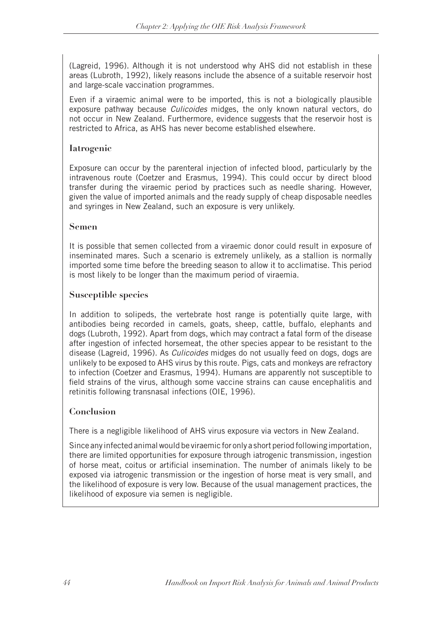(Lagreid, 1996). Although it is not understood why AHS did not establish in these areas (Lubroth, 1992), likely reasons include the absence of a suitable reservoir host and large-scale vaccination programmes.

Even if a viraemic animal were to be imported, this is not a biologically plausible exposure pathway because *Culicoides* midges, the only known natural vectors, do not occur in New Zealand. Furthermore, evidence suggests that the reservoir host is restricted to Africa, as AHS has never become established elsewhere.

### **Iatrogenic**

Exposure can occur by the parenteral injection of infected blood, particularly by the intravenous route (Coetzer and Erasmus, 1994). This could occur by direct blood transfer during the viraemic period by practices such as needle sharing. However, given the value of imported animals and the ready supply of cheap disposable needles and syringes in New Zealand, such an exposure is very unlikely.

### **Semen**

It is possible that semen collected from a viraemic donor could result in exposure of inseminated mares. Such a scenario is extremely unlikely, as a stallion is normally imported some time before the breeding season to allow it to acclimatise. This period is most likely to be longer than the maximum period of viraemia.

### **Susceptible species**

In addition to solipeds, the vertebrate host range is potentially quite large, with antibodies being recorded in camels, goats, sheep, cattle, buffalo, elephants and dogs (Lubroth, 1992). Apart from dogs, which may contract a fatal form of the disease after ingestion of infected horsemeat, the other species appear to be resistant to the disease (Lagreid, 1996). As *Culicoides* midges do not usually feed on dogs, dogs are unlikely to be exposed to AHS virus by this route. Pigs, cats and monkeys are refractory to infection (Coetzer and Erasmus, 1994). Humans are apparently not susceptible to field strains of the virus, although some vaccine strains can cause encephalitis and retinitis following transnasal infections (OIE, 1996).

### **Conclusion**

There is a negligible likelihood of AHS virus exposure via vectors in New Zealand.

Since any infected animal would be viraemic for only a short period following importation, there are limited opportunities for exposure through iatrogenic transmission, ingestion of horse meat, coitus or artificial insemination. The number of animals likely to be exposed via iatrogenic transmission or the ingestion of horse meat is very small, and the likelihood of exposure is very low. Because of the usual management practices, the likelihood of exposure via semen is negligible.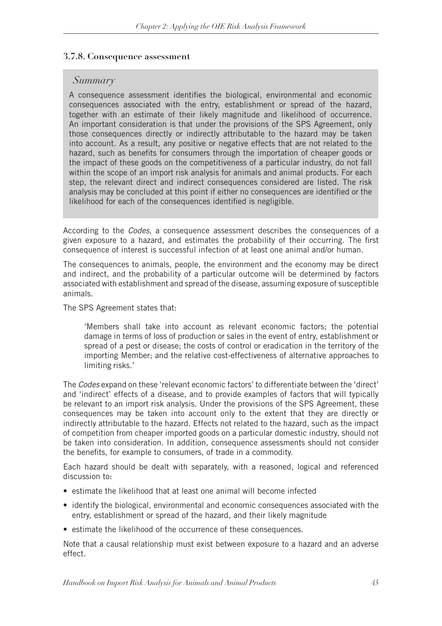#### **3.7.8. Consequence assessment**

### *Summary*

A consequence assessment identifies the biological, environmental and economic consequences associated with the entry, establishment or spread of the hazard, together with an estimate of their likely magnitude and likelihood of occurrence. An important consideration is that under the provisions of the SPS Agreement, only those consequences directly or indirectly attributable to the hazard may be taken into account. As a result, any positive or negative effects that are not related to the hazard, such as benefits for consumers through the importation of cheaper goods or the impact of these goods on the competitiveness of a particular industry, do not fall within the scope of an import risk analysis for animals and animal products. For each step, the relevant direct and indirect consequences considered are listed. The risk analysis may be concluded at this point if either no consequences are identified or the likelihood for each of the consequences identified is negligible.

According to the *Codes*, a consequence assessment describes the consequences of a given exposure to a hazard, and estimates the probability of their occurring. The first consequence of interest is successful infection of at least one animal and/or human.

The consequences to animals, people, the environment and the economy may be direct and indirect, and the probability of a particular outcome will be determined by factors associated with establishment and spread of the disease, assuming exposure of susceptible animals.

The SPS Agreement states that:

'Members shall take into account as relevant economic factors; the potential damage in terms of loss of production or sales in the event of entry, establishment or spread of a pest or disease; the costs of control or eradication in the territory of the importing Member; and the relative cost-effectiveness of alternative approaches to limiting risks.'

The *Codes* expand on these 'relevant economic factors' to differentiate between the 'direct' and 'indirect' effects of a disease, and to provide examples of factors that will typically be relevant to an import risk analysis. Under the provisions of the SPS Agreement, these consequences may be taken into account only to the extent that they are directly or indirectly attributable to the hazard. Effects not related to the hazard, such as the impact of competition from cheaper imported goods on a particular domestic industry, should not be taken into consideration. In addition, consequence assessments should not consider the benefits, for example to consumers, of trade in a commodity.

Each hazard should be dealt with separately, with a reasoned, logical and referenced discussion to:

- estimate the likelihood that at least one animal will become infected
- identify the biological, environmental and economic consequences associated with the entry, establishment or spread of the hazard, and their likely magnitude
- estimate the likelihood of the occurrence of these consequences.

Note that a causal relationship must exist between exposure to a hazard and an adverse effect.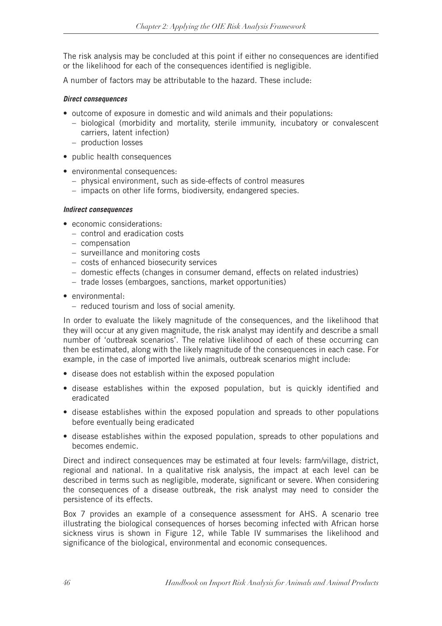The risk analysis may be concluded at this point if either no consequences are identified or the likelihood for each of the consequences identified is negligible.

A number of factors may be attributable to the hazard. These include:

#### *Direct consequences*

- outcome of exposure in domestic and wild animals and their populations:
	- biological (morbidity and mortality, sterile immunity, incubatory or convalescent carriers, latent infection)
	- production losses
- public health consequences
- environmental consequences:
	- physical environment, such as side-effects of control measures
	- impacts on other life forms, biodiversity, endangered species.

#### *Indirect consequences*

- economic considerations:
	- control and eradication costs
	- compensation
	- surveillance and monitoring costs
	- costs of enhanced biosecurity services
	- domestic effects (changes in consumer demand, effects on related industries)
	- trade losses (embargoes, sanctions, market opportunities)
- environmental:
	- reduced tourism and loss of social amenity.

In order to evaluate the likely magnitude of the consequences, and the likelihood that they will occur at any given magnitude, the risk analyst may identify and describe a small number of 'outbreak scenarios'. The relative likelihood of each of these occurring can then be estimated, along with the likely magnitude of the consequences in each case. For example, in the case of imported live animals, outbreak scenarios might include:

- disease does not establish within the exposed population
- disease establishes within the exposed population, but is quickly identified and eradicated
- disease establishes within the exposed population and spreads to other populations before eventually being eradicated
- disease establishes within the exposed population, spreads to other populations and becomes endemic.

Direct and indirect consequences may be estimated at four levels: farm/village, district, regional and national. In a qualitative risk analysis, the impact at each level can be described in terms such as negligible, moderate, significant or severe. When considering the consequences of a disease outbreak, the risk analyst may need to consider the persistence of its effects.

Box 7 provides an example of a consequence assessment for AHS. A scenario tree illustrating the biological consequences of horses becoming infected with African horse sickness virus is shown in Figure 12, while Table IV summarises the likelihood and significance of the biological, environmental and economic consequences.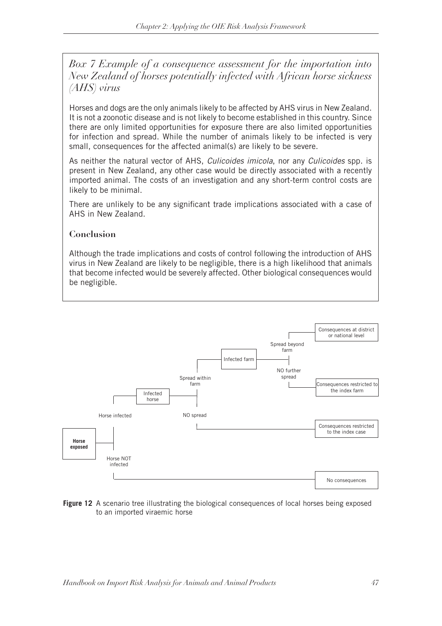*Box 7 Example of a consequence assessment for the importation into New Zealand of horses potentially infected with African horse sickness (AHS) virus*

Horses and dogs are the only animals likely to be affected by AHS virus in New Zealand. It is not a zoonotic disease and is not likely to become established in this country. Since there are only limited opportunities for exposure there are also limited opportunities for infection and spread. While the number of animals likely to be infected is very small, consequences for the affected animal(s) are likely to be severe.

As neither the natural vector of AHS, *Culicoides imicola*, nor any *Culicoides* spp. is present in New Zealand, any other case would be directly associated with a recently imported animal. The costs of an investigation and any short-term control costs are likely to be minimal.

There are unlikely to be any significant trade implications associated with a case of AHS in New Zealand.

#### **Conclusion**

Although the trade implications and costs of control following the introduction of AHS virus in New Zealand are likely to be negligible, there is a high likelihood that animals that become infected would be severely affected. Other biological consequences would be negligible.



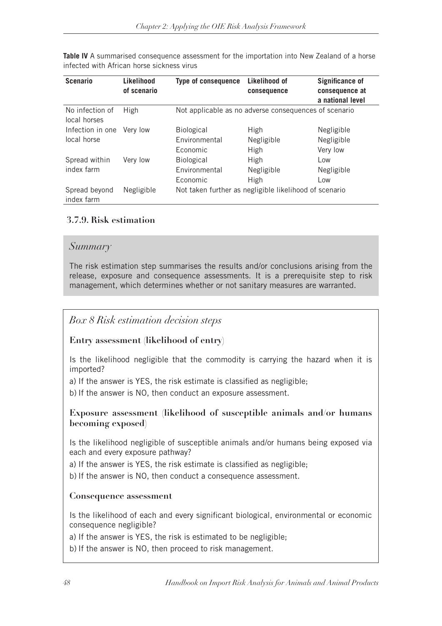**Table IV** A summarised consequence assessment for the importation into New Zealand of a horse infected with African horse sickness virus

| <b>Scenario</b>                 | Likelihood<br>of scenario | <b>Type of consequence</b> | Likelihood of<br>consequence                           | <b>Significance of</b><br>consequence at<br>a national level |
|---------------------------------|---------------------------|----------------------------|--------------------------------------------------------|--------------------------------------------------------------|
| No infection of<br>local horses | <b>High</b>               |                            | Not applicable as no adverse consequences of scenario  |                                                              |
| Infection in one                | Very low                  | <b>Biological</b>          | <b>High</b>                                            | Negligible                                                   |
| local horse                     |                           | <b>Fnvironmental</b>       | Negligible                                             | Negligible                                                   |
|                                 |                           | <b>Economic</b>            | <b>High</b>                                            | Very low                                                     |
| Spread within                   | Very low                  | <b>Biological</b>          | <b>High</b>                                            | Low                                                          |
| index farm                      |                           | Environmental              | Negligible                                             | Negligible                                                   |
|                                 |                           | Economic                   | <b>High</b>                                            | Low                                                          |
| Spread beyond<br>index farm     | Negligible                |                            | Not taken further as negligible likelihood of scenario |                                                              |

### **3.7.9. Risk estimation**

### *Summary*

The risk estimation step summarises the results and/or conclusions arising from the release, exposure and consequence assessments. It is a prerequisite step to risk management, which determines whether or not sanitary measures are warranted.

# *Box 8 Risk estimation decision steps*

### **Entry assessment (likelihood of entry)**

Is the likelihood negligible that the commodity is carrying the hazard when it is imported?

a) If the answer is YES, the risk estimate is classified as negligible;

b) If the answer is NO, then conduct an exposure assessment.

### **Exposure assessment (likelihood of susceptible animals and/or humans becoming exposed)**

Is the likelihood negligible of susceptible animals and/or humans being exposed via each and every exposure pathway?

a) If the answer is YES, the risk estimate is classified as negligible;

b) If the answer is NO, then conduct a consequence assessment.

### **Consequence assessment**

Is the likelihood of each and every significant biological, environmental or economic consequence negligible?

a) If the answer is YES, the risk is estimated to be negligible;

b) If the answer is NO, then proceed to risk management.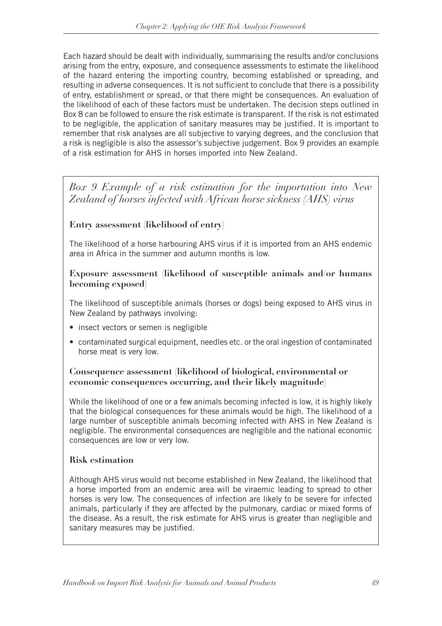Each hazard should be dealt with individually, summarising the results and/or conclusions arising from the entry, exposure, and consequence assessments to estimate the likelihood of the hazard entering the importing country, becoming established or spreading, and resulting in adverse consequences. It is not sufficient to conclude that there is a possibility of entry, establishment or spread, or that there might be consequences. An evaluation of the likelihood of each of these factors must be undertaken. The decision steps outlined in Box 8 can be followed to ensure the risk estimate is transparent. If the risk is not estimated to be negligible, the application of sanitary measures may be justified. It is important to remember that risk analyses are all subjective to varying degrees, and the conclusion that a risk is negligible is also the assessor's subjective judgement. Box 9 provides an example of a risk estimation for AHS in horses imported into New Zealand.

*Box 9 Example of a risk estimation for the importation into New Zealand of horses infected with African horse sickness (AHS) virus*

### **Entry assessment (likelihood of entry)**

The likelihood of a horse harbouring AHS virus if it is imported from an AHS endemic area in Africa in the summer and autumn months is low.

### **Exposure assessment (likelihood of susceptible animals and/or humans becoming exposed)**

The likelihood of susceptible animals (horses or dogs) being exposed to AHS virus in New Zealand by pathways involving:

- insect vectors or semen is negligible
- contaminated surgical equipment, needles etc. or the oral ingestion of contaminated horse meat is very low.

### **Consequence assessment (likelihood of biological, environmental or economic consequences occurring, and their likely magnitude)**

While the likelihood of one or a few animals becoming infected is low, it is highly likely that the biological consequences for these animals would be high. The likelihood of a large number of susceptible animals becoming infected with AHS in New Zealand is negligible. The environmental consequences are negligible and the national economic consequences are low or very low.

### **Risk estimation**

Although AHS virus would not become established in New Zealand, the likelihood that a horse imported from an endemic area will be viraemic leading to spread to other horses is very low. The consequences of infection are likely to be severe for infected animals, particularly if they are affected by the pulmonary, cardiac or mixed forms of the disease. As a result, the risk estimate for AHS virus is greater than negligible and sanitary measures may be justified.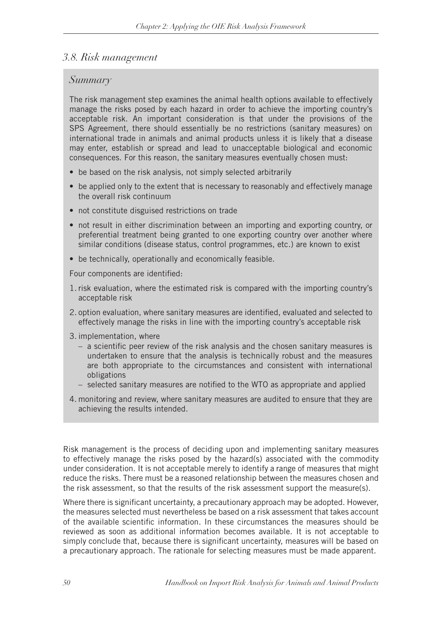### *3.8. Risk management*

### *Summary*

The risk management step examines the animal health options available to effectively manage the risks posed by each hazard in order to achieve the importing country's acceptable risk. An important consideration is that under the provisions of the SPS Agreement, there should essentially be no restrictions (sanitary measures) on international trade in animals and animal products unless it is likely that a disease may enter, establish or spread and lead to unacceptable biological and economic consequences. For this reason, the sanitary measures eventually chosen must:

- be based on the risk analysis, not simply selected arbitrarily
- be applied only to the extent that is necessary to reasonably and effectively manage the overall risk continuum
- not constitute disguised restrictions on trade
- not result in either discrimination between an importing and exporting country, or preferential treatment being granted to one exporting country over another where similar conditions (disease status, control programmes, etc.) are known to exist
- be technically, operationally and economically feasible.

Four components are identified:

- 1. risk evaluation, where the estimated risk is compared with the importing country's acceptable risk
- 2. option evaluation, where sanitary measures are identified, evaluated and selected to effectively manage the risks in line with the importing country's acceptable risk
- 3. implementation, where
	- a scientific peer review of the risk analysis and the chosen sanitary measures is undertaken to ensure that the analysis is technically robust and the measures are both appropriate to the circumstances and consistent with international obligations
	- selected sanitary measures are notified to the WTO as appropriate and applied
- 4. monitoring and review, where sanitary measures are audited to ensure that they are achieving the results intended.

Risk management is the process of deciding upon and implementing sanitary measures to effectively manage the risks posed by the hazard(s) associated with the commodity under consideration. It is not acceptable merely to identify a range of measures that might reduce the risks. There must be a reasoned relationship between the measures chosen and the risk assessment, so that the results of the risk assessment support the measure(s).

Where there is significant uncertainty, a precautionary approach may be adopted. However, the measures selected must nevertheless be based on a risk assessment that takes account of the available scientific information. In these circumstances the measures should be reviewed as soon as additional information becomes available. It is not acceptable to simply conclude that, because there is significant uncertainty, measures will be based on a precautionary approach. The rationale for selecting measures must be made apparent.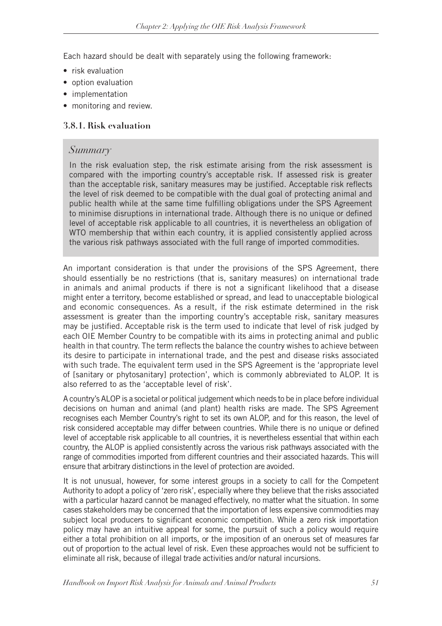Each hazard should be dealt with separately using the following framework:

- $\bullet$  risk evaluation
- option evaluation
- implementation
- monitoring and review.

### **3.8.1. Risk evaluation**

### *Summary*

In the risk evaluation step, the risk estimate arising from the risk assessment is compared with the importing country's acceptable risk. If assessed risk is greater than the acceptable risk, sanitary measures may be justified. Acceptable risk reflects the level of risk deemed to be compatible with the dual goal of protecting animal and public health while at the same time fulfilling obligations under the SPS Agreement to minimise disruptions in international trade*.* Although there is no unique or defined level of acceptable risk applicable to all countries, it is nevertheless an obligation of WTO membership that within each country, it is applied consistently applied across the various risk pathways associated with the full range of imported commodities.

An important consideration is that under the provisions of the SPS Agreement, there should essentially be no restrictions (that is, sanitary measures) on international trade in animals and animal products if there is not a significant likelihood that a disease might enter a territory, become established or spread, and lead to unacceptable biological and economic consequences. As a result, if the risk estimate determined in the risk assessment is greater than the importing country's acceptable risk, sanitary measures may be justified. Acceptable risk is the term used to indicate that level of risk judged by each OIE Member Country to be compatible with its aims in protecting animal and public health in that country. The term reflects the balance the country wishes to achieve between its desire to participate in international trade, and the pest and disease risks associated with such trade. The equivalent term used in the SPS Agreement is the 'appropriate level of [sanitary or phytosanitary] protection', which is commonly abbreviated to ALOP. It is also referred to as the 'acceptable level of risk'.

A country's ALOP is a societal or political judgement which needs to be in place before individual decisions on human and animal (and plant) health risks are made. The SPS Agreement recognises each Member Country's right to set its own ALOP, and for this reason, the level of risk considered acceptable may differ between countries. While there is no unique or defined level of acceptable risk applicable to all countries, it is nevertheless essential that within each country, the ALOP is applied consistently across the various risk pathways associated with the range of commodities imported from different countries and their associated hazards. This will ensure that arbitrary distinctions in the level of protection are avoided.

It is not unusual, however, for some interest groups in a society to call for the Competent Authority to adopt a policy of 'zero risk', especially where they believe that the risks associated with a particular hazard cannot be managed effectively, no matter what the situation. In some cases stakeholders may be concerned that the importation of less expensive commodities may subject local producers to significant economic competition. While a zero risk importation policy may have an intuitive appeal for some, the pursuit of such a policy would require either a total prohibition on all imports, or the imposition of an onerous set of measures far out of proportion to the actual level of risk. Even these approaches would not be sufficient to eliminate all risk, because of illegal trade activities and/or natural incursions.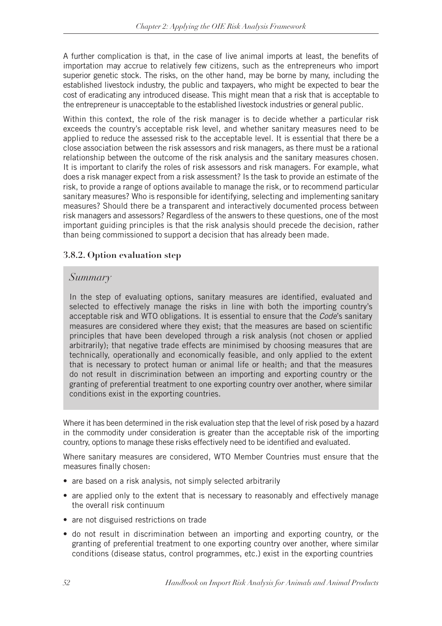A further complication is that, in the case of live animal imports at least, the benefits of importation may accrue to relatively few citizens, such as the entrepreneurs who import superior genetic stock. The risks, on the other hand, may be borne by many, including the established livestock industry, the public and taxpayers, who might be expected to bear the cost of eradicating any introduced disease. This might mean that a risk that is acceptable to the entrepreneur is unacceptable to the established livestock industries or general public.

Within this context, the role of the risk manager is to decide whether a particular risk exceeds the country's acceptable risk level, and whether sanitary measures need to be applied to reduce the assessed risk to the acceptable level. It is essential that there be a close association between the risk assessors and risk managers, as there must be a rational relationship between the outcome of the risk analysis and the sanitary measures chosen. It is important to clarify the roles of risk assessors and risk managers. For example, what does a risk manager expect from a risk assessment? Is the task to provide an estimate of the risk, to provide a range of options available to manage the risk, or to recommend particular sanitary measures? Who is responsible for identifying, selecting and implementing sanitary measures? Should there be a transparent and interactively documented process between risk managers and assessors? Regardless of the answers to these questions, one of the most important guiding principles is that the risk analysis should precede the decision, rather than being commissioned to support a decision that has already been made.

### **3.8.2. Option evaluation step**

### *Summary*

In the step of evaluating options, sanitary measures are identified, evaluated and selected to effectively manage the risks in line with both the importing country's acceptable risk and WTO obligations. It is essential to ensure that the *Code*'s sanitary measures are considered where they exist; that the measures are based on scientific principles that have been developed through a risk analysis (not chosen or applied arbitrarily); that negative trade effects are minimised by choosing measures that are technically, operationally and economically feasible, and only applied to the extent that is necessary to protect human or animal life or health; and that the measures do not result in discrimination between an importing and exporting country or the granting of preferential treatment to one exporting country over another, where similar conditions exist in the exporting countries.

Where it has been determined in the risk evaluation step that the level of risk posed by a hazard in the commodity under consideration is greater than the acceptable risk of the importing country, options to manage these risks effectively need to be identified and evaluated.

Where sanitary measures are considered, WTO Member Countries must ensure that the measures finally chosen:

- are based on a risk analysis, not simply selected arbitrarily
- are applied only to the extent that is necessary to reasonably and effectively manage the overall risk continuum
- are not disguised restrictions on trade
- do not result in discrimination between an importing and exporting country, or the granting of preferential treatment to one exporting country over another, where similar conditions (disease status, control programmes, etc.) exist in the exporting countries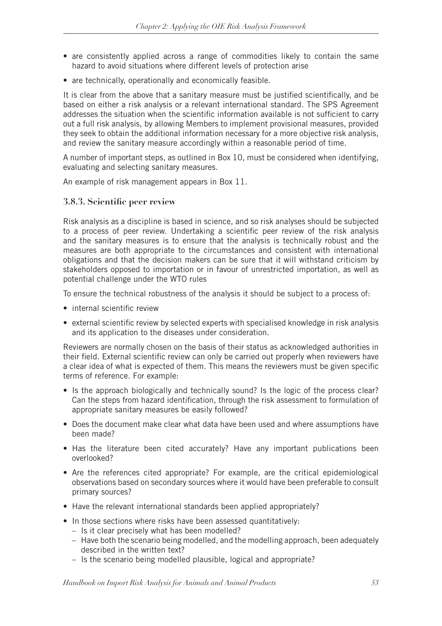- are consistently applied across a range of commodities likely to contain the same hazard to avoid situations where different levels of protection arise
- are technically, operationally and economically feasible.

It is clear from the above that a sanitary measure must be justified scientifically, and be based on either a risk analysis or a relevant international standard. The SPS Agreement addresses the situation when the scientific information available is not sufficient to carry out a full risk analysis, by allowing Members to implement provisional measures, provided they seek to obtain the additional information necessary for a more objective risk analysis, and review the sanitary measure accordingly within a reasonable period of time.

A number of important steps, as outlined in Box 10, must be considered when identifying, evaluating and selecting sanitary measures.

An example of risk management appears in Box 11.

### **3.8.3. Scientific peer review**

Risk analysis as a discipline is based in science, and so risk analyses should be subjected to a process of peer review. Undertaking a scientific peer review of the risk analysis and the sanitary measures is to ensure that the analysis is technically robust and the measures are both appropriate to the circumstances and consistent with international obligations and that the decision makers can be sure that it will withstand criticism by stakeholders opposed to importation or in favour of unrestricted importation, as well as potential challenge under the WTO rules

To ensure the technical robustness of the analysis it should be subject to a process of:

- internal scientific review
- external scientific review by selected experts with specialised knowledge in risk analysis and its application to the diseases under consideration.

Reviewers are normally chosen on the basis of their status as acknowledged authorities in their field. External scientific review can only be carried out properly when reviewers have a clear idea of what is expected of them. This means the reviewers must be given specific terms of reference. For example:

- Is the approach biologically and technically sound? Is the logic of the process clear? Can the steps from hazard identification, through the risk assessment to formulation of appropriate sanitary measures be easily followed?
- Does the document make clear what data have been used and where assumptions have been made?
- Has the literature been cited accurately? Have any important publications been overlooked?
- Are the references cited appropriate? For example, are the critical epidemiological observations based on secondary sources where it would have been preferable to consult primary sources?
- Have the relevant international standards been applied appropriately?
- In those sections where risks have been assessed quantitatively:
	- Is it clear precisely what has been modelled?
	- Have both the scenario being modelled, and the modelling approach, been adequately described in the written text?
	- Is the scenario being modelled plausible, logical and appropriate?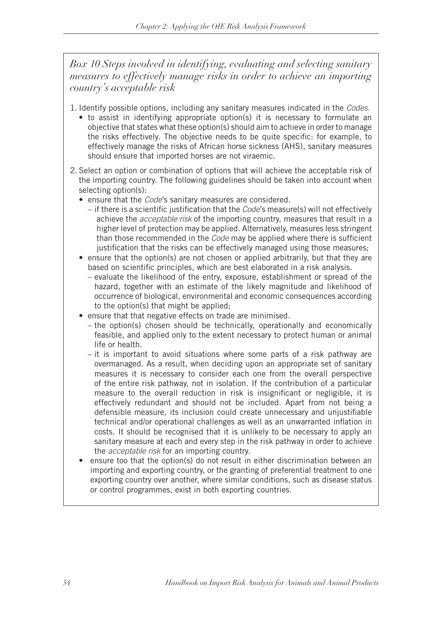*Box 10 Steps involved in identifying, evaluating and selecting sanitary measures to effectively manage risks in order to achieve an importing country's acceptable risk*

- 1. Identify possible options, including any sanitary measures indicated in the *Codes.*
	- to assist in identifying appropriate option(s) it is necessary to formulate an objective that states what these option(s) should aim to achieve in order to manage the risks effectively. The objective needs to be quite specific: for example, to effectively manage the risks of African horse sickness (AHS), sanitary measures should ensure that imported horses are not viraemic.
- 2. Select an option or combination of options that will achieve the acceptable risk of the importing country. The following guidelines should be taken into account when selecting option(s):
	- ensure that the *Code*'s sanitary measures are considered.
		- if there is a scientific justification that the *Code*'s measure(s) will not effectively achieve the *acceptable risk* of the importing country, measures that result in a higher level of protection may be applied. Alternatively, measures less stringent than those recommended in the *Code* may be applied where there is sufficient justification that the risks can be effectively managed using those measures;
	- ensure that the option(s) are not chosen or applied arbitrarily, but that they are based on scientific principles, which are best elaborated in a risk analysis.
		- evaluate the likelihood of the entry, exposure, establishment or spread of the hazard, together with an estimate of the likely magnitude and likelihood of occurrence of biological, environmental and economic consequences according to the option(s) that might be applied;
	- ensure that that negative effects on trade are minimised.
		- the option(s) chosen should be technically, operationally and economically feasible, and applied only to the extent necessary to protect human or animal life or health.
		- it is important to avoid situations where some parts of a risk pathway are overmanaged. As a result, when deciding upon an appropriate set of sanitary measures it is necessary to consider each one from the overall perspective of the entire risk pathway, not in isolation. If the contribution of a particular measure to the overall reduction in risk is insignificant or negligible, it is effectively redundant and should not be included. Apart from not being a defensible measure, its inclusion could create unnecessary and unjustifiable technical and/or operational challenges as well as an unwarranted inflation in costs. It should be recognised that it is unlikely to be necessary to apply an sanitary measure at each and every step in the risk pathway in order to achieve the *acceptable risk* for an importing country.
	- ensure too that the option(s) do not result in either discrimination between an importing and exporting country, or the granting of preferential treatment to one exporting country over another, where similar conditions, such as disease status or control programmes, exist in both exporting countries.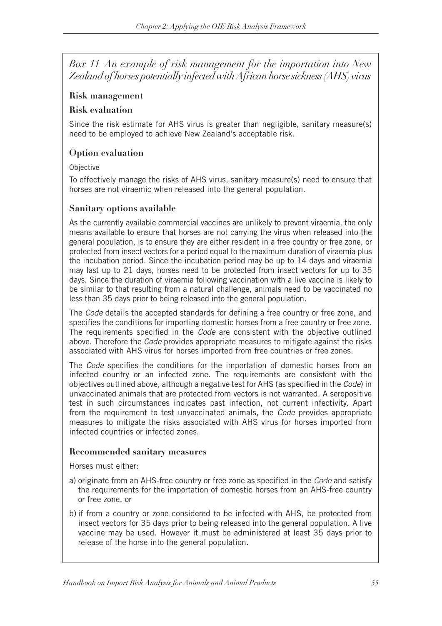*Box 11 An example of risk management for the importation into New Zealand of horses potentially infected with African horse sickness (AHS) virus*

### **Risk management**

### **Risk evaluation**

Since the risk estimate for AHS virus is greater than negligible, sanitary measure(s) need to be employed to achieve New Zealand's acceptable risk.

### **Option evaluation**

### Objective

To effectively manage the risks of AHS virus, sanitary measure(s) need to ensure that horses are not viraemic when released into the general population.

### **Sanitary options available**

As the currently available commercial vaccines are unlikely to prevent viraemia, the only means available to ensure that horses are not carrying the virus when released into the general population, is to ensure they are either resident in a free country or free zone, or protected from insect vectors for a period equal to the maximum duration of viraemia plus the incubation period. Since the incubation period may be up to 14 days and viraemia may last up to 21 days, horses need to be protected from insect vectors for up to 35 days. Since the duration of viraemia following vaccination with a live vaccine is likely to be similar to that resulting from a natural challenge, animals need to be vaccinated no less than 35 days prior to being released into the general population.

The *Code* details the accepted standards for defining a free country or free zone, and specifies the conditions for importing domestic horses from a free country or free zone. The requirements specified in the *Code* are consistent with the objective outlined above. Therefore the *Code* provides appropriate measures to mitigate against the risks associated with AHS virus for horses imported from free countries or free zones.

The *Code* specifies the conditions for the importation of domestic horses from an infected country or an infected zone. The requirements are consistent with the objectives outlined above, although a negative test for AHS (as specified in the *Code*) in unvaccinated animals that are protected from vectors is not warranted. A seropositive test in such circumstances indicates past infection, not current infectivity. Apart from the requirement to test unvaccinated animals, the *Code* provides appropriate measures to mitigate the risks associated with AHS virus for horses imported from infected countries or infected zones.

### **Recommended sanitary measures**

Horses must either:

- a) originate from an AHS-free country or free zone as specified in the *Code* and satisfy the requirements for the importation of domestic horses from an AHS-free country or free zone, or
- b) if from a country or zone considered to be infected with AHS, be protected from insect vectors for 35 days prior to being released into the general population. A live vaccine may be used. However it must be administered at least 35 days prior to release of the horse into the general population.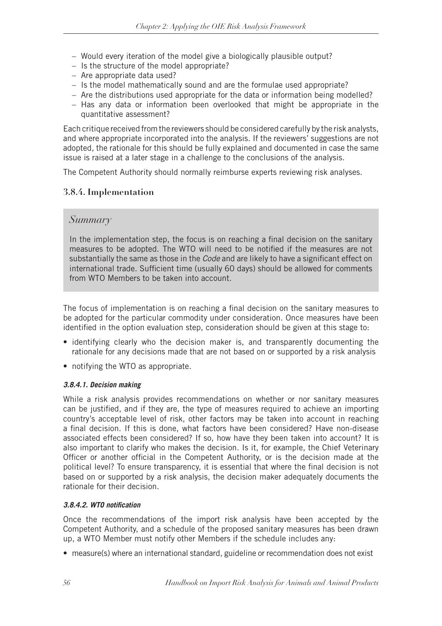- Would every iteration of the model give a biologically plausible output?
- Is the structure of the model appropriate?
- Are appropriate data used?
- Is the model mathematically sound and are the formulae used appropriate?
- Are the distributions used appropriate for the data or information being modelled?
- Has any data or information been overlooked that might be appropriate in the quantitative assessment?

Each critique received from the reviewers should be considered carefully by the risk analysts, and where appropriate incorporated into the analysis. If the reviewers' suggestions are not adopted, the rationale for this should be fully explained and documented in case the same issue is raised at a later stage in a challenge to the conclusions of the analysis.

The Competent Authority should normally reimburse experts reviewing risk analyses.

### **3.8.4. Implementation**

### *Summary*

In the implementation step, the focus is on reaching a final decision on the sanitary measures to be adopted. The WTO will need to be notified if the measures are not substantially the same as those in the *Code* and are likely to have a significant effect on international trade. Sufficient time (usually 60 days) should be allowed for comments from WTO Members to be taken into account.

The focus of implementation is on reaching a final decision on the sanitary measures to be adopted for the particular commodity under consideration. Once measures have been identified in the option evaluation step, consideration should be given at this stage to:

- identifying clearly who the decision maker is, and transparently documenting the rationale for any decisions made that are not based on or supported by a risk analysis
- notifying the WTO as appropriate.

#### *3.8.4.1. Decision making*

While a risk analysis provides recommendations on whether or nor sanitary measures can be justified, and if they are, the type of measures required to achieve an importing country's acceptable level of risk, other factors may be taken into account in reaching a final decision. If this is done, what factors have been considered? Have non-disease associated effects been considered? If so, how have they been taken into account? It is also important to clarify who makes the decision. Is it, for example, the Chief Veterinary Officer or another official in the Competent Authority, or is the decision made at the political level? To ensure transparency, it is essential that where the final decision is not based on or supported by a risk analysis, the decision maker adequately documents the rationale for their decision.

#### *3.8.4.2. WTO notification*

Once the recommendations of the import risk analysis have been accepted by the Competent Authority, and a schedule of the proposed sanitary measures has been drawn up, a WTO Member must notify other Members if the schedule includes any:

• measure(s) where an international standard, guideline or recommendation does not exist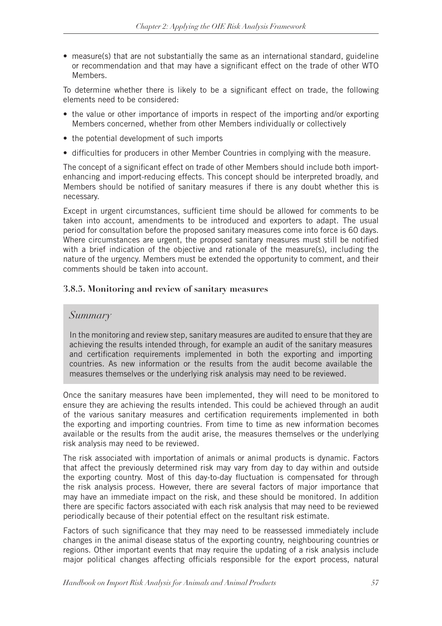• measure(s) that are not substantially the same as an international standard, guideline or recommendation and that may have a significant effect on the trade of other WTO Members.

To determine whether there is likely to be a significant effect on trade, the following elements need to be considered:

- the value or other importance of imports in respect of the importing and/or exporting Members concerned, whether from other Members individually or collectively
- the potential development of such imports
- difficulties for producers in other Member Countries in complying with the measure.

The concept of a significant effect on trade of other Members should include both importenhancing and import-reducing effects. This concept should be interpreted broadly, and Members should be notified of sanitary measures if there is any doubt whether this is necessary.

Except in urgent circumstances, sufficient time should be allowed for comments to be taken into account, amendments to be introduced and exporters to adapt. The usual period for consultation before the proposed sanitary measures come into force is 60 days. Where circumstances are urgent, the proposed sanitary measures must still be notified with a brief indication of the objective and rationale of the measure(s), including the nature of the urgency. Members must be extended the opportunity to comment, and their comments should be taken into account.

### **3.8.5. Monitoring and review of sanitary measures**

### *Summary*

In the monitoring and review step, sanitary measures are audited to ensure that they are achieving the results intended through, for example an audit of the sanitary measures and certification requirements implemented in both the exporting and importing countries. As new information or the results from the audit become available the measures themselves or the underlying risk analysis may need to be reviewed.

Once the sanitary measures have been implemented, they will need to be monitored to ensure they are achieving the results intended. This could be achieved through an audit of the various sanitary measures and certification requirements implemented in both the exporting and importing countries. From time to time as new information becomes available or the results from the audit arise, the measures themselves or the underlying risk analysis may need to be reviewed.

The risk associated with importation of animals or animal products is dynamic. Factors that affect the previously determined risk may vary from day to day within and outside the exporting country. Most of this day-to-day fluctuation is compensated for through the risk analysis process. However, there are several factors of major importance that may have an immediate impact on the risk, and these should be monitored. In addition there are specific factors associated with each risk analysis that may need to be reviewed periodically because of their potential effect on the resultant risk estimate.

Factors of such significance that they may need to be reassessed immediately include changes in the animal disease status of the exporting country, neighbouring countries or regions. Other important events that may require the updating of a risk analysis include major political changes affecting officials responsible for the export process, natural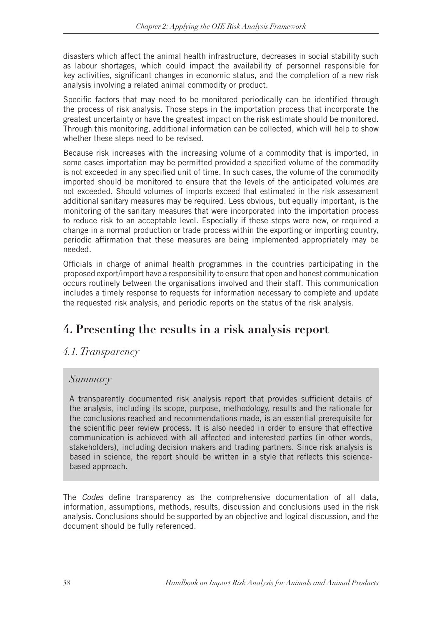disasters which affect the animal health infrastructure, decreases in social stability such as labour shortages, which could impact the availability of personnel responsible for key activities, significant changes in economic status, and the completion of a new risk analysis involving a related animal commodity or product.

Specific factors that may need to be monitored periodically can be identified through the process of risk analysis. Those steps in the importation process that incorporate the greatest uncertainty or have the greatest impact on the risk estimate should be monitored. Through this monitoring, additional information can be collected, which will help to show whether these steps need to be revised.

Because risk increases with the increasing volume of a commodity that is imported, in some cases importation may be permitted provided a specified volume of the commodity is not exceeded in any specified unit of time. In such cases, the volume of the commodity imported should be monitored to ensure that the levels of the anticipated volumes are not exceeded. Should volumes of imports exceed that estimated in the risk assessment additional sanitary measures may be required. Less obvious, but equally important, is the monitoring of the sanitary measures that were incorporated into the importation process to reduce risk to an acceptable level. Especially if these steps were new, or required a change in a normal production or trade process within the exporting or importing country, periodic affirmation that these measures are being implemented appropriately may be needed.

Officials in charge of animal health programmes in the countries participating in the proposed export/import have a responsibility to ensure that open and honest communication occurs routinely between the organisations involved and their staff. This communication includes a timely response to requests for information necessary to complete and update the requested risk analysis, and periodic reports on the status of the risk analysis.

# **4. Presenting the results in a risk analysis report**

# *4.1. Transparency*

# *Summary*

A transparently documented risk analysis report that provides sufficient details of the analysis, including its scope, purpose, methodology, results and the rationale for the conclusions reached and recommendations made, is an essential prerequisite for the scientific peer review process. It is also needed in order to ensure that effective communication is achieved with all affected and interested parties (in other words, stakeholders), including decision makers and trading partners. Since risk analysis is based in science, the report should be written in a style that reflects this sciencebased approach.

The *Codes* define transparency as the comprehensive documentation of all data, information, assumptions, methods, results, discussion and conclusions used in the risk analysis. Conclusions should be supported by an objective and logical discussion, and the document should be fully referenced.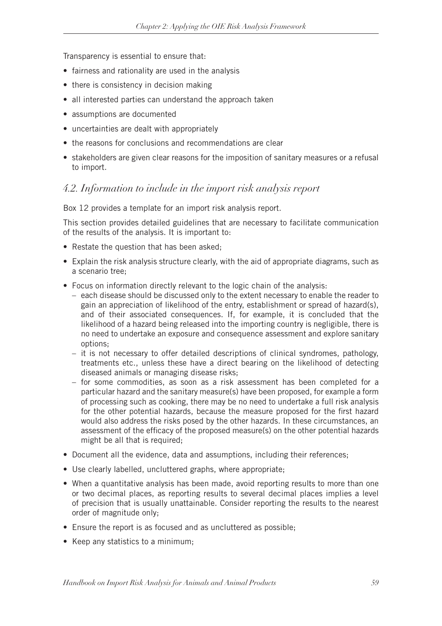Transparency is essential to ensure that:

- fairness and rationality are used in the analysis
- there is consistency in decision making
- all interested parties can understand the approach taken
- assumptions are documented
- uncertainties are dealt with appropriately
- the reasons for conclusions and recommendations are clear
- stakeholders are given clear reasons for the imposition of sanitary measures or a refusal to import.

# *4.2. Information to include in the import risk analysis report*

Box 12 provides a template for an import risk analysis report.

This section provides detailed guidelines that are necessary to facilitate communication of the results of the analysis. It is important to:

- Restate the question that has been asked;
- Explain the risk analysis structure clearly, with the aid of appropriate diagrams, such as a scenario tree;
- Focus on information directly relevant to the logic chain of the analysis:
	- each disease should be discussed only to the extent necessary to enable the reader to gain an appreciation of likelihood of the entry, establishment or spread of hazard(s), and of their associated consequences. If, for example, it is concluded that the likelihood of a hazard being released into the importing country is negligible, there is no need to undertake an exposure and consequence assessment and explore sanitary options;
	- it is not necessary to offer detailed descriptions of clinical syndromes, pathology, treatments etc., unless these have a direct bearing on the likelihood of detecting diseased animals or managing disease risks;
	- for some commodities, as soon as a risk assessment has been completed for a particular hazard and the sanitary measure(s) have been proposed, for example a form of processing such as cooking, there may be no need to undertake a full risk analysis for the other potential hazards, because the measure proposed for the first hazard would also address the risks posed by the other hazards. In these circumstances, an assessment of the efficacy of the proposed measure(s) on the other potential hazards might be all that is required;
- Document all the evidence, data and assumptions, including their references;
- Use clearly labelled, uncluttered graphs, where appropriate;
- When a quantitative analysis has been made, avoid reporting results to more than one or two decimal places, as reporting results to several decimal places implies a level of precision that is usually unattainable. Consider reporting the results to the nearest order of magnitude only;
- Ensure the report is as focused and as uncluttered as possible;
- Keep any statistics to a minimum;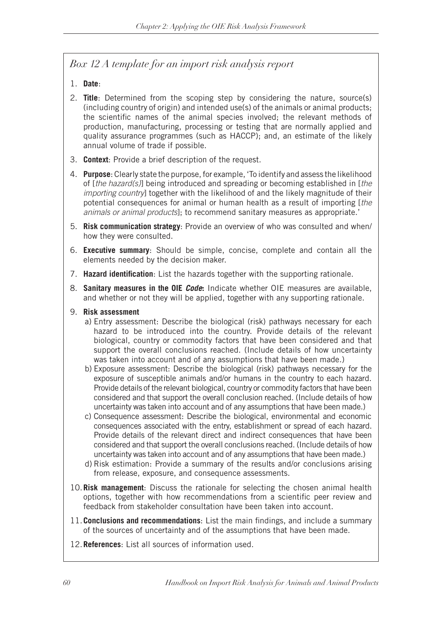# *Box 12 A template for an import risk analysis report*

- 1. **Date**:
- 2. **Title**: Determined from the scoping step by considering the nature, source(s) (including country of origin) and intended use(s) of the animals or animal products; the scientific names of the animal species involved; the relevant methods of production, manufacturing, processing or testing that are normally applied and quality assurance programmes (such as HACCP); and, an estimate of the likely annual volume of trade if possible.
- 3. **Context**: Provide a brief description of the request.
- 4. **Purpose**: Clearly state the purpose, for example, 'To identify and assess the likelihood of [*the hazard(s)*] being introduced and spreading or becoming established in [*the importing country*] together with the likelihood of and the likely magnitude of their potential consequences for animal or human health as a result of importing [*the animals or animal products*]; to recommend sanitary measures as appropriate.'
- 5. **Risk communication strategy**: Provide an overview of who was consulted and when/ how they were consulted.
- 6. **Executive summary**: Should be simple, concise, complete and contain all the elements needed by the decision maker.
- 7. **Hazard identification**: List the hazards together with the supporting rationale.
- 8. **Sanitary measures in the OIE** *Code***:** Indicate whether OIE measures are available, and whether or not they will be applied, together with any supporting rationale.
- 9. **Risk assessment**
	- a) Entry assessment: Describe the biological (risk) pathways necessary for each hazard to be introduced into the country. Provide details of the relevant biological, country or commodity factors that have been considered and that support the overall conclusions reached. (Include details of how uncertainty was taken into account and of any assumptions that have been made.)
	- b) Exposure assessment: Describe the biological (risk) pathways necessary for the exposure of susceptible animals and/or humans in the country to each hazard. Provide details of the relevant biological, country or commodity factors that have been considered and that support the overall conclusion reached. (Include details of how uncertainty was taken into account and of any assumptions that have been made.)
	- c) Consequence assessment: Describe the biological, environmental and economic consequences associated with the entry, establishment or spread of each hazard. Provide details of the relevant direct and indirect consequences that have been considered and that support the overall conclusions reached. (Include details of how uncertainty was taken into account and of any assumptions that have been made.)
	- d) Risk estimation: Provide a summary of the results and/or conclusions arising from release, exposure, and consequence assessments.
- 10.**Risk management**: Discuss the rationale for selecting the chosen animal health options, together with how recommendations from a scientific peer review and feedback from stakeholder consultation have been taken into account.
- 11.**Conclusions and recommendations**: List the main findings, and include a summary of the sources of uncertainty and of the assumptions that have been made.
- 12.**References**: List all sources of information used.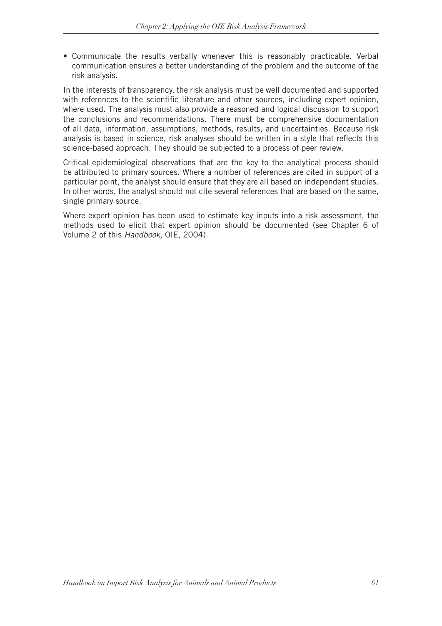• Communicate the results verbally whenever this is reasonably practicable. Verbal communication ensures a better understanding of the problem and the outcome of the risk analysis.

In the interests of transparency, the risk analysis must be well documented and supported with references to the scientific literature and other sources, including expert opinion, where used. The analysis must also provide a reasoned and logical discussion to support the conclusions and recommendations. There must be comprehensive documentation of all data, information, assumptions, methods, results, and uncertainties. Because risk analysis is based in science, risk analyses should be written in a style that reflects this science-based approach. They should be subjected to a process of peer review.

Critical epidemiological observations that are the key to the analytical process should be attributed to primary sources. Where a number of references are cited in support of a particular point, the analyst should ensure that they are all based on independent studies. In other words, the analyst should not cite several references that are based on the same, single primary source.

Where expert opinion has been used to estimate key inputs into a risk assessment, the methods used to elicit that expert opinion should be documented (see Chapter 6 of Volume 2 of this *Handbook,* OIE, 2004).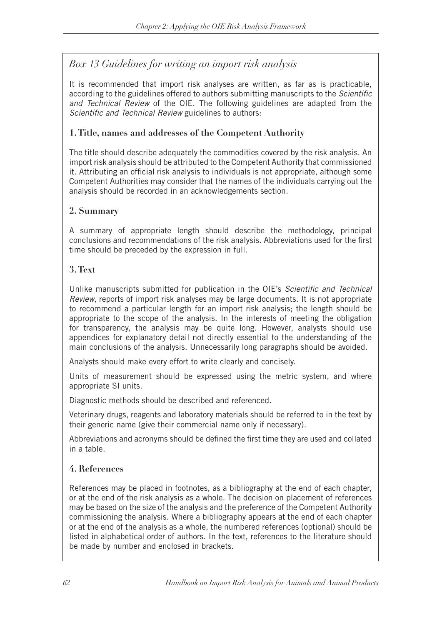## *Box 13 Guidelines for writing an import risk analysis*

It is recommended that import risk analyses are written, as far as is practicable, according to the guidelines offered to authors submitting manuscripts to the *Scientific and Technical Review* of the OIE. The following guidelines are adapted from the *Scientific and Technical Review* guidelines to authors:

### **1. Title, names and addresses of the Competent Authority**

The title should describe adequately the commodities covered by the risk analysis. An import risk analysis should be attributed to the Competent Authority that commissioned it. Attributing an official risk analysis to individuals is not appropriate, although some Competent Authorities may consider that the names of the individuals carrying out the analysis should be recorded in an acknowledgements section.

### **2. Summary**

A summary of appropriate length should describe the methodology, principal conclusions and recommendations of the risk analysis. Abbreviations used for the first time should be preceded by the expression in full.

### **3. Text**

Unlike manuscripts submitted for publication in the OIE's *Scientific and Technical Review*, reports of import risk analyses may be large documents. It is not appropriate to recommend a particular length for an import risk analysis; the length should be appropriate to the scope of the analysis. In the interests of meeting the obligation for transparency, the analysis may be quite long. However, analysts should use appendices for explanatory detail not directly essential to the understanding of the main conclusions of the analysis. Unnecessarily long paragraphs should be avoided.

Analysts should make every effort to write clearly and concisely.

Units of measurement should be expressed using the metric system, and where appropriate SI units.

Diagnostic methods should be described and referenced.

Veterinary drugs, reagents and laboratory materials should be referred to in the text by their generic name (give their commercial name only if necessary).

Abbreviations and acronyms should be defined the first time they are used and collated in a table.

### **4. References**

References may be placed in footnotes, as a bibliography at the end of each chapter, or at the end of the risk analysis as a whole. The decision on placement of references may be based on the size of the analysis and the preference of the Competent Authority commissioning the analysis. Where a bibliography appears at the end of each chapter or at the end of the analysis as a whole, the numbered references (optional) should be listed in alphabetical order of authors. In the text, references to the literature should be made by number and enclosed in brackets.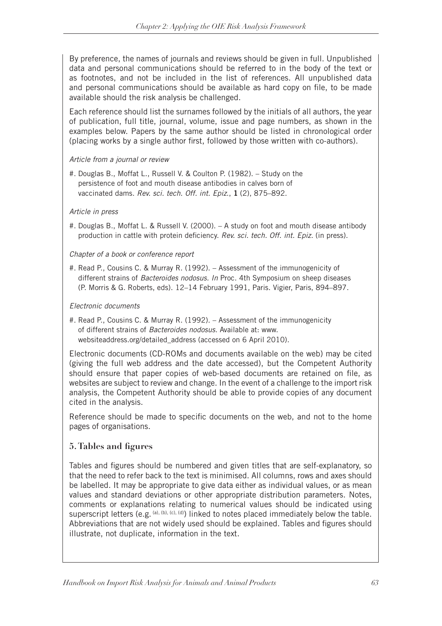By preference, the names of journals and reviews should be given in full. Unpublished data and personal communications should be referred to in the body of the text or as footnotes, and not be included in the list of references. All unpublished data and personal communications should be available as hard copy on file, to be made available should the risk analysis be challenged.

Each reference should list the surnames followed by the initials of all authors, the year of publication, full title, journal, volume, issue and page numbers, as shown in the examples below. Papers by the same author should be listed in chronological order (placing works by a single author first, followed by those written with co-authors).

#### *Article from a journal or review*

#. Douglas B., Moffat L., Russell V. & Coulton P. (1982). – Study on the persistence of foot and mouth disease antibodies in calves born of vaccinated dams. *Rev. sci. tech. Off. int. Epiz*., **1** (2), 875–892.

#### *Article in press*

#. Douglas B., Moffat L. & Russell V. (2000). – A study on foot and mouth disease antibody production in cattle with protein deficiency. *Rev. sci. tech. Off. int. Epiz.* (in press).

#### *Chapter of a book or conference report*

#. Read P., Cousins C. & Murray R. (1992). – Assessment of the immunogenicity of different strains of *Bacteroides nodosus. In* Proc. 4th Symposium on sheep diseases (P. Morris & G. Roberts, eds). 12–14 February 1991, Paris. Vigier, Paris, 894–897.

#### *Electronic documents*

#. Read P., Cousins C. & Murray R. (1992). – Assessment of the immunogenicity of different strains of *Bacteroides nodosus.* Available at: www. websiteaddress.org/detailed\_address (accessed on 6 April 2010).

Electronic documents (CD-ROMs and documents available on the web) may be cited (giving the full web address and the date accessed), but the Competent Authority should ensure that paper copies of web-based documents are retained on file, as websites are subject to review and change. In the event of a challenge to the import risk analysis, the Competent Authority should be able to provide copies of any document cited in the analysis.

Reference should be made to specific documents on the web, and not to the home pages of organisations.

#### **5. Tables and figures**

Tables and figures should be numbered and given titles that are self-explanatory, so that the need to refer back to the text is minimised. All columns, rows and axes should be labelled. It may be appropriate to give data either as individual values, or as mean values and standard deviations or other appropriate distribution parameters. Notes, comments or explanations relating to numerical values should be indicated using superscript letters (e.g. (a), (b), (c), (d)) linked to notes placed immediately below the table. Abbreviations that are not widely used should be explained. Tables and figures should illustrate, not duplicate, information in the text.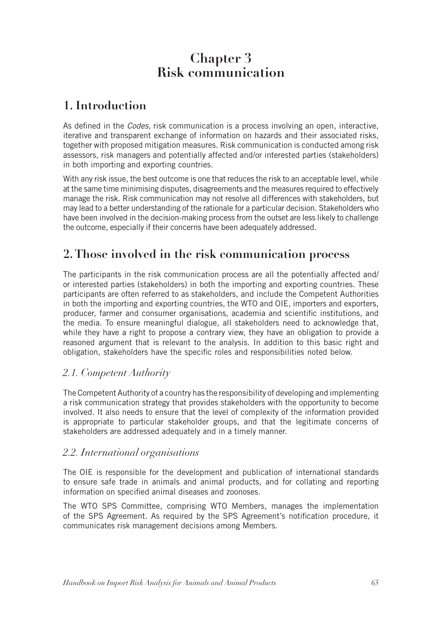# **Chapter 3 Risk communication**

# **1. Introduction**

As defined in the *Codes*, risk communication is a process involving an open, interactive, iterative and transparent exchange of information on hazards and their associated risks, together with proposed mitigation measures. Risk communication is conducted among risk assessors, risk managers and potentially affected and/or interested parties (stakeholders) in both importing and exporting countries.

With any risk issue, the best outcome is one that reduces the risk to an acceptable level, while at the same time minimising disputes, disagreements and the measures required to effectively manage the risk. Risk communication may not resolve all differences with stakeholders, but may lead to a better understanding of the rationale for a particular decision. Stakeholders who have been involved in the decision-making process from the outset are less likely to challenge the outcome, especially if their concerns have been adequately addressed.

# **2. Those involved in the risk communication process**

The participants in the risk communication process are all the potentially affected and/ or interested parties (stakeholders) in both the importing and exporting countries. These participants are often referred to as stakeholders, and include the Competent Authorities in both the importing and exporting countries, the WTO and OIE, importers and exporters, producer, farmer and consumer organisations, academia and scientific institutions, and the media. To ensure meaningful dialogue, all stakeholders need to acknowledge that, while they have a right to propose a contrary view, they have an obligation to provide a reasoned argument that is relevant to the analysis. In addition to this basic right and obligation, stakeholders have the specific roles and responsibilities noted below.

### *2.1. Competent Authority*

The Competent Authority of a country has the responsibility of developing and implementing a risk communication strategy that provides stakeholders with the opportunity to become involved. It also needs to ensure that the level of complexity of the information provided is appropriate to particular stakeholder groups, and that the legitimate concerns of stakeholders are addressed adequately and in a timely manner.

### *2.2. International organisations*

The OIE is responsible for the development and publication of international standards to ensure safe trade in animals and animal products, and for collating and reporting information on specified animal diseases and zoonoses.

The WTO SPS Committee, comprising WTO Members, manages the implementation of the SPS Agreement. As required by the SPS Agreement's notification procedure, it communicates risk management decisions among Members.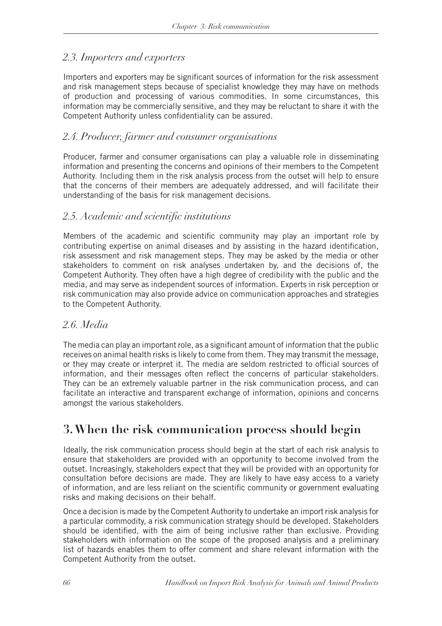## *2.3. Importers and exporters*

Importers and exporters may be significant sources of information for the risk assessment and risk management steps because of specialist knowledge they may have on methods of production and processing of various commodities. In some circumstances, this information may be commercially sensitive, and they may be reluctant to share it with the Competent Authority unless confidentiality can be assured.

## *2.4. Producer, farmer and consumer organisations*

Producer, farmer and consumer organisations can play a valuable role in disseminating information and presenting the concerns and opinions of their members to the Competent Authority. Including them in the risk analysis process from the outset will help to ensure that the concerns of their members are adequately addressed, and will facilitate their understanding of the basis for risk management decisions.

### *2.5. Academic and scientific institutions*

Members of the academic and scientific community may play an important role by contributing expertise on animal diseases and by assisting in the hazard identification, risk assessment and risk management steps. They may be asked by the media or other stakeholders to comment on risk analyses undertaken by, and the decisions of, the Competent Authority. They often have a high degree of credibility with the public and the media, and may serve as independent sources of information. Experts in risk perception or risk communication may also provide advice on communication approaches and strategies to the Competent Authority.

### *2.6. Media*

The media can play an important role, as a significant amount of information that the public receives on animal health risks is likely to come from them. They may transmit the message, or they may create or interpret it. The media are seldom restricted to official sources of information, and their messages often reflect the concerns of particular stakeholders. They can be an extremely valuable partner in the risk communication process, and can facilitate an interactive and transparent exchange of information, opinions and concerns amongst the various stakeholders.

# **3. When the risk communication process should begin**

Ideally, the risk communication process should begin at the start of each risk analysis to ensure that stakeholders are provided with an opportunity to become involved from the outset. Increasingly, stakeholders expect that they will be provided with an opportunity for consultation before decisions are made. They are likely to have easy access to a variety of information, and are less reliant on the scientific community or government evaluating risks and making decisions on their behalf.

Once a decision is made by the Competent Authority to undertake an import risk analysis for a particular commodity, a risk communication strategy should be developed. Stakeholders should be identified, with the aim of being inclusive rather than exclusive. Providing stakeholders with information on the scope of the proposed analysis and a preliminary list of hazards enables them to offer comment and share relevant information with the Competent Authority from the outset.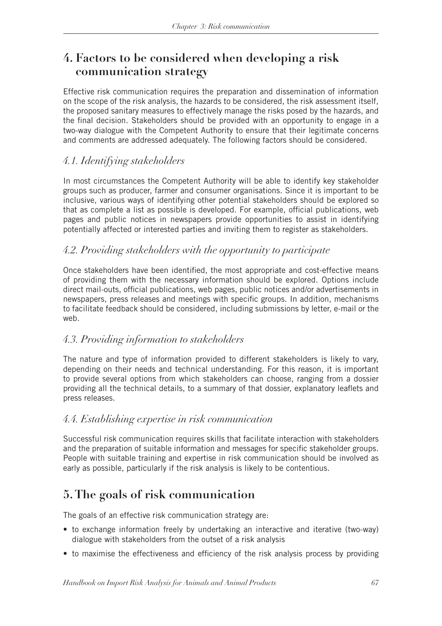# **4. Factors to be considered when developing a risk communication strategy**

Effective risk communication requires the preparation and dissemination of information on the scope of the risk analysis, the hazards to be considered, the risk assessment itself, the proposed sanitary measures to effectively manage the risks posed by the hazards, and the final decision. Stakeholders should be provided with an opportunity to engage in a two-way dialogue with the Competent Authority to ensure that their legitimate concerns and comments are addressed adequately. The following factors should be considered.

## *4.1. Identifying stakeholders*

In most circumstances the Competent Authority will be able to identify key stakeholder groups such as producer, farmer and consumer organisations. Since it is important to be inclusive, various ways of identifying other potential stakeholders should be explored so that as complete a list as possible is developed. For example, official publications, web pages and public notices in newspapers provide opportunities to assist in identifying potentially affected or interested parties and inviting them to register as stakeholders.

## *4.2. Providing stakeholders with the opportunity to participate*

Once stakeholders have been identified, the most appropriate and cost-effective means of providing them with the necessary information should be explored. Options include direct mail-outs, official publications, web pages, public notices and/or advertisements in newspapers, press releases and meetings with specific groups. In addition, mechanisms to facilitate feedback should be considered, including submissions by letter, e-mail or the web.

### *4.3. Providing information to stakeholders*

The nature and type of information provided to different stakeholders is likely to vary, depending on their needs and technical understanding. For this reason, it is important to provide several options from which stakeholders can choose, ranging from a dossier providing all the technical details, to a summary of that dossier, explanatory leaflets and press releases.

### *4.4. Establishing expertise in risk communication*

Successful risk communication requires skills that facilitate interaction with stakeholders and the preparation of suitable information and messages for specific stakeholder groups. People with suitable training and expertise in risk communication should be involved as early as possible, particularly if the risk analysis is likely to be contentious.

# **5. The goals of risk communication**

The goals of an effective risk communication strategy are:

- to exchange information freely by undertaking an interactive and iterative (two-way) dialogue with stakeholders from the outset of a risk analysis
- to maximise the effectiveness and efficiency of the risk analysis process by providing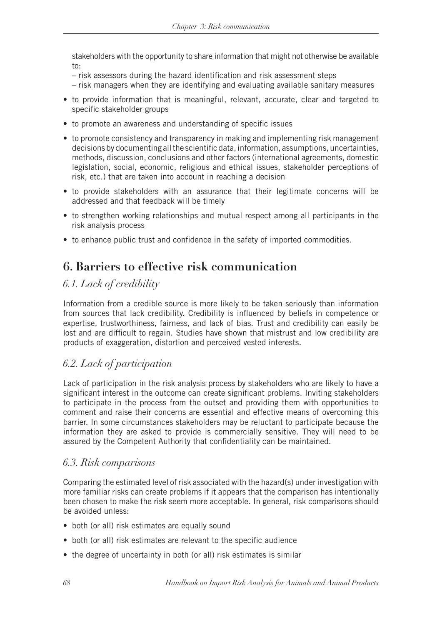stakeholders with the opportunity to share information that might not otherwise be available  $\dots$ 

- risk assessors during the hazard identification and risk assessment steps
- risk managers when they are identifying and evaluating available sanitary measures
- to provide information that is meaningful, relevant, accurate, clear and targeted to specific stakeholder groups
- to promote an awareness and understanding of specific issues
- to promote consistency and transparency in making and implementing risk management decisions by documenting all the scientific data, information, assumptions, uncertainties, methods, discussion, conclusions and other factors (international agreements, domestic legislation, social, economic, religious and ethical issues, stakeholder perceptions of risk, etc.) that are taken into account in reaching a decision
- to provide stakeholders with an assurance that their legitimate concerns will be addressed and that feedback will be timely
- to strengthen working relationships and mutual respect among all participants in the risk analysis process
- to enhance public trust and confidence in the safety of imported commodities.

# **6. Barriers to effective risk communication**

## *6.1. Lack of credibility*

Information from a credible source is more likely to be taken seriously than information from sources that lack credibility. Credibility is influenced by beliefs in competence or expertise, trustworthiness, fairness, and lack of bias. Trust and credibility can easily be lost and are difficult to regain. Studies have shown that mistrust and low credibility are products of exaggeration, distortion and perceived vested interests.

## *6.2. Lack of participation*

Lack of participation in the risk analysis process by stakeholders who are likely to have a significant interest in the outcome can create significant problems. Inviting stakeholders to participate in the process from the outset and providing them with opportunities to comment and raise their concerns are essential and effective means of overcoming this barrier. In some circumstances stakeholders may be reluctant to participate because the information they are asked to provide is commercially sensitive. They will need to be assured by the Competent Authority that confidentiality can be maintained.

### *6.3. Risk comparisons*

Comparing the estimated level of risk associated with the hazard(s) under investigation with more familiar risks can create problems if it appears that the comparison has intentionally been chosen to make the risk seem more acceptable. In general, risk comparisons should be avoided unless:

- both (or all) risk estimates are equally sound
- both (or all) risk estimates are relevant to the specific audience
- the degree of uncertainty in both (or all) risk estimates is similar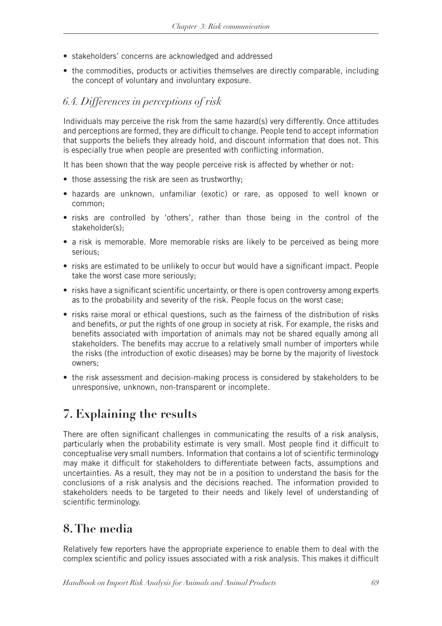- stakeholders' concerns are acknowledged and addressed
- the commodities, products or activities themselves are directly comparable, including the concept of voluntary and involuntary exposure.

## *6.4. Differences in perceptions of risk*

Individuals may perceive the risk from the same hazard(s) very differently. Once attitudes and perceptions are formed, they are difficult to change. People tend to accept information that supports the beliefs they already hold, and discount information that does not. This is especially true when people are presented with conflicting information.

It has been shown that the way people perceive risk is affected by whether or not:

- those assessing the risk are seen as trustworthy;
- hazards are unknown, unfamiliar (exotic) or rare, as opposed to well known or common;
- risks are controlled by 'others', rather than those being in the control of the stakeholder(s);
- a risk is memorable. More memorable risks are likely to be perceived as being more serious;
- risks are estimated to be unlikely to occur but would have a significant impact. People take the worst case more seriously;
- risks have a significant scientific uncertainty, or there is open controversy among experts as to the probability and severity of the risk. People focus on the worst case;
- risks raise moral or ethical questions, such as the fairness of the distribution of risks and benefits, or put the rights of one group in society at risk. For example, the risks and benefits associated with importation of animals may not be shared equally among all stakeholders. The benefits may accrue to a relatively small number of importers while the risks (the introduction of exotic diseases) may be borne by the majority of livestock owners;
- the risk assessment and decision-making process is considered by stakeholders to be unresponsive, unknown, non-transparent or incomplete.

# **7. Explaining the results**

There are often significant challenges in communicating the results of a risk analysis, particularly when the probability estimate is very small. Most people find it difficult to conceptualise very small numbers. Information that contains a lot of scientific terminology may make it difficult for stakeholders to differentiate between facts, assumptions and uncertainties. As a result, they may not be in a position to understand the basis for the conclusions of a risk analysis and the decisions reached. The information provided to stakeholders needs to be targeted to their needs and likely level of understanding of scientific terminology.

# **8. The media**

Relatively few reporters have the appropriate experience to enable them to deal with the complex scientific and policy issues associated with a risk analysis. This makes it difficult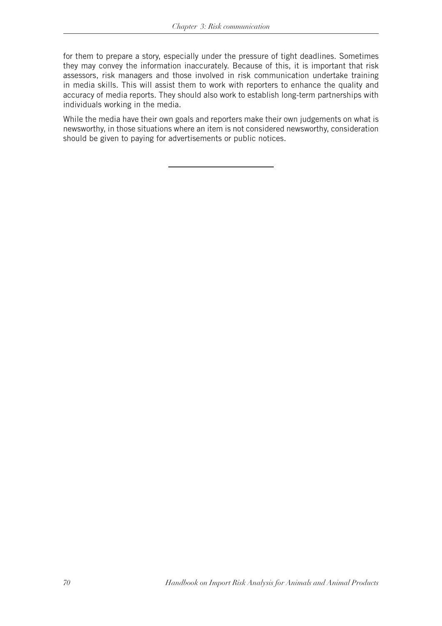for them to prepare a story, especially under the pressure of tight deadlines. Sometimes they may convey the information inaccurately. Because of this, it is important that risk assessors, risk managers and those involved in risk communication undertake training in media skills. This will assist them to work with reporters to enhance the quality and accuracy of media reports. They should also work to establish long-term partnerships with individuals working in the media.

While the media have their own goals and reporters make their own judgements on what is newsworthy, in those situations where an item is not considered newsworthy, consideration should be given to paying for advertisements or public notices.

*70 Handbook on Import Risk Analysis for Animals and Animal Products*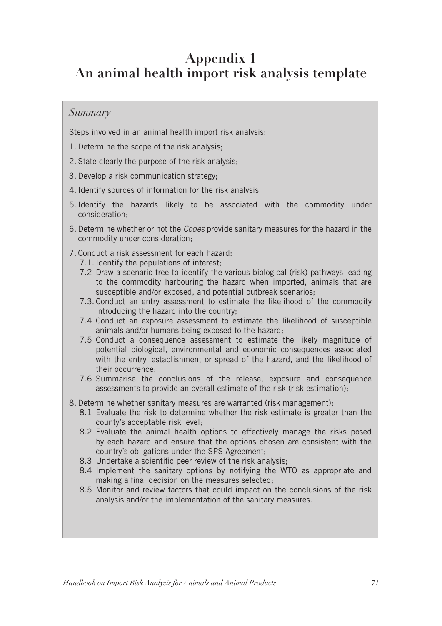# **Appendix 1 An animal health import risk analysis template**

### *Summary*

Steps involved in an animal health import risk analysis:

- 1. Determine the scope of the risk analysis;
- 2. State clearly the purpose of the risk analysis;
- 3. Develop a risk communication strategy;
- 4. Identify sources of information for the risk analysis;
- 5. Identify the hazards likely to be associated with the commodity under consideration;
- 6. Determine whether or not the *Codes* provide sanitary measures for the hazard in the commodity under consideration;
- 7. Conduct a risk assessment for each hazard:
	- 7.1. Identify the populations of interest;
	- 7.2 Draw a scenario tree to identify the various biological (risk) pathways leading to the commodity harbouring the hazard when imported, animals that are susceptible and/or exposed, and potential outbreak scenarios;
	- 7.3. Conduct an entry assessment to estimate the likelihood of the commodity introducing the hazard into the country;
	- 7.4 Conduct an exposure assessment to estimate the likelihood of susceptible animals and/or humans being exposed to the hazard;
	- 7.5 Conduct a consequence assessment to estimate the likely magnitude of potential biological, environmental and economic consequences associated with the entry, establishment or spread of the hazard, and the likelihood of their occurrence;
	- 7.6 Summarise the conclusions of the release, exposure and consequence assessments to provide an overall estimate of the risk (risk estimation);
- 8. Determine whether sanitary measures are warranted (risk management);
	- 8.1 Evaluate the risk to determine whether the risk estimate is greater than the county's acceptable risk level;
	- 8.2 Evaluate the animal health options to effectively manage the risks posed by each hazard and ensure that the options chosen are consistent with the country's obligations under the SPS Agreement;
	- 8.3 Undertake a scientific peer review of the risk analysis;
	- 8.4 Implement the sanitary options by notifying the WTO as appropriate and making a final decision on the measures selected;
	- 8.5 Monitor and review factors that could impact on the conclusions of the risk analysis and/or the implementation of the sanitary measures.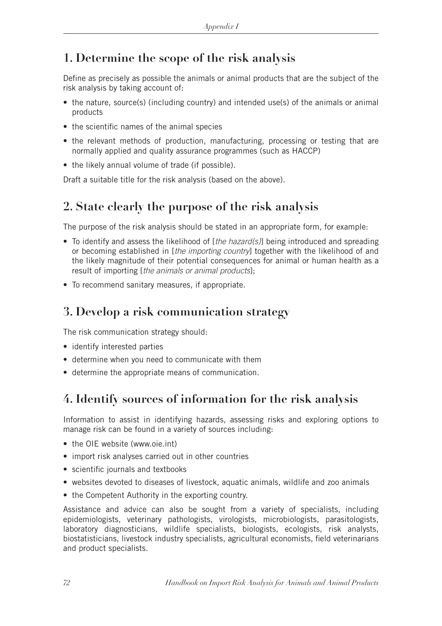# **1. Determine the scope of the risk analysis**

Define as precisely as possible the animals or animal products that are the subject of the risk analysis by taking account of:

- the nature, source(s) (including country) and intended use(s) of the animals or animal products
- the scientific names of the animal species
- the relevant methods of production, manufacturing, processing or testing that are normally applied and quality assurance programmes (such as HACCP)
- the likely annual volume of trade (if possible).

Draft a suitable title for the risk analysis (based on the above).

# **2. State clearly the purpose of the risk analysis**

The purpose of the risk analysis should be stated in an appropriate form, for example:

- • To identify and assess the likelihood of [*the hazard(s)*] being introduced and spreading or becoming established in [*the importing country*] together with the likelihood of and the likely magnitude of their potential consequences for animal or human health as a result of importing [*the animals or animal products*];
- To recommend sanitary measures, if appropriate.

## **3. Develop a risk communication strategy**

The risk communication strategy should:

- identify interested parties
- determine when you need to communicate with them
- determine the appropriate means of communication.

# **4. Identify sources of information for the risk analysis**

Information to assist in identifying hazards, assessing risks and exploring options to manage risk can be found in a variety of sources including:

- the OIE website (www.oie.int)
- import risk analyses carried out in other countries
- scientific journals and textbooks
- websites devoted to diseases of livestock, aquatic animals, wildlife and zoo animals
- the Competent Authority in the exporting country.

Assistance and advice can also be sought from a variety of specialists, including epidemiologists, veterinary pathologists, virologists, microbiologists, parasitologists, laboratory diagnosticians, wildlife specialists, biologists, ecologists, risk analysts, biostatisticians, livestock industry specialists, agricultural economists, field veterinarians and product specialists.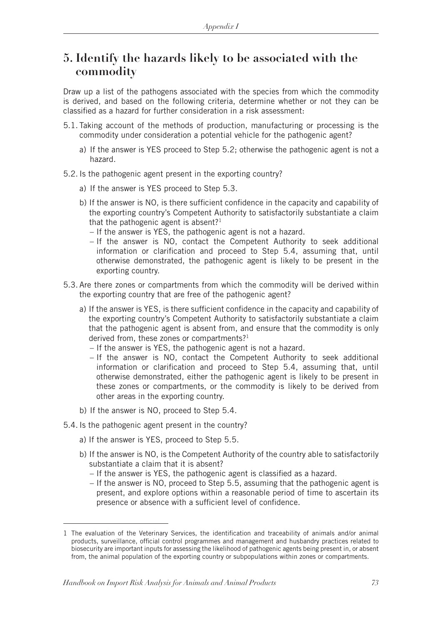## **5. Identify the hazards likely to be associated with the commodity**

Draw up a list of the pathogens associated with the species from which the commodity is derived, and based on the following criteria, determine whether or not they can be classified as a hazard for further consideration in a risk assessment:

- 5.1. Taking account of the methods of production, manufacturing or processing is the commodity under consideration a potential vehicle for the pathogenic agent?
	- a) If the answer is YES proceed to Step 5.2; otherwise the pathogenic agent is not a hazard.
- 5.2. Is the pathogenic agent present in the exporting country?
	- a) If the answer is YES proceed to Step 5.3.
	- b) If the answer is NO, is there sufficient confidence in the capacity and capability of the exporting country's Competent Authority to satisfactorily substantiate a claim that the pathogenic agent is absent? $1$ 
		- If the answer is YES, the pathogenic agent is not a hazard.
		- If the answer is NO, contact the Competent Authority to seek additional information or clarification and proceed to Step 5.4, assuming that, until otherwise demonstrated, the pathogenic agent is likely to be present in the exporting country.
- 5.3. Are there zones or compartments from which the commodity will be derived within the exporting country that are free of the pathogenic agent?
	- a) If the answer is YES, is there sufficient confidence in the capacity and capability of the exporting country's Competent Authority to satisfactorily substantiate a claim that the pathogenic agent is absent from, and ensure that the commodity is only derived from, these zones or compartments?<sup>1</sup>
		- If the answer is YES, the pathogenic agent is not a hazard.
		- If the answer is NO, contact the Competent Authority to seek additional information or clarification and proceed to Step 5.4, assuming that, until otherwise demonstrated, either the pathogenic agent is likely to be present in these zones or compartments, or the commodity is likely to be derived from other areas in the exporting country.
	- b) If the answer is NO, proceed to Step 5.4.
- 5.4. Is the pathogenic agent present in the country?
	- a) If the answer is YES, proceed to Step 5.5.
	- b) If the answer is NO, is the Competent Authority of the country able to satisfactorily substantiate a claim that it is absent?
		- If the answer is YES, the pathogenic agent is classified as a hazard.
		- If the answer is NO, proceed to Step 5.5, assuming that the pathogenic agent is present, and explore options within a reasonable period of time to ascertain its presence or absence with a sufficient level of confidence.

<sup>1</sup> The evaluation of the Veterinary Services, the identification and traceability of animals and/or animal products, surveillance, official control programmes and management and husbandry practices related to biosecurity are important inputs for assessing the likelihood of pathogenic agents being present in, or absent from, the animal population of the exporting country or subpopulations within zones or compartments.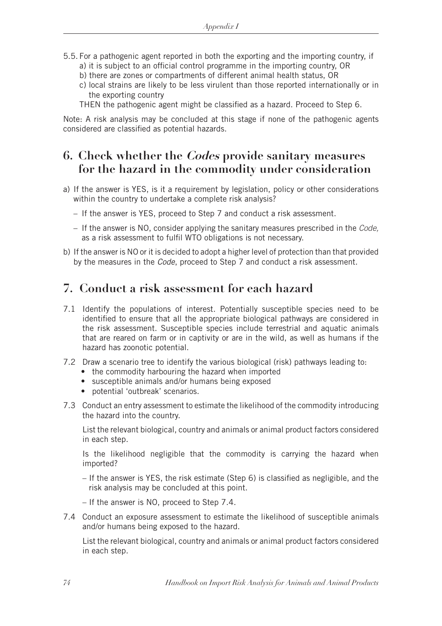- 5.5. For a pathogenic agent reported in both the exporting and the importing country, if a) it is subject to an official control programme in the importing country, OR
	- b) there are zones or compartments of different animal health status, OR
	- c) local strains are likely to be less virulent than those reported internationally or in the exporting country

THEN the pathogenic agent might be classified as a hazard. Proceed to Step 6.

Note: A risk analysis may be concluded at this stage if none of the pathogenic agents considered are classified as potential hazards.

## **6. Check whether the Codes provide sanitary measures for the hazard in the commodity under consideration**

- a) If the answer is YES, is it a requirement by legislation, policy or other considerations within the country to undertake a complete risk analysis?
	- If the answer is YES, proceed to Step 7 and conduct a risk assessment.
	- If the answer is NO, consider applying the sanitary measures prescribed in the *Code,*  as a risk assessment to fulfil WTO obligations is not necessary.
- b) If the answer is NO or it is decided to adopt a higher level of protection than that provided by the measures in the *Code*, proceed to Step 7 and conduct a risk assessment.

## **7. Conduct a risk assessment for each hazard**

- 7.1 Identify the populations of interest. Potentially susceptible species need to be identified to ensure that all the appropriate biological pathways are considered in the risk assessment. Susceptible species include terrestrial and aquatic animals that are reared on farm or in captivity or are in the wild, as well as humans if the hazard has zoonotic potential.
- 7.2 Draw a scenario tree to identify the various biological (risk) pathways leading to:
	- the commodity harbouring the hazard when imported
	- susceptible animals and/or humans being exposed
	- potential 'outbreak' scenarios.
- 7.3 Conduct an entry assessment to estimate the likelihood of the commodity introducing the hazard into the country.

 List the relevant biological, country and animals or animal product factors considered in each step.

 Is the likelihood negligible that the commodity is carrying the hazard when imported?

- If the answer is YES, the risk estimate (Step 6) is classified as negligible, and the risk analysis may be concluded at this point.
- If the answer is NO, proceed to Step 7.4.
- 7.4 Conduct an exposure assessment to estimate the likelihood of susceptible animals and/or humans being exposed to the hazard.

 List the relevant biological, country and animals or animal product factors considered in each step.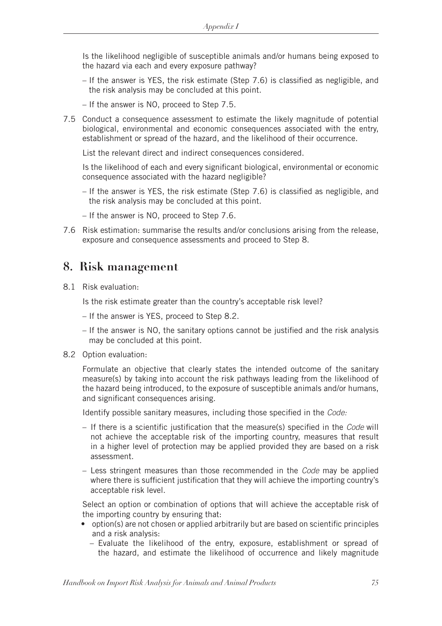Is the likelihood negligible of susceptible animals and/or humans being exposed to the hazard via each and every exposure pathway?

- If the answer is YES, the risk estimate (Step 7.6) is classified as negligible, and the risk analysis may be concluded at this point.
- If the answer is NO, proceed to Step 7.5.
- 7.5 Conduct a consequence assessment to estimate the likely magnitude of potential biological, environmental and economic consequences associated with the entry, establishment or spread of the hazard, and the likelihood of their occurrence.

List the relevant direct and indirect consequences considered.

 Is the likelihood of each and every significant biological, environmental or economic consequence associated with the hazard negligible?

- If the answer is YES, the risk estimate (Step 7.6) is classified as negligible, and the risk analysis may be concluded at this point.
- If the answer is NO, proceed to Step 7.6.
- 7.6 Risk estimation: summarise the results and/or conclusions arising from the release, exposure and consequence assessments and proceed to Step 8.

## **8. Risk management**

8.1 Risk evaluation:

Is the risk estimate greater than the country's acceptable risk level?

- If the answer is YES, proceed to Step 8.2.
- If the answer is NO, the sanitary options cannot be justified and the risk analysis may be concluded at this point.
- 8.2 Option evaluation:

 Formulate an objective that clearly states the intended outcome of the sanitary measure(s) by taking into account the risk pathways leading from the likelihood of the hazard being introduced, to the exposure of susceptible animals and/or humans, and significant consequences arising.

Identify possible sanitary measures, including those specified in the *Code:*

- If there is a scientific justification that the measure(s) specified in the *Code* will not achieve the acceptable risk of the importing country, measures that result in a higher level of protection may be applied provided they are based on a risk assessment.
- Less stringent measures than those recommended in the *Code* may be applied where there is sufficient justification that they will achieve the importing country's acceptable risk level.

 Select an option or combination of options that will achieve the acceptable risk of the importing country by ensuring that:

- option(s) are not chosen or applied arbitrarily but are based on scientific principles and a risk analysis:
	- Evaluate the likelihood of the entry, exposure, establishment or spread of the hazard, and estimate the likelihood of occurrence and likely magnitude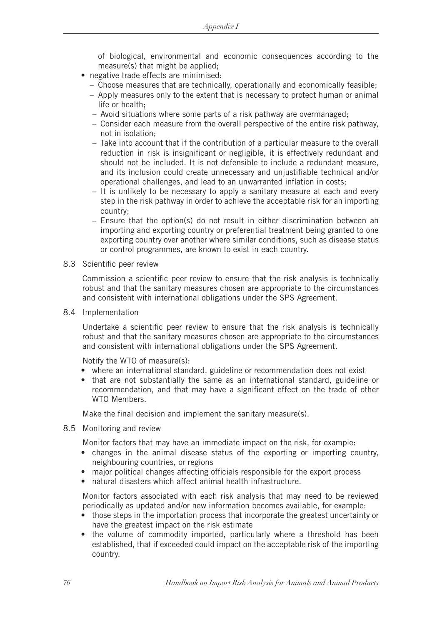of biological, environmental and economic consequences according to the measure(s) that might be applied;

- negative trade effects are minimised:
	- Choose measures that are technically, operationally and economically feasible;
	- Apply measures only to the extent that is necessary to protect human or animal life or health;
	- Avoid situations where some parts of a risk pathway are overmanaged;
	- Consider each measure from the overall perspective of the entire risk pathway, not in isolation;
	- Take into account that if the contribution of a particular measure to the overall reduction in risk is insignificant or negligible, it is effectively redundant and should not be included. It is not defensible to include a redundant measure, and its inclusion could create unnecessary and unjustifiable technical and/or operational challenges, and lead to an unwarranted inflation in costs;
	- It is unlikely to be necessary to apply a sanitary measure at each and every step in the risk pathway in order to achieve the acceptable risk for an importing country;
	- Ensure that the option(s) do not result in either discrimination between an importing and exporting country or preferential treatment being granted to one exporting country over another where similar conditions, such as disease status or control programmes, are known to exist in each country.
- 8.3 Scientific peer review

 Commission a scientific peer review to ensure that the risk analysis is technically robust and that the sanitary measures chosen are appropriate to the circumstances and consistent with international obligations under the SPS Agreement.

8.4 Implementation

 Undertake a scientific peer review to ensure that the risk analysis is technically robust and that the sanitary measures chosen are appropriate to the circumstances and consistent with international obligations under the SPS Agreement.

Notify the WTO of measure(s):

- where an international standard, guideline or recommendation does not exist
- that are not substantially the same as an international standard, guideline or recommendation, and that may have a significant effect on the trade of other WTO Members.

Make the final decision and implement the sanitary measure(s).

8.5 Monitoring and review

Monitor factors that may have an immediate impact on the risk, for example:

- changes in the animal disease status of the exporting or importing country, neighbouring countries, or regions
- major political changes affecting officials responsible for the export process
- natural disasters which affect animal health infrastructure.

 Monitor factors associated with each risk analysis that may need to be reviewed periodically as updated and/or new information becomes available, for example:

- those steps in the importation process that incorporate the greatest uncertainty or have the greatest impact on the risk estimate
- the volume of commodity imported, particularly where a threshold has been established, that if exceeded could impact on the acceptable risk of the importing country.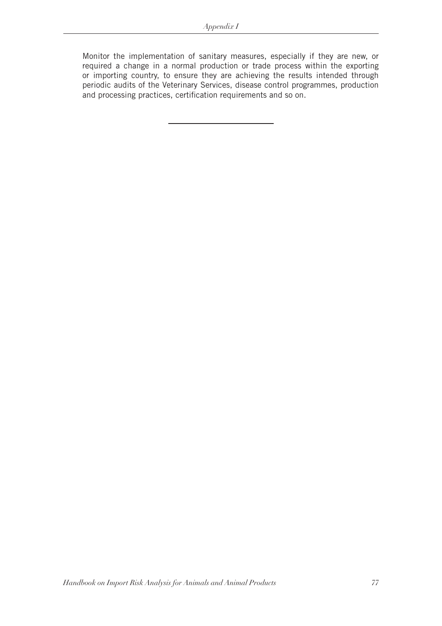Monitor the implementation of sanitary measures, especially if they are new, or required a change in a normal production or trade process within the exporting or importing country, to ensure they are achieving the results intended through periodic audits of the Veterinary Services, disease control programmes, production and processing practices, certification requirements and so on.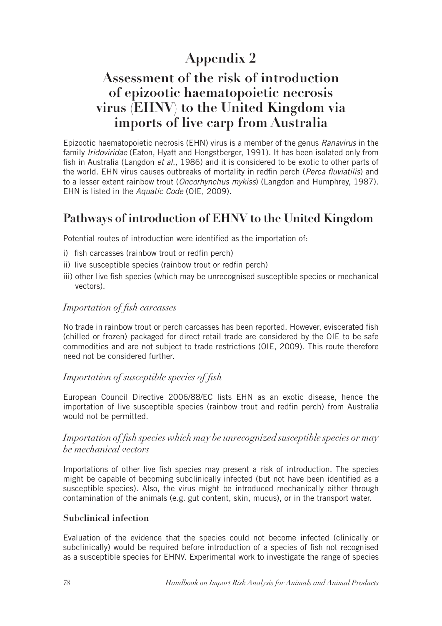# **Appendix 2**

# **Assessment of the risk of introduction of epizootic haematopoietic necrosis virus (EHNV) to the United Kingdom via imports of live carp from Australia**

Epizootic haematopoietic necrosis (EHN) virus is a member of the genus *Ranavirus* in the family *Iridoviridae* (Eaton, Hyatt and Hengstberger, 1991). It has been isolated only from fish in Australia (Langdon *et al.,* 1986) and it is considered to be exotic to other parts of the world. EHN virus causes outbreaks of mortality in redfin perch (*Perca fluviatilis*) and to a lesser extent rainbow trout (*Oncorhynchus mykiss*) (Langdon and Humphrey, 1987). EHN is listed in the *Aquatic Code* (OIE, 2009).

# **Pathways of introduction of EHNV to the United Kingdom**

Potential routes of introduction were identified as the importation of:

- i) fish carcasses (rainbow trout or redfin perch)
- ii) live susceptible species (rainbow trout or redfin perch)
- iii) other live fish species (which may be unrecognised susceptible species or mechanical vectors).

### *Importation of fish carcasses*

No trade in rainbow trout or perch carcasses has been reported. However, eviscerated fish (chilled or frozen) packaged for direct retail trade are considered by the OIE to be safe commodities and are not subject to trade restrictions (OIE, 2009). This route therefore need not be considered further.

### *Importation of susceptible species of fish*

European Council Directive 2006/88/EC lists EHN as an exotic disease, hence the importation of live susceptible species (rainbow trout and redfin perch) from Australia would not be permitted.

### *Importation of fish species which may be unrecognized susceptible species or may be mechanical vectors*

Importations of other live fish species may present a risk of introduction. The species might be capable of becoming subclinically infected (but not have been identified as a susceptible species). Also, the virus might be introduced mechanically either through contamination of the animals (e.g. gut content, skin, mucus), or in the transport water.

#### **Subclinical infection**

Evaluation of the evidence that the species could not become infected (clinically or subclinically) would be required before introduction of a species of fish not recognised as a susceptible species for EHNV. Experimental work to investigate the range of species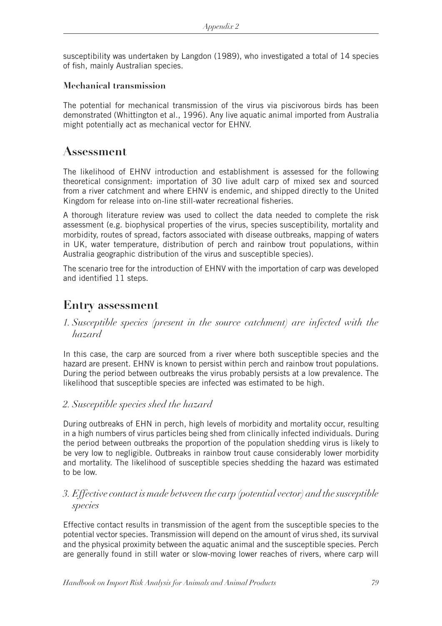susceptibility was undertaken by Langdon (1989), who investigated a total of 14 species of fish, mainly Australian species.

#### **Mechanical transmission**

The potential for mechanical transmission of the virus via piscivorous birds has been demonstrated (Whittington et al., 1996). Any live aquatic animal imported from Australia might potentially act as mechanical vector for EHNV.

## **Assessment**

The likelihood of EHNV introduction and establishment is assessed for the following theoretical consignment: importation of 30 live adult carp of mixed sex and sourced from a river catchment and where EHNV is endemic, and shipped directly to the United Kingdom for release into on-line still-water recreational fisheries.

A thorough literature review was used to collect the data needed to complete the risk assessment (e.g. biophysical properties of the virus, species susceptibility, mortality and morbidity, routes of spread, factors associated with disease outbreaks, mapping of waters in UK, water temperature, distribution of perch and rainbow trout populations, within Australia geographic distribution of the virus and susceptible species).

The scenario tree for the introduction of EHNV with the importation of carp was developed and identified 11 steps.

## **Entry assessment**

*1. Susceptible species (present in the source catchment) are infected with the hazard*

In this case, the carp are sourced from a river where both susceptible species and the hazard are present. EHNV is known to persist within perch and rainbow trout populations. During the period between outbreaks the virus probably persists at a low prevalence. The likelihood that susceptible species are infected was estimated to be high.

### *2. Susceptible species shed the hazard*

During outbreaks of EHN in perch, high levels of morbidity and mortality occur, resulting in a high numbers of virus particles being shed from clinically infected individuals. During the period between outbreaks the proportion of the population shedding virus is likely to be very low to negligible. Outbreaks in rainbow trout cause considerably lower morbidity and mortality. The likelihood of susceptible species shedding the hazard was estimated to be low.

### *3. Effective contact is made between the carp (potential vector) and the susceptible species*

Effective contact results in transmission of the agent from the susceptible species to the potential vector species. Transmission will depend on the amount of virus shed, its survival and the physical proximity between the aquatic animal and the susceptible species. Perch are generally found in still water or slow-moving lower reaches of rivers, where carp will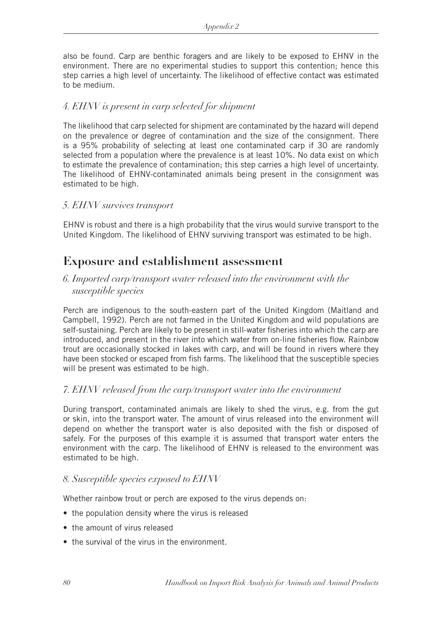also be found. Carp are benthic foragers and are likely to be exposed to EHNV in the environment. There are no experimental studies to support this contention; hence this step carries a high level of uncertainty. The likelihood of effective contact was estimated to be medium.

### *4. EHNV is present in carp selected for shipment*

The likelihood that carp selected for shipment are contaminated by the hazard will depend on the prevalence or degree of contamination and the size of the consignment. There is a 95% probability of selecting at least one contaminated carp if 30 are randomly selected from a population where the prevalence is at least 10%. No data exist on which to estimate the prevalence of contamination; this step carries a high level of uncertainty. The likelihood of EHNV-contaminated animals being present in the consignment was estimated to be high.

### *5. EHNV survives transport*

EHNV is robust and there is a high probability that the virus would survive transport to the United Kingdom. The likelihood of EHNV surviving transport was estimated to be high.

## **Exposure and establishment assessment**

### *6. Imported carp/transport water released into the environment with the susceptible species*

Perch are indigenous to the south-eastern part of the United Kingdom (Maitland and Campbell, 1992). Perch are not farmed in the United Kingdom and wild populations are self-sustaining. Perch are likely to be present in still-water fisheries into which the carp are introduced, and present in the river into which water from on-line fisheries flow. Rainbow trout are occasionally stocked in lakes with carp, and will be found in rivers where they have been stocked or escaped from fish farms. The likelihood that the susceptible species will be present was estimated to be high.

### *7. EHNV released from the carp/transport water into the environment*

During transport, contaminated animals are likely to shed the virus, e.g. from the gut or skin, into the transport water. The amount of virus released into the environment will depend on whether the transport water is also deposited with the fish or disposed of safely. For the purposes of this example it is assumed that transport water enters the environment with the carp. The likelihood of EHNV is released to the environment was estimated to be high.

### *8. Susceptible species exposed to EHNV*

Whether rainbow trout or perch are exposed to the virus depends on:

- the population density where the virus is released
- the amount of virus released
- the survival of the virus in the environment.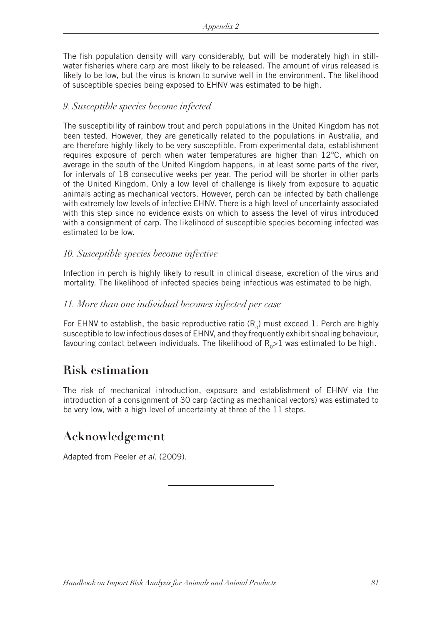The fish population density will vary considerably, but will be moderately high in stillwater fisheries where carp are most likely to be released. The amount of virus released is likely to be low, but the virus is known to survive well in the environment. The likelihood of susceptible species being exposed to EHNV was estimated to be high.

### *9. Susceptible species become infected*

The susceptibility of rainbow trout and perch populations in the United Kingdom has not been tested. However, they are genetically related to the populations in Australia, and are therefore highly likely to be very susceptible. From experimental data, establishment requires exposure of perch when water temperatures are higher than 12°C, which on average in the south of the United Kingdom happens, in at least some parts of the river, for intervals of 18 consecutive weeks per year. The period will be shorter in other parts of the United Kingdom. Only a low level of challenge is likely from exposure to aquatic animals acting as mechanical vectors. However, perch can be infected by bath challenge with extremely low levels of infective EHNV. There is a high level of uncertainty associated with this step since no evidence exists on which to assess the level of virus introduced with a consignment of carp. The likelihood of susceptible species becoming infected was estimated to be low.

### *10. Susceptible species become infective*

Infection in perch is highly likely to result in clinical disease, excretion of the virus and mortality. The likelihood of infected species being infectious was estimated to be high.

### *11. More than one individual becomes infected per case*

For EHNV to establish, the basic reproductive ratio  $(R_0)$  must exceed 1. Perch are highly susceptible to low infectious doses of EHNV, and they frequently exhibit shoaling behaviour, favouring contact between individuals. The likelihood of  $R_0>1$  was estimated to be high.

## **Risk estimation**

The risk of mechanical introduction, exposure and establishment of EHNV via the introduction of a consignment of 30 carp (acting as mechanical vectors) was estimated to be very low, with a high level of uncertainty at three of the 11 steps.

## **Acknowledgement**

Adapted from Peeler *et al.* (2009).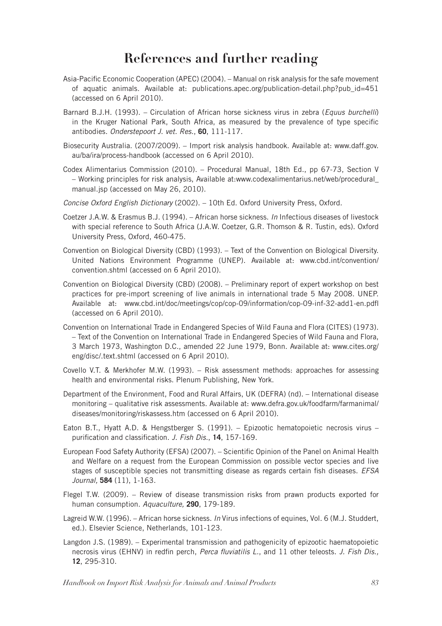# **References and further reading**

- Asia-Pacific Economic Cooperation (APEC) (2004). Manual on risk analysis for the safe movement of aquatic animals. Available at: publications.apec.org/publication-detail.php?pub\_id=451 (accessed on 6 April 2010).
- Barnard B.J.H. (1993). Circulation of African horse sickness virus in zebra (*Equus burchelli*) in the Kruger National Park, South Africa, as measured by the prevalence of type specific antibodies. *Onderstepoort J. vet. Res.*, **60**, 111-117.
- Biosecurity Australia. (2007/2009). Import risk analysis handbook. Available at: www.daff.gov. au/ba/ira/process-handbook (accessed on 6 April 2010).
- Codex Alimentarius Commission (2010). Procedural Manual, 18th Ed., pp 67-73, Section V – Working principles for risk analysis, Available at:www.codexalimentarius.net/web/procedural\_ manual.jsp (accessed on May 26, 2010).
- *Concise Oxford English Dictionary* (2002). 10th Ed. Oxford University Press, Oxford.
- Coetzer J.A.W. & Erasmus B.J. (1994). African horse sickness. *In* Infectious diseases of livestock with special reference to South Africa (J.A.W. Coetzer, G.R. Thomson & R. Tustin, eds). Oxford University Press, Oxford, 460-475.
- Convention on Biological Diversity (CBD) (1993). Text of the Convention on Biological Diversity. United Nations Environment Programme (UNEP). Available at: www.cbd.int/convention/ convention.shtml (accessed on 6 April 2010).
- Convention on Biological Diversity (CBD) (2008). Preliminary report of expert workshop on best practices for pre-import screening of live animals in international trade 5 May 2008. UNEP. Available at: www.cbd.int/doc/meetings/cop/cop-09/information/cop-09-inf-32-add1-en.pdfl (accessed on 6 April 2010).
- Convention on International Trade in Endangered Species of Wild Fauna and Flora (CITES) (1973). – Text of the Convention on International Trade in Endangered Species of Wild Fauna and Flora, 3 March 1973, Washington D.C., amended 22 June 1979, Bonn. Available at: www.cites.org/ eng/disc/.text.shtml (accessed on 6 April 2010).
- Covello V.T. & Merkhofer M.W. (1993). Risk assessment methods: approaches for assessing health and environmental risks. Plenum Publishing, New York.
- Department of the Environment, Food and Rural Affairs, UK (DEFRA) (nd). International disease monitoring – qualitative risk assessments. Available at: www.defra.gov.uk/foodfarm/farmanimal/ diseases/monitoring/riskassess.htm (accessed on 6 April 2010).
- Eaton B.T., Hyatt A.D. & Hengstberger S. (1991). Epizootic hematopoietic necrosis virus purification and classification. *J. Fish Dis.*, **14**, 157-169.
- European Food Safety Authority (EFSA) (2007). Scientific Opinion of the Panel on Animal Health and Welfare on a request from the European Commission on possible vector species and live stages of susceptible species not transmitting disease as regards certain fish diseases. *EFSA Journal,* **584** (11), 1-163.
- Flegel T.W. (2009). Review of disease transmission risks from prawn products exported for human consumption. *Aquaculture,* **290**, 179-189.
- Lagreid W.W. (1996). African horse sickness. *In* Virus infections of equines, Vol. 6 (M.J. Studdert, ed.). Elsevier Science, Netherlands, 101-123.
- Langdon J.S. (1989). Experimental transmission and pathogenicity of epizootic haematopoietic necrosis virus (EHNV) in redfin perch, *Perca fluviatilis L.*, and 11 other teleosts. *J. Fish Dis.,* **12**, 295-310.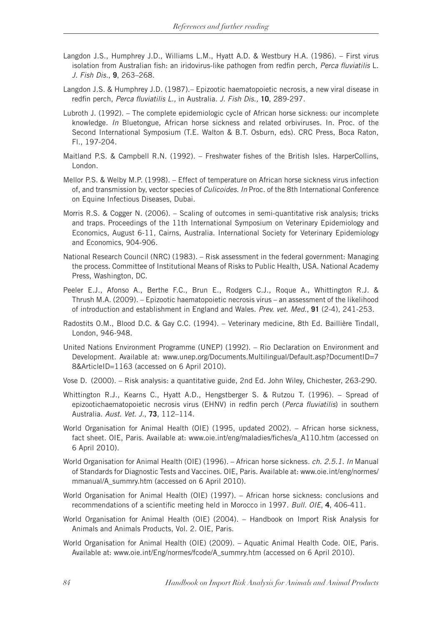- Langdon J.S., Humphrey J.D., Williams L.M., Hyatt A.D. & Westbury H.A. (1986). First virus isolation from Australian fish: an iridovirus-like pathogen from redfin perch, *Perca fluviatilis* L. *J. Fish Dis.*, **9**, 263–268.
- Langdon J.S. & Humphrey J.D. (1987).– Epizootic haematopoietic necrosis, a new viral disease in redfin perch, *Perca fluviatilis L.,* in Australia. *J. Fish Dis.,* **10**, 289-297.
- Lubroth J. (1992). The complete epidemiologic cycle of African horse sickness: our incomplete knowledge. *In* Bluetongue, African horse sickness and related orbiviruses. In. Proc. of the Second International Symposium (T.E. Walton & B.T. Osburn, eds). CRC Press, Boca Raton, Fl., 197-204.
- Maitland P.S. & Campbell R.N. (1992). Freshwater fishes of the British Isles. HarperCollins, London.
- Mellor P.S. & Welby M.P. (1998). Effect of temperature on African horse sickness virus infection of, and transmission by, vector species of *Culicoides*. *In* Proc. of the 8th International Conference on Equine Infectious Diseases, Dubai.
- Morris R.S. & Cogger N. (2006). Scaling of outcomes in semi-quantitative risk analysis; tricks and traps. Proceedings of the 11th International Symposium on Veterinary Epidemiology and Economics, August 6-11, Cairns, Australia. International Society for Veterinary Epidemiology and Economics, 904-906.
- National Research Council (NRC) (1983). Risk assessment in the federal government: Managing the process. Committee of Institutional Means of Risks to Public Health, USA. National Academy Press, Washington, DC.
- Peeler E.J., Afonso A., Berthe F.C., Brun E., Rodgers C.J., Roque A., Whittington R.J. & Thrush M.A. (2009). – Epizootic haematopoietic necrosis virus – an assessment of the likelihood of introduction and establishment in England and Wales. *Prev. vet. Med.*, **91** (2-4), 241-253.
- Radostits O.M., Blood D.C. & Gay C.C. (1994). Veterinary medicine, 8th Ed. Baillière Tindall, London, 946-948.
- United Nations Environment Programme (UNEP) (1992). Rio Declaration on Environment and Development. Available at: www.unep.org/Documents.Multilingual/Default.asp?DocumentID=7 8&ArticleID=1163 (accessed on 6 April 2010).
- Vose D. (2000). Risk analysis: a quantitative guide, 2nd Ed. John Wiley, Chichester, 263-290.
- Whittington R.J., Kearns C., Hyatt A.D., Hengstberger S. & Rutzou T. (1996). Spread of epizootichaematopoietic necrosis virus (EHNV) in redfin perch (*Perca fluviatilis*) in southern Australia. *Aust. Vet. J.*, **73**, 112–114.
- World Organisation for Animal Health (OIE) (1995, updated 2002). African horse sickness, fact sheet. OIE, Paris. Available at: www.oie.int/eng/maladies/fiches/a A110.htm (accessed on 6 April 2010).
- World Organisation for Animal Health (OIE) (1996). African horse sickness*. ch. 2.5.1. In* Manual of Standards for Diagnostic Tests and Vaccines. OIE, Paris. Available at: www.oie.int/eng/normes/ mmanual/A\_summry.htm (accessed on 6 April 2010).
- World Organisation for Animal Health (OIE) (1997). African horse sickness: conclusions and recommendations of a scientific meeting held in Morocco in 1997. *Bull. OIE*, **4**, 406-411.
- World Organisation for Animal Health (OIE) (2004). Handbook on Import Risk Analysis for Animals and Animals Products, Vol. 2. OIE, Paris.
- World Organisation for Animal Health (OIE) (2009). Aquatic Animal Health Code. OIE, Paris. Available at: www.oie.int/Eng/normes/fcode/A\_summry.htm (accessed on 6 April 2010).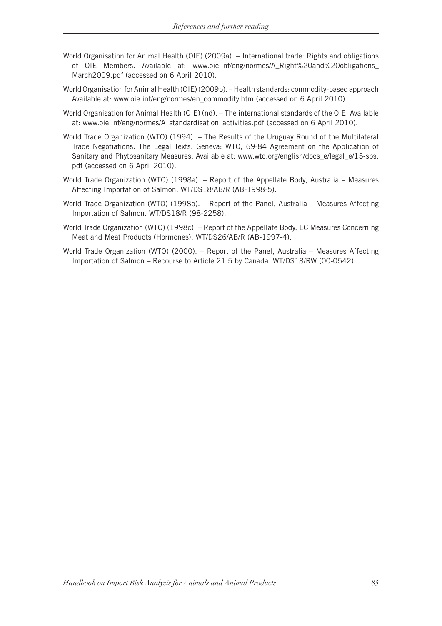- World Organisation for Animal Health (OIE) (2009a). International trade: Rights and obligations of OIE Members. Available at: www.oie.int/eng/normes/A\_Right%20and%20obligations\_ March2009.pdf (accessed on 6 April 2010).
- World Organisation for Animal Health (OIE) (2009b). Health standards: commodity-based approach Available at: www.oie.int/eng/normes/en\_commodity.htm (accessed on 6 April 2010).
- World Organisation for Animal Health (OIE) (nd). The international standards of the OIE. Available at: www.oie.int/eng/normes/A\_standardisation\_activities.pdf (accessed on 6 April 2010).
- World Trade Organization (WTO) (1994). The Results of the Uruguay Round of the Multilateral Trade Negotiations. The Legal Texts. Geneva: WTO, 69-84 Agreement on the Application of Sanitary and Phytosanitary Measures, Available at: www.wto.org/english/docs\_e/legal\_e/15-sps. pdf (accessed on 6 April 2010).
- World Trade Organization (WTO) (1998a). Report of the Appellate Body, Australia Measures Affecting Importation of Salmon. WT/DS18/AB/R (AB-1998-5).
- World Trade Organization (WTO) (1998b). Report of the Panel, Australia Measures Affecting Importation of Salmon. WT/DS18/R (98-2258).
- World Trade Organization (WTO) (1998c). Report of the Appellate Body, EC Measures Concerning Meat and Meat Products (Hormones). WT/DS26/AB/R (AB-1997-4).
- World Trade Organization (WTO) (2000). Report of the Panel, Australia Measures Affecting Importation of Salmon – Recourse to Article 21.5 by Canada. WT/DS18/RW (00-0542).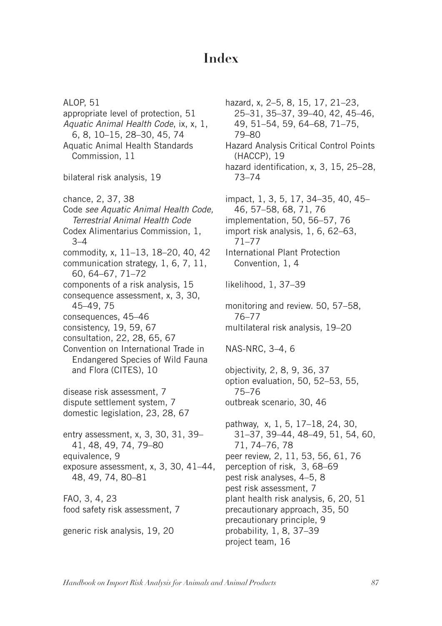# **Index**

ALOP, 51 appropriate level of protection, 51 *Aquatic Animal Health Code*, ix, x, 1, 6, 8, 10–15, 28–30, 45, 74 Aquatic Animal Health Standards Commission, 11 bilateral risk analysis, 19 chance, 2, 37, 38 Code *see Aquatic Animal Health Code, Terrestrial Animal Health Code*  Codex Alimentarius Commission, 1, 3–4 commodity, x, 11–13, 18–20, 40, 42 communication strategy, 1, 6, 7, 11, 60, 64–67, 71–72 components of a risk analysis, 15 consequence assessment, x, 3, 30, 45–49, 75 consequences, 45–46 consistency, 19, 59, 67 consultation, 22, 28, 65, 67 Convention on International Trade in Endangered Species of Wild Fauna and Flora (CITES), 10 disease risk assessment, 7 dispute settlement system, 7 domestic legislation, 23, 28, 67 entry assessment, x, 3, 30, 31, 39– 41, 48, 49, 74, 79–80 equivalence, 9 exposure assessment, x, 3, 30, 41–44, 48, 49, 74, 80–81 FAO, 3, 4, 23 food safety risk assessment, 7 generic risk analysis, 19, 20

hazard, x, 2–5, 8, 15, 17, 21–23, 25–31, 35–37, 39–40, 42, 45–46, 49, 51–54, 59, 64–68, 71–75, 79–80 Hazard Analysis Critical Control Points (HACCP), 19 hazard identification, x, 3, 15, 25–28, 73–74 impact, 1, 3, 5, 17, 34–35, 40, 45– 46, 57–58, 68, 71, 76 implementation, 50, 56–57, 76 import risk analysis, 1, 6, 62–63, 71–77 International Plant Protection Convention, 1, 4 likelihood, 1, 37–39 monitoring and review. 50, 57–58, 76–77 multilateral risk analysis, 19–20 NAS-NRC, 3–4, 6 objectivity, 2, 8, 9, 36, 37 option evaluation, 50, 52–53, 55, 75–76 outbreak scenario, 30, 46 pathway, x, 1, 5, 17–18, 24, 30, 31–37, 39–44, 48–49, 51, 54, 60, 71, 74–76, 78 peer review, 2, 11, 53, 56, 61, 76 perception of risk, 3, 68–69 pest risk analyses, 4–5, 8 pest risk assessment, 7 plant health risk analysis, 6, 20, 51 precautionary approach, 35, 50 precautionary principle, 9 probability, 1, 8, 37–39 project team, 16

*Handbook on Import Risk Analysis for Animals and Animal Products 87*